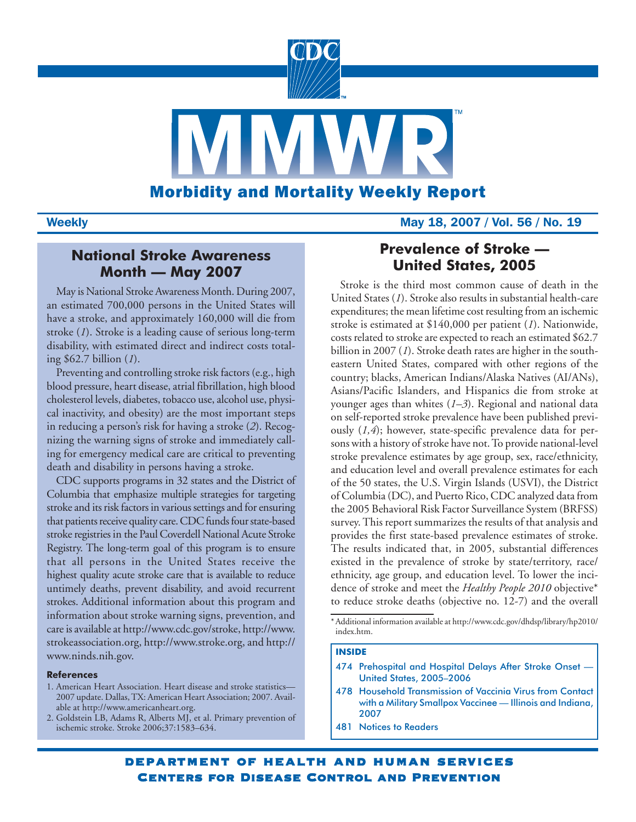

# **Weekly May 18, 2007 / Vol. 56 / No. 19**

# **National Stroke Awareness Month — May 2007**

May is National Stroke Awareness Month. During 2007, an estimated 700,000 persons in the United States will have a stroke, and approximately 160,000 will die from stroke (*1*). Stroke is a leading cause of serious long-term disability, with estimated direct and indirect costs totaling \$62.7 billion (*1*).

Preventing and controlling stroke risk factors (e.g., high blood pressure, heart disease, atrial fibrillation, high blood cholesterol levels, diabetes, tobacco use, alcohol use, physical inactivity, and obesity) are the most important steps in reducing a person's risk for having a stroke (*2*). Recognizing the warning signs of stroke and immediately calling for emergency medical care are critical to preventing death and disability in persons having a stroke.

CDC supports programs in 32 states and the District of Columbia that emphasize multiple strategies for targeting stroke and its risk factors in various settings and for ensuring that patients receive quality care. CDC funds four state-based stroke registries in the Paul Coverdell National Acute Stroke Registry. The long-term goal of this program is to ensure that all persons in the United States receive the highest quality acute stroke care that is available to reduce untimely deaths, prevent disability, and avoid recurrent strokes. Additional information about this program and information about stroke warning signs, prevention, and care is available at [http://www.cdc.gov/stroke,](http://www.cdc.gov/stroke) [http://www.](http://www.strokeassociation.org) [strokeassociation.org,](http://www.strokeassociation.org) [http://www.stroke.org,](http://www.stroke.org) and [http://](http://www.ninds.nih.gov) [www.ninds.nih.gov.](http://www.ninds.nih.gov)

## **References**

- 1. American Heart Association. Heart disease and stroke statistics— 2007 update. Dallas, TX: American Heart Association; 2007. Available at [http://www.americanheart.org.](http://www.ninds.nih.gov)
- 2. Goldstein LB, Adams R, Alberts MJ, et al. Primary prevention of ischemic stroke. Stroke 2006;37:1583–634.

# **Prevalence of Stroke — United States, 2005**

Stroke is the third most common cause of death in the United States (*1*). Stroke also results in substantial health-care expenditures; the mean lifetime cost resulting from an ischemic stroke is estimated at \$140,000 per patient (*1*). Nationwide, costs related to stroke are expected to reach an estimated \$62.7 billion in 2007 (*1*). Stroke death rates are higher in the southeastern United States, compared with other regions of the country; blacks, American Indians/Alaska Natives (AI/ANs), Asians/Pacific Islanders, and Hispanics die from stroke at younger ages than whites (*1–3*). Regional and national data on self-reported stroke prevalence have been published previously (*1,4*); however, state-specific prevalence data for persons with a history of stroke have not. To provide national-level stroke prevalence estimates by age group, sex, race/ethnicity, and education level and overall prevalence estimates for each of the 50 states, the U.S. Virgin Islands (USVI), the District of Columbia (DC), and Puerto Rico, CDC analyzed data from the 2005 Behavioral Risk Factor Surveillance System (BRFSS) survey. This report summarizes the results of that analysis and provides the first state-based prevalence estimates of stroke. The results indicated that, in 2005, substantial differences existed in the prevalence of stroke by state/territory, race/ ethnicity, age group, and education level. To lower the incidence of stroke and meet the *Healthy People 2010* objective\* to reduce stroke deaths (objective no. 12-7) and the overall

## **INSIDE**

- 474 Prehospital and Hospital Delays After Stroke Onset -United States, 2005–2006
- [478 Household Transmission of Vaccinia Virus from Contact](#page-9-0) with a Military Smallpox Vaccinee — Illinois and Indiana, 2007
- [481 Notices to Readers](#page-12-0)

<sup>\*</sup> Additional information available at [http://www.cdc.gov/dhdsp/library/hp2010/](http://www.cdc.gov/dhdsp/library/hp2010/index.htm) [index.htm.](http://www.cdc.gov/dhdsp/library/hp2010/index.htm)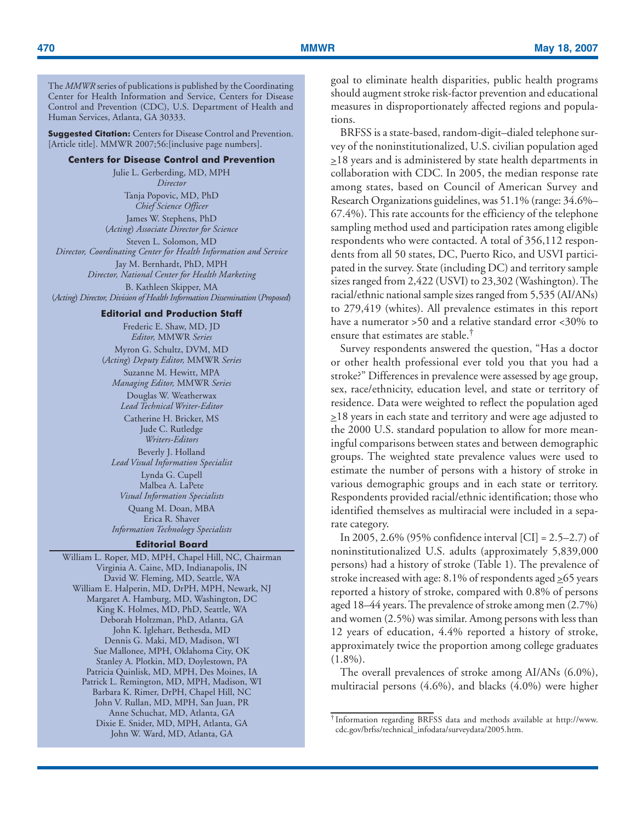The *MMWR* series of publications is published by the Coordinating Center for Health Information and Service, Centers for Disease Control and Prevention (CDC), U.S. Department of Health and Human Services, Atlanta, GA 30333.

**Suggested Citation:** Centers for Disease Control and Prevention. [Article title]. MMWR 2007;56: [inclusive page numbers].

## **Centers for Disease Control and Prevention**

Julie L. Gerberding, MD, MPH *Director* Tanja Popovic, MD, PhD *Chief Science Officer*

James W. Stephens, PhD (*Acting*) *Associate Director for Science* Steven L. Solomon, MD

*Director, Coordinating Center for Health Information and Service*

Jay M. Bernhardt, PhD, MPH *Director, National Center for Health Marketing* B. Kathleen Skipper, MA (*Acting*) *Director, Division of Health Information Dissemination* (*Proposed*)

### **Editorial and Production Staff**

Frederic E. Shaw, MD, JD *Editor,* MMWR *Series* Myron G. Schultz, DVM, MD (*Acting*) *Deputy Editor,* MMWR *Series*

Suzanne M. Hewitt, MPA *Managing Editor,* MMWR *Series* Douglas W. Weatherwax *Lead Technical Writer-Editor*

Catherine H. Bricker, MS Jude C. Rutledge *Writers-Editors* Beverly J. Holland *Lead Visual Information Specialist* Lynda G. Cupell Malbea A. LaPete

*Visual Information Specialists* Quang M. Doan, MBA Erica R. Shaver *Information Technology Specialists*

#### **Editorial Board**

William L. Roper, MD, MPH, Chapel Hill, NC, Chairman Virginia A. Caine, MD, Indianapolis, IN David W. Fleming, MD, Seattle, WA William E. Halperin, MD, DrPH, MPH, Newark, NJ Margaret A. Hamburg, MD, Washington, DC King K. Holmes, MD, PhD, Seattle, WA Deborah Holtzman, PhD, Atlanta, GA John K. Iglehart, Bethesda, MD Dennis G. Maki, MD, Madison, WI Sue Mallonee, MPH, Oklahoma City, OK Stanley A. Plotkin, MD, Doylestown, PA Patricia Quinlisk, MD, MPH, Des Moines, IA Patrick L. Remington, MD, MPH, Madison, WI Barbara K. Rimer, DrPH, Chapel Hill, NC John V. Rullan, MD, MPH, San Juan, PR Anne Schuchat, MD, Atlanta, GA Dixie E. Snider, MD, MPH, Atlanta, GA John W. Ward, MD, Atlanta, GA

goal to eliminate health disparities, public health programs should augment stroke risk-factor prevention and educational measures in disproportionately affected regions and populations.

BRFSS is a state-based, random-digit–dialed telephone survey of the noninstitutionalized, U.S. civilian population aged  $\geq$ 18 years and is administered by state health departments in collaboration with CDC. In 2005, the median response rate among states, based on Council of American Survey and Research Organizations guidelines, was 51.1% (range: 34.6%– 67.4%). This rate accounts for the efficiency of the telephone sampling method used and participation rates among eligible respondents who were contacted. A total of 356,112 respondents from all 50 states, DC, Puerto Rico, and USVI participated in the survey. State (including DC) and territory sample sizes ranged from 2,422 (USVI) to 23,302 (Washington). The racial/ethnic national sample sizes ranged from 5,535 (AI/ANs) to 279,419 (whites). All prevalence estimates in this report have a numerator >50 and a relative standard error <30% to ensure that estimates are stable.†

Survey respondents answered the question, "Has a doctor or other health professional ever told you that you had a stroke?" Differences in prevalence were assessed by age group, sex, race/ethnicity, education level, and state or territory of residence. Data were weighted to reflect the population aged  $\geq$ 18 years in each state and territory and were age adjusted to the 2000 U.S. standard population to allow for more meaningful comparisons between states and between demographic groups. The weighted state prevalence values were used to estimate the number of persons with a history of stroke in various demographic groups and in each state or territory. Respondents provided racial/ethnic identification; those who identified themselves as multiracial were included in a separate category.

In 2005, 2.6% (95% confidence interval [CI] = 2.5–2.7) of noninstitutionalized U.S. adults (approximately 5,839,000 persons) had a history of stroke (Table 1). The prevalence of stroke increased with age: 8.1% of respondents aged  $\geq$  65 years reported a history of stroke, compared with 0.8% of persons aged 18–44 years. The prevalence of stroke among men (2.7%) and women (2.5%) was similar. Among persons with less than 12 years of education, 4.4% reported a history of stroke, approximately twice the proportion among college graduates  $(1.8\%)$ .

The overall prevalences of stroke among AI/ANs (6.0%), multiracial persons (4.6%), and blacks (4.0%) were higher

<sup>†</sup> Information regarding BRFSS data and methods available at [http://www.](http://cdc.gov/brfss/technical_infodata/surveydata/2005.htm) [cdc.gov/brfss/technical\\_infodata/surveydata/2005.htm.](http://cdc.gov/brfss/technical_infodata/surveydata/2005.htm)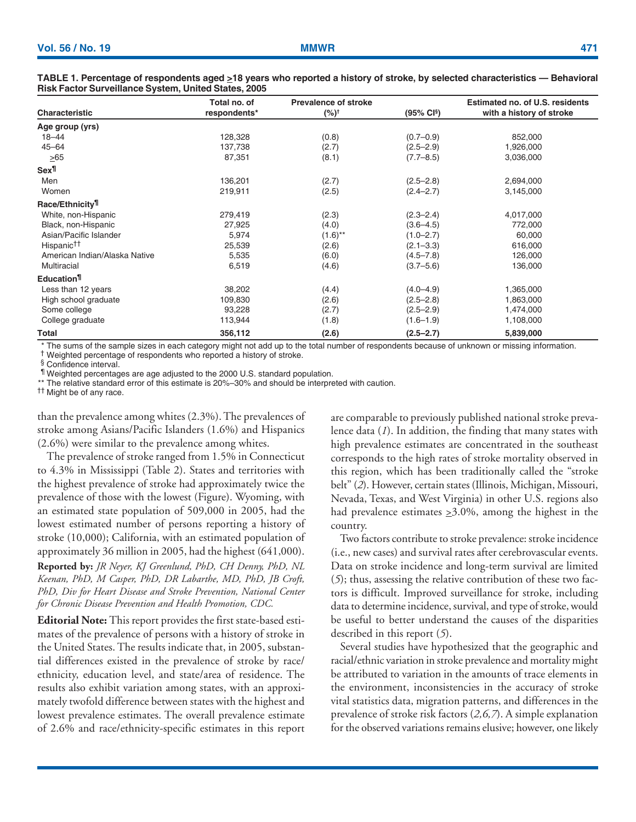| Characteristic                 | Total no. of<br>respondents* | <b>Prevalence of stroke</b><br>$(%)^{\dagger}$ | (95% CI <sup>§</sup> ) | Estimated no. of U.S. residents<br>with a history of stroke |
|--------------------------------|------------------------------|------------------------------------------------|------------------------|-------------------------------------------------------------|
|                                |                              |                                                |                        |                                                             |
| Age group (yrs)                |                              |                                                |                        |                                                             |
| $18 - 44$                      | 128,328                      | (0.8)                                          | $(0.7 - 0.9)$          | 852,000                                                     |
| $45 - 64$                      | 137,738                      | (2.7)                                          | $(2.5 - 2.9)$          | 1,926,000                                                   |
| $\geq 65$                      | 87,351                       | (8.1)                                          | $(7.7 - 8.5)$          | 3,036,000                                                   |
| Sex¶                           |                              |                                                |                        |                                                             |
| Men                            | 136,201                      | (2.7)                                          | $(2.5 - 2.8)$          | 2,694,000                                                   |
| Women                          | 219,911                      | (2.5)                                          | $(2.4 - 2.7)$          | 3,145,000                                                   |
| Race/Ethnicity <sup>¶</sup>    |                              |                                                |                        |                                                             |
| White, non-Hispanic            | 279,419                      | (2.3)                                          | $(2.3 - 2.4)$          | 4,017,000                                                   |
| Black, non-Hispanic            | 27,925                       | (4.0)                                          | $(3.6 - 4.5)$          | 772,000                                                     |
| Asian/Pacific Islander         | 5,974                        | $(1.6)$ <sup>**</sup>                          | $(1.0 - 2.7)$          | 60,000                                                      |
| Hispanic <sup>††</sup>         | 25,539                       | (2.6)                                          | $(2.1 - 3.3)$          | 616,000                                                     |
| American Indian/Alaska Native  | 5,535                        | (6.0)                                          | $(4.5 - 7.8)$          | 126,000                                                     |
| Multiracial                    | 6,519                        | (4.6)                                          | $(3.7 - 5.6)$          | 136,000                                                     |
| <b>Education</b> <sup>11</sup> |                              |                                                |                        |                                                             |
| Less than 12 years             | 38,202                       | (4.4)                                          | $(4.0 - 4.9)$          | 1,365,000                                                   |
| High school graduate           | 109,830                      | (2.6)                                          | $(2.5 - 2.8)$          | 1,863,000                                                   |
| Some college                   | 93,228                       | (2.7)                                          | $(2.5 - 2.9)$          | 1,474,000                                                   |
| College graduate               | 113,944                      | (1.8)                                          | $(1.6 - 1.9)$          | 1,108,000                                                   |
| Total                          | 356,112                      | (2.6)                                          | $(2.5 - 2.7)$          | 5,839,000                                                   |

**TABLE 1. Percentage of respondents aged >18 years who reported a history of stroke, by selected characteristics — Behavioral Risk Factor Surveillance System, United States, 2005**

\* The sums of the sample sizes in each category might not add up to the total number of respondents because of unknown or missing information. † Weighted percentage of respondents who reported a history of stroke.

§ Confidence interval.

¶ Weighted percentages are age adjusted to the 2000 U.S. standard population.

\*\* The relative standard error of this estimate is 20%-30% and should be interpreted with caution.

†† Might be of any race.

than the prevalence among whites (2.3%). The prevalences of stroke among Asians/Pacific Islanders (1.6%) and Hispanics (2.6%) were similar to the prevalence among whites.

The prevalence of stroke ranged from 1.5% in Connecticut to 4.3% in Mississippi (Table 2). States and territories with the highest prevalence of stroke had approximately twice the prevalence of those with the lowest (Figure). Wyoming, with an estimated state population of 509,000 in 2005, had the lowest estimated number of persons reporting a history of stroke (10,000); California, with an estimated population of approximately 36 million in 2005, had the highest (641,000).

**Reported by:** *JR Neyer, KJ Greenlund, PhD, CH Denny, PhD, NL Keenan, PhD, M Casper, PhD, DR Labarthe, MD, PhD, JB Croft, PhD, Div for Heart Disease and Stroke Prevention, National Center for Chronic Disease Prevention and Health Promotion, CDC.*

**Editorial Note:** This report provides the first state-based estimates of the prevalence of persons with a history of stroke in the United States. The results indicate that, in 2005, substantial differences existed in the prevalence of stroke by race/ ethnicity, education level, and state/area of residence. The results also exhibit variation among states, with an approximately twofold difference between states with the highest and lowest prevalence estimates. The overall prevalence estimate of 2.6% and race/ethnicity-specific estimates in this report are comparable to previously published national stroke prevalence data (*1*). In addition, the finding that many states with high prevalence estimates are concentrated in the southeast corresponds to the high rates of stroke mortality observed in this region, which has been traditionally called the "stroke belt" (*2*). However, certain states (Illinois, Michigan, Missouri, Nevada, Texas, and West Virginia) in other U.S. regions also had prevalence estimates  $\geq 3.0\%$ , among the highest in the country.

Two factors contribute to stroke prevalence: stroke incidence (i.e., new cases) and survival rates after cerebrovascular events. Data on stroke incidence and long-term survival are limited (*5*); thus, assessing the relative contribution of these two factors is difficult. Improved surveillance for stroke, including data to determine incidence, survival, and type of stroke, would be useful to better understand the causes of the disparities described in this report (*5*).

Several studies have hypothesized that the geographic and racial/ethnic variation in stroke prevalence and mortality might be attributed to variation in the amounts of trace elements in the environment, inconsistencies in the accuracy of stroke vital statistics data, migration patterns, and differences in the prevalence of stroke risk factors (*2,6,7*). A simple explanation for the observed variations remains elusive; however, one likely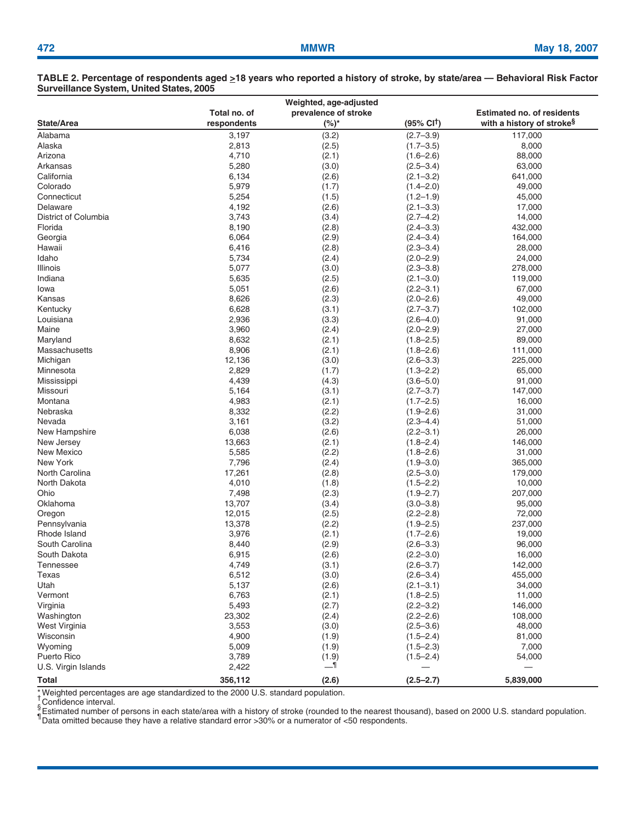### **TABLE 2. Percentage of respondents aged >18 years who reported a history of stroke, by state/area — Behavioral Risk Factor Surveillance System, United States, 2005**

| Weighted, age-adjusted                                                    |             |         |                                |                                       |  |  |  |  |  |  |  |  |
|---------------------------------------------------------------------------|-------------|---------|--------------------------------|---------------------------------------|--|--|--|--|--|--|--|--|
| Total no. of<br>prevalence of stroke<br><b>Estimated no. of residents</b> |             |         |                                |                                       |  |  |  |  |  |  |  |  |
| State/Area                                                                | respondents | $(%)^*$ | $(95\% \text{ Cl}^{\dagger})$  | with a history of stroke <sup>§</sup> |  |  |  |  |  |  |  |  |
| Alabama                                                                   | 3,197       | (3.2)   | $(2.7 - 3.9)$                  | 117,000                               |  |  |  |  |  |  |  |  |
| Alaska                                                                    | 2,813       | (2.5)   | $(1.7 - 3.5)$                  | 8,000                                 |  |  |  |  |  |  |  |  |
| Arizona                                                                   | 4,710       | (2.1)   | $(1.6 - 2.6)$                  | 88,000                                |  |  |  |  |  |  |  |  |
| Arkansas                                                                  | 5,280       | (3.0)   | $(2.5 - 3.4)$                  | 63,000                                |  |  |  |  |  |  |  |  |
| California                                                                | 6,134       | (2.6)   | $(2.1 - 3.2)$                  | 641,000                               |  |  |  |  |  |  |  |  |
| Colorado                                                                  | 5,979       | (1.7)   | $(1.4 - 2.0)$                  | 49,000                                |  |  |  |  |  |  |  |  |
| Connecticut                                                               | 5,254       | (1.5)   | $(1.2 - 1.9)$                  | 45,000                                |  |  |  |  |  |  |  |  |
| Delaware                                                                  | 4,192       | (2.6)   | $(2.1 - 3.3)$                  | 17,000                                |  |  |  |  |  |  |  |  |
| District of Columbia                                                      | 3,743       | (3.4)   | $(2.7 - 4.2)$                  | 14,000                                |  |  |  |  |  |  |  |  |
| Florida                                                                   | 8,190       | (2.8)   | $(2.4 - 3.3)$                  | 432,000                               |  |  |  |  |  |  |  |  |
| Georgia                                                                   | 6,064       | (2.9)   | $(2.4 - 3.4)$                  | 164,000                               |  |  |  |  |  |  |  |  |
| Hawaii                                                                    | 6,416       | (2.8)   | $(2.3 - 3.4)$                  | 28,000                                |  |  |  |  |  |  |  |  |
| Idaho                                                                     | 5,734       | (2.4)   | $(2.0 - 2.9)$                  | 24,000                                |  |  |  |  |  |  |  |  |
| Illinois                                                                  | 5,077       | (3.0)   | $(2.3 - 3.8)$                  | 278,000                               |  |  |  |  |  |  |  |  |
| Indiana                                                                   | 5,635       | (2.5)   | $(2.1 - 3.0)$                  | 119,000                               |  |  |  |  |  |  |  |  |
| Iowa                                                                      | 5,051       | (2.6)   | $(2.2 - 3.1)$                  | 67,000                                |  |  |  |  |  |  |  |  |
| Kansas                                                                    | 8,626       | (2.3)   | $(2.0 - 2.6)$                  | 49,000                                |  |  |  |  |  |  |  |  |
| Kentucky                                                                  | 6,628       | (3.1)   | $(2.7 - 3.7)$                  | 102,000                               |  |  |  |  |  |  |  |  |
|                                                                           |             |         |                                |                                       |  |  |  |  |  |  |  |  |
| Louisiana                                                                 | 2,936       | (3.3)   | $(2.6 - 4.0)$<br>$(2.0 - 2.9)$ | 91,000                                |  |  |  |  |  |  |  |  |
| Maine                                                                     | 3,960       | (2.4)   |                                | 27,000                                |  |  |  |  |  |  |  |  |
| Maryland                                                                  | 8,632       | (2.1)   | $(1.8 - 2.5)$                  | 89,000                                |  |  |  |  |  |  |  |  |
| Massachusetts                                                             | 8,906       | (2.1)   | $(1.8 - 2.6)$                  | 111,000                               |  |  |  |  |  |  |  |  |
| Michigan                                                                  | 12,136      | (3.0)   | $(2.6 - 3.3)$                  | 225,000                               |  |  |  |  |  |  |  |  |
| Minnesota                                                                 | 2,829       | (1.7)   | $(1.3 - 2.2)$                  | 65,000                                |  |  |  |  |  |  |  |  |
| Mississippi                                                               | 4,439       | (4.3)   | $(3.6 - 5.0)$                  | 91,000                                |  |  |  |  |  |  |  |  |
| Missouri                                                                  | 5,164       | (3.1)   | $(2.7 - 3.7)$                  | 147,000                               |  |  |  |  |  |  |  |  |
| Montana                                                                   | 4,983       | (2.1)   | $(1.7 - 2.5)$                  | 16,000                                |  |  |  |  |  |  |  |  |
| Nebraska                                                                  | 8,332       | (2.2)   | $(1.9 - 2.6)$                  | 31,000                                |  |  |  |  |  |  |  |  |
| Nevada                                                                    | 3,161       | (3.2)   | $(2.3 - 4.4)$                  | 51,000                                |  |  |  |  |  |  |  |  |
| New Hampshire                                                             | 6,038       | (2.6)   | $(2.2 - 3.1)$                  | 26,000                                |  |  |  |  |  |  |  |  |
| New Jersey                                                                | 13,663      | (2.1)   | $(1.8 - 2.4)$                  | 146,000                               |  |  |  |  |  |  |  |  |
| <b>New Mexico</b>                                                         | 5,585       | (2.2)   | $(1.8 - 2.6)$                  | 31,000                                |  |  |  |  |  |  |  |  |
| New York                                                                  | 7,796       | (2.4)   | $(1.9 - 3.0)$                  | 365,000                               |  |  |  |  |  |  |  |  |
| North Carolina                                                            | 17,261      | (2.8)   | $(2.5 - 3.0)$                  | 179,000                               |  |  |  |  |  |  |  |  |
| North Dakota                                                              | 4,010       | (1.8)   | $(1.5 - 2.2)$                  | 10,000                                |  |  |  |  |  |  |  |  |
| Ohio                                                                      | 7,498       | (2.3)   | $(1.9 - 2.7)$                  | 207,000                               |  |  |  |  |  |  |  |  |
| Oklahoma                                                                  | 13,707      | (3.4)   | $(3.0 - 3.8)$                  | 95,000                                |  |  |  |  |  |  |  |  |
| Oregon                                                                    | 12,015      | (2.5)   | $(2.2 - 2.8)$                  | 72,000                                |  |  |  |  |  |  |  |  |
| Pennsylvania                                                              | 13,378      | (2.2)   | $(1.9 - 2.5)$                  | 237,000                               |  |  |  |  |  |  |  |  |
| Rhode Island                                                              | 3,976       | (2.1)   | $(1.7 - 2.6)$                  | 19,000                                |  |  |  |  |  |  |  |  |
| South Carolina                                                            | 8,440       | (2.9)   | $(2.6 - 3.3)$                  | 96,000                                |  |  |  |  |  |  |  |  |
| South Dakota                                                              | 6,915       | (2.6)   | $(2.2 - 3.0)$                  | 16,000                                |  |  |  |  |  |  |  |  |
| Tennessee                                                                 | 4,749       | (3.1)   | $(2.6 - 3.7)$                  | 142,000                               |  |  |  |  |  |  |  |  |
| Texas                                                                     | 6,512       | (3.0)   | $(2.6 - 3.4)$                  | 455,000                               |  |  |  |  |  |  |  |  |
| Utah                                                                      | 5,137       | (2.6)   | $(2.1 - 3.1)$                  | 34,000                                |  |  |  |  |  |  |  |  |
| Vermont                                                                   | 6,763       | (2.1)   | $(1.8 - 2.5)$                  | 11,000                                |  |  |  |  |  |  |  |  |
| Virginia                                                                  | 5,493       | (2.7)   | $(2.2 - 3.2)$                  | 146,000                               |  |  |  |  |  |  |  |  |
| Washington                                                                | 23,302      | (2.4)   | $(2.2 - 2.6)$                  | 108,000                               |  |  |  |  |  |  |  |  |
| West Virginia                                                             | 3,553       | (3.0)   | $(2.5 - 3.6)$                  | 48,000                                |  |  |  |  |  |  |  |  |
| Wisconsin                                                                 | 4,900       | (1.9)   | $(1.5 - 2.4)$                  | 81,000                                |  |  |  |  |  |  |  |  |
| Wyoming                                                                   | 5,009       | (1.9)   | $(1.5 - 2.3)$                  | 7,000                                 |  |  |  |  |  |  |  |  |
| Puerto Rico                                                               | 3,789       | (1.9)   | $(1.5 - 2.4)$                  | 54,000                                |  |  |  |  |  |  |  |  |
| U.S. Virgin Islands                                                       | 2,422       | __¶     |                                |                                       |  |  |  |  |  |  |  |  |
| <b>Total</b>                                                              | 356,112     | (2.6)   | $(2.5 - 2.7)$                  | 5,839,000                             |  |  |  |  |  |  |  |  |

\* Weighted percentages are age standardized to the 2000 U.S. standard population.<br>† Carfidages internal

Sconfidence interval.

<sup>y</sup> Estimated number of persons in each state/area with a history of stroke (rounded to the nearest thousand), based on 2000 U.S. standard population.<br><sup>¶</sup> Data omitted because they have a relative standard error >30% or a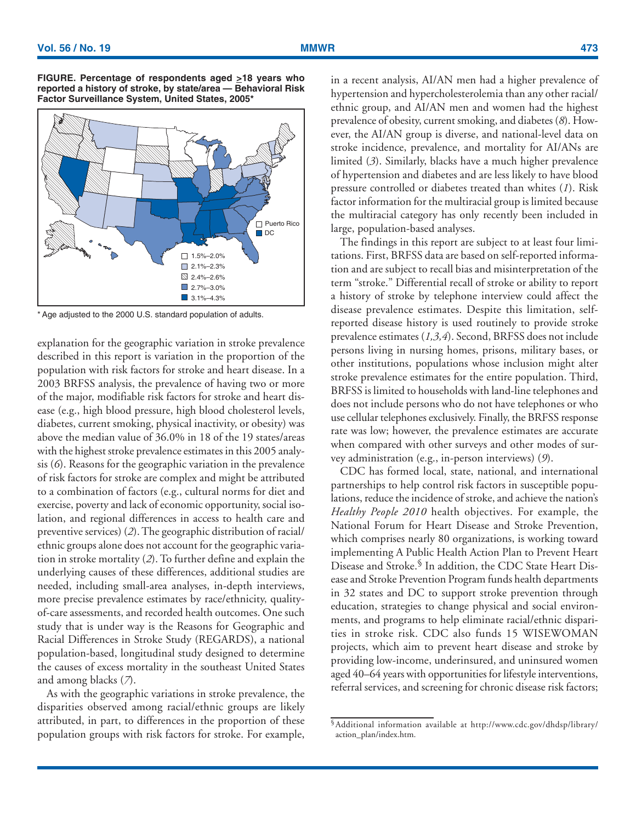



\* Age adjusted to the 2000 U.S. standard population of adults.

explanation for the geographic variation in stroke prevalence described in this report is variation in the proportion of the population with risk factors for stroke and heart disease. In a 2003 BRFSS analysis, the prevalence of having two or more of the major, modifiable risk factors for stroke and heart disease (e.g., high blood pressure, high blood cholesterol levels, diabetes, current smoking, physical inactivity, or obesity) was above the median value of 36.0% in 18 of the 19 states/areas with the highest stroke prevalence estimates in this 2005 analysis (*6*). Reasons for the geographic variation in the prevalence of risk factors for stroke are complex and might be attributed to a combination of factors (e.g., cultural norms for diet and exercise, poverty and lack of economic opportunity, social isolation, and regional differences in access to health care and preventive services) (*2*). The geographic distribution of racial/ ethnic groups alone does not account for the geographic variation in stroke mortality (*2*). To further define and explain the underlying causes of these differences, additional studies are needed, including small-area analyses, in-depth interviews, more precise prevalence estimates by race/ethnicity, qualityof-care assessments, and recorded health outcomes. One such study that is under way is the Reasons for Geographic and Racial Differences in Stroke Study (REGARDS), a national population-based, longitudinal study designed to determine the causes of excess mortality in the southeast United States and among blacks (*7*).

As with the geographic variations in stroke prevalence, the disparities observed among racial/ethnic groups are likely attributed, in part, to differences in the proportion of these population groups with risk factors for stroke. For example,

in a recent analysis, AI/AN men had a higher prevalence of hypertension and hypercholesterolemia than any other racial/ ethnic group, and AI/AN men and women had the highest prevalence of obesity, current smoking, and diabetes (*8*). However, the AI/AN group is diverse, and national-level data on stroke incidence, prevalence, and mortality for AI/ANs are limited (*3*). Similarly, blacks have a much higher prevalence of hypertension and diabetes and are less likely to have blood pressure controlled or diabetes treated than whites (*1*). Risk factor information for the multiracial group is limited because the multiracial category has only recently been included in large, population-based analyses.

The findings in this report are subject to at least four limitations. First, BRFSS data are based on self-reported information and are subject to recall bias and misinterpretation of the term "stroke." Differential recall of stroke or ability to report a history of stroke by telephone interview could affect the disease prevalence estimates. Despite this limitation, selfreported disease history is used routinely to provide stroke prevalence estimates (*1,3,4*). Second, BRFSS does not include persons living in nursing homes, prisons, military bases, or other institutions, populations whose inclusion might alter stroke prevalence estimates for the entire population. Third, BRFSS is limited to households with land-line telephones and does not include persons who do not have telephones or who use cellular telephones exclusively. Finally, the BRFSS response rate was low; however, the prevalence estimates are accurate when compared with other surveys and other modes of survey administration (e.g., in-person interviews) (*9*).

CDC has formed local, state, national, and international partnerships to help control risk factors in susceptible populations, reduce the incidence of stroke, and achieve the nation's *Healthy People 2010* health objectives. For example, the National Forum for Heart Disease and Stroke Prevention, which comprises nearly 80 organizations, is working toward implementing A Public Health Action Plan to Prevent Heart Disease and Stroke.<sup>§</sup> In addition, the CDC State Heart Disease and Stroke Prevention Program funds health departments in 32 states and DC to support stroke prevention through education, strategies to change physical and social environments, and programs to help eliminate racial/ethnic disparities in stroke risk. CDC also funds 15 WISEWOMAN projects, which aim to prevent heart disease and stroke by providing low-income, underinsured, and uninsured women aged 40–64 years with opportunities for lifestyle interventions, referral services, and screening for chronic disease risk factors;

<sup>§</sup>Additional information available at [http://www.cdc.gov/dhdsp/library/](http://www.cdc.gov/dhdsp/library/action_plan/index.htm) [action\\_plan/index.htm.](http://www.cdc.gov/dhdsp/library/action_plan/index.htm)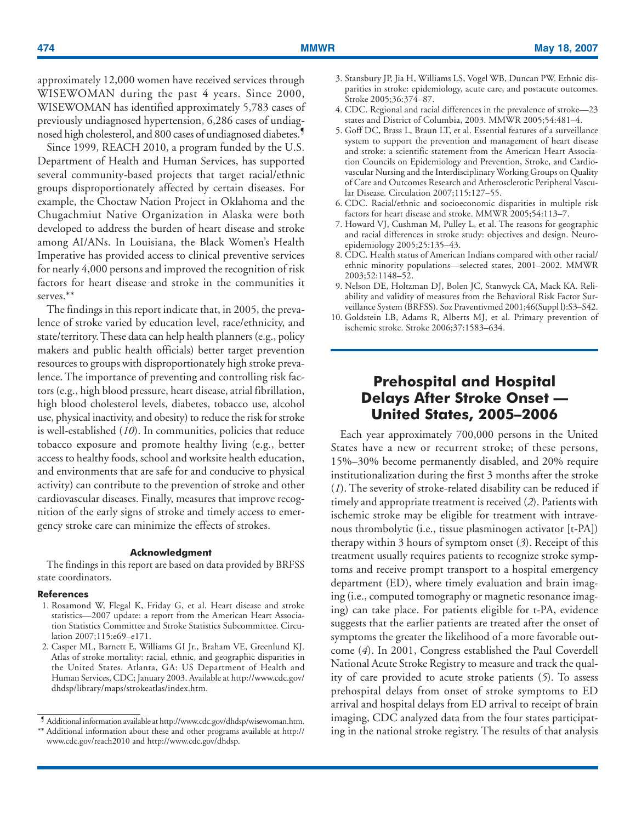<span id="page-5-0"></span>approximately 12,000 women have received services through WISEWOMAN during the past 4 years. Since 2000, WISEWOMAN has identified approximately 5,783 cases of previously undiagnosed hypertension, 6,286 cases of undiagnosed high cholesterol, and 800 cases of undiagnosed diabetes.<sup>7</sup>

Since 1999, REACH 2010, a program funded by the U.S. Department of Health and Human Services, has supported several community-based projects that target racial/ethnic groups disproportionately affected by certain diseases. For example, the Choctaw Nation Project in Oklahoma and the Chugachmiut Native Organization in Alaska were both developed to address the burden of heart disease and stroke among AI/ANs. In Louisiana, the Black Women's Health Imperative has provided access to clinical preventive services for nearly 4,000 persons and improved the recognition of risk factors for heart disease and stroke in the communities it serves.\*\*

The findings in this report indicate that, in 2005, the prevalence of stroke varied by education level, race/ethnicity, and state/territory. These data can help health planners (e.g., policy makers and public health officials) better target prevention resources to groups with disproportionately high stroke prevalence. The importance of preventing and controlling risk factors (e.g., high blood pressure, heart disease, atrial fibrillation, high blood cholesterol levels, diabetes, tobacco use, alcohol use, physical inactivity, and obesity) to reduce the risk for stroke is well-established (*10*). In communities, policies that reduce tobacco exposure and promote healthy living (e.g., better access to healthy foods, school and worksite health education, and environments that are safe for and conducive to physical activity) can contribute to the prevention of stroke and other cardiovascular diseases. Finally, measures that improve recognition of the early signs of stroke and timely access to emergency stroke care can minimize the effects of strokes.

### **Acknowledgment**

The findings in this report are based on data provided by BRFSS state coordinators.

#### **References**

- 1. Rosamond W, Flegal K, Friday G, et al. Heart disease and stroke statistics—2007 update: a report from the American Heart Association Statistics Committee and Stroke Statistics Subcommittee. Circulation 2007;115:e69–e171.
- 2. Casper ML, Barnett E, Williams GI Jr., Braham VE, Greenlund KJ. Atlas of stroke mortality: racial, ethnic, and geographic disparities in the United States. Atlanta, GA: US Department of Health and Human Services, CDC; January 2003. Available at [http://www.cdc.gov/](http://www.cdc.gov/dhdsp/library/maps/strokeatlas/index.htm) [dhdsp/library/maps/strokeatlas/index.htm.](http://www.cdc.gov/dhdsp/library/maps/strokeatlas/index.htm)
- 3. Stansbury JP, Jia H, Williams LS, Vogel WB, Duncan PW. Ethnic disparities in stroke: epidemiology, acute care, and postacute outcomes. Stroke 2005;36:374–87.
- 4. CDC. Regional and racial differences in the prevalence of stroke—23 states and District of Columbia, 2003. MMWR 2005;54:481–4.
- 5. Goff DC, Brass L, Braun LT, et al. Essential features of a surveillance system to support the prevention and management of heart disease and stroke: a scientific statement from the American Heart Association Councils on Epidemiology and Prevention, Stroke, and Cardiovascular Nursing and the Interdisciplinary Working Groups on Quality of Care and Outcomes Research and Atherosclerotic Peripheral Vascular Disease. Circulation 2007;115:127–55.
- 6. CDC. Racial/ethnic and socioeconomic disparities in multiple risk factors for heart disease and stroke. MMWR 2005;54:113–7.
- 7. Howard VJ, Cushman M, Pulley L, et al. The reasons for geographic and racial differences in stroke study: objectives and design. Neuroepidemiology 2005;25:135–43.
- 8. CDC. Health status of American Indians compared with other racial/ ethnic minority populations—selected states, 2001–2002. MMWR 2003;52:1148–52.
- 9. Nelson DE, Holtzman DJ, Bolen JC, Stanwyck CA, Mack KA. Reliability and validity of measures from the Behavioral Risk Factor Surveillance System (BRFSS). Soz Praventivmed 2001;46(Suppl l):S3–S42.
- 10. Goldstein LB, Adams R, Alberts MJ, et al. Primary prevention of ischemic stroke. Stroke 2006;37:1583–634.

# **Prehospital and Hospital Delays After Stroke Onset — United States, 2005–2006**

Each year approximately 700,000 persons in the United States have a new or recurrent stroke; of these persons, 15%–30% become permanently disabled, and 20% require institutionalization during the first 3 months after the stroke (*1*). The severity of stroke-related disability can be reduced if timely and appropriate treatment is received (*2*). Patients with ischemic stroke may be eligible for treatment with intravenous thrombolytic (i.e., tissue plasminogen activator [t-PA]) therapy within 3 hours of symptom onset (*3*). Receipt of this treatment usually requires patients to recognize stroke symptoms and receive prompt transport to a hospital emergency department (ED), where timely evaluation and brain imaging (i.e., computed tomography or magnetic resonance imaging) can take place. For patients eligible for t-PA, evidence suggests that the earlier patients are treated after the onset of symptoms the greater the likelihood of a more favorable outcome (*4*). In 2001, Congress established the Paul Coverdell National Acute Stroke Registry to measure and track the quality of care provided to acute stroke patients (*5*). To assess prehospital delays from onset of stroke symptoms to ED arrival and hospital delays from ED arrival to receipt of brain imaging, CDC analyzed data from the four states participating in the national stroke registry. The results of that analysis

<sup>¶</sup> Additional information available a[t http://www.cdc.gov/dhdsp/wisewoman.htm.](http://www.cdc.gov/dhdsp/wisewoman.htm)

<sup>\*\*</sup> Additional information about these and other programs available at [http://](http://www.cdc.gov/reach2010) [www.cdc.gov/reach2010](http://www.cdc.gov/reach2010) and [http://www.cdc.gov/dhdsp.](http://www.cdc.gov/dhdsp)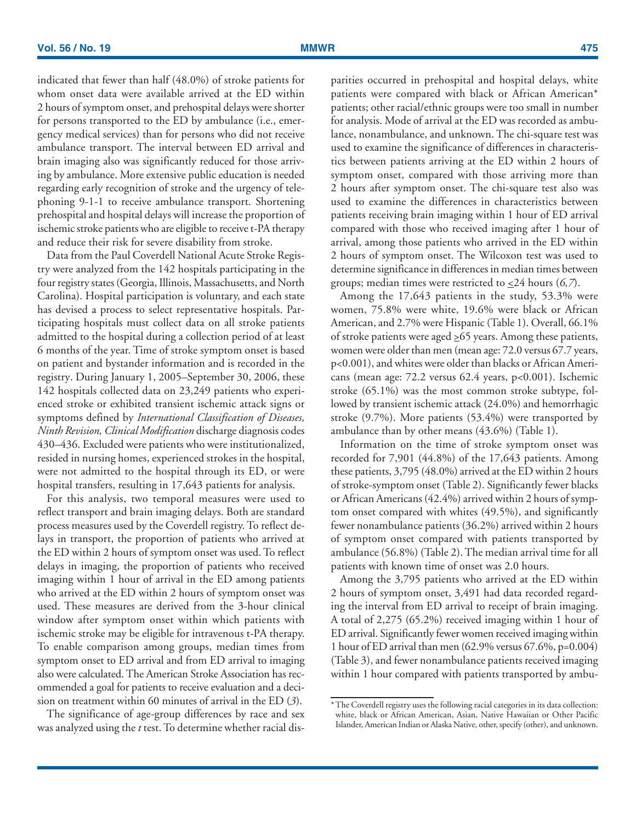indicated that fewer than half (48.0%) of stroke patients for whom onset data were available arrived at the ED within 2 hours of symptom onset, and prehospital delays were shorter for persons transported to the ED by ambulance (i.e., emergency medical services) than for persons who did not receive ambulance transport. The interval between ED arrival and brain imaging also was significantly reduced for those arriving by ambulance. More extensive public education is needed regarding early recognition of stroke and the urgency of telephoning 9-1-1 to receive ambulance transport. Shortening prehospital and hospital delays will increase the proportion of ischemic stroke patients who are eligible to receive t-PA therapy and reduce their risk for severe disability from stroke.

Data from the Paul Coverdell National Acute Stroke Registry were analyzed from the 142 hospitals participating in the four registry states (Georgia, Illinois, Massachusetts, and North Carolina). Hospital participation is voluntary, and each state has devised a process to select representative hospitals. Participating hospitals must collect data on all stroke patients admitted to the hospital during a collection period of at least 6 months of the year. Time of stroke symptom onset is based on patient and bystander information and is recorded in the registry. During January 1, 2005–September 30, 2006, these 142 hospitals collected data on 23,249 patients who experienced stroke or exhibited transient ischemic attack signs or symptoms defined by *International Classification of Diseases, Ninth Revision, Clinical Modification* discharge diagnosis codes 430–436. Excluded were patients who were institutionalized, resided in nursing homes, experienced strokes in the hospital, were not admitted to the hospital through its ED, or were hospital transfers, resulting in 17,643 patients for analysis.

For this analysis, two temporal measures were used to reflect transport and brain imaging delays. Both are standard process measures used by the Coverdell registry. To reflect delays in transport, the proportion of patients who arrived at the ED within 2 hours of symptom onset was used. To reflect delays in imaging, the proportion of patients who received imaging within 1 hour of arrival in the ED among patients who arrived at the ED within 2 hours of symptom onset was used. These measures are derived from the 3-hour clinical window after symptom onset within which patients with ischemic stroke may be eligible for intravenous t-PA therapy. To enable comparison among groups, median times from symptom onset to ED arrival and from ED arrival to imaging also were calculated. The American Stroke Association has recommended a goal for patients to receive evaluation and a decision on treatment within 60 minutes of arrival in the ED (*3*).

The significance of age-group differences by race and sex was analyzed using the *t* test. To determine whether racial disparities occurred in prehospital and hospital delays, white patients were compared with black or African American\* patients; other racial/ethnic groups were too small in number for analysis. Mode of arrival at the ED was recorded as ambulance, nonambulance, and unknown. The chi-square test was used to examine the significance of differences in characteristics between patients arriving at the ED within 2 hours of symptom onset, compared with those arriving more than 2 hours after symptom onset. The chi-square test also was used to examine the differences in characteristics between patients receiving brain imaging within 1 hour of ED arrival compared with those who received imaging after 1 hour of arrival, among those patients who arrived in the ED within 2 hours of symptom onset. The Wilcoxon test was used to determine significance in differences in median times between groups; median times were restricted to <24 hours (*6,7*).

Among the 17,643 patients in the study, 53.3% were women, 75.8% were white, 19.6% were black or African American, and 2.7% were Hispanic (Table 1). Overall, 66.1% of stroke patients were aged  $\geq 65$  years. Among these patients, women were older than men (mean age: 72.0 versus 67.7 years, p<0.001), and whites were older than blacks or African Americans (mean age: 72.2 versus 62.4 years, p<0.001). Ischemic stroke (65.1%) was the most common stroke subtype, followed by transient ischemic attack (24.0%) and hemorrhagic stroke (9.7%). More patients (53.4%) were transported by ambulance than by other means (43.6%) (Table 1).

Information on the time of stroke symptom onset was recorded for 7,901 (44.8%) of the 17,643 patients. Among these patients, 3,795 (48.0%) arrived at the ED within 2 hours of stroke-symptom onset (Table 2). Significantly fewer blacks or African Americans (42.4%) arrived within 2 hours of symptom onset compared with whites (49.5%), and significantly fewer nonambulance patients (36.2%) arrived within 2 hours of symptom onset compared with patients transported by ambulance (56.8%) (Table 2). The median arrival time for all patients with known time of onset was 2.0 hours.

Among the 3,795 patients who arrived at the ED within 2 hours of symptom onset, 3,491 had data recorded regarding the interval from ED arrival to receipt of brain imaging. A total of 2,275 (65.2%) received imaging within 1 hour of ED arrival. Significantly fewer women received imaging within 1 hour of ED arrival than men (62.9% versus 67.6%, p=0.004) (Table 3), and fewer nonambulance patients received imaging within 1 hour compared with patients transported by ambu-

<sup>\*</sup> The Coverdell registry uses the following racial categories in its data collection: white, black or African American, Asian, Native Hawaiian or Other Pacific Islander, American Indian or Alaska Native, other, specify (other), and unknown.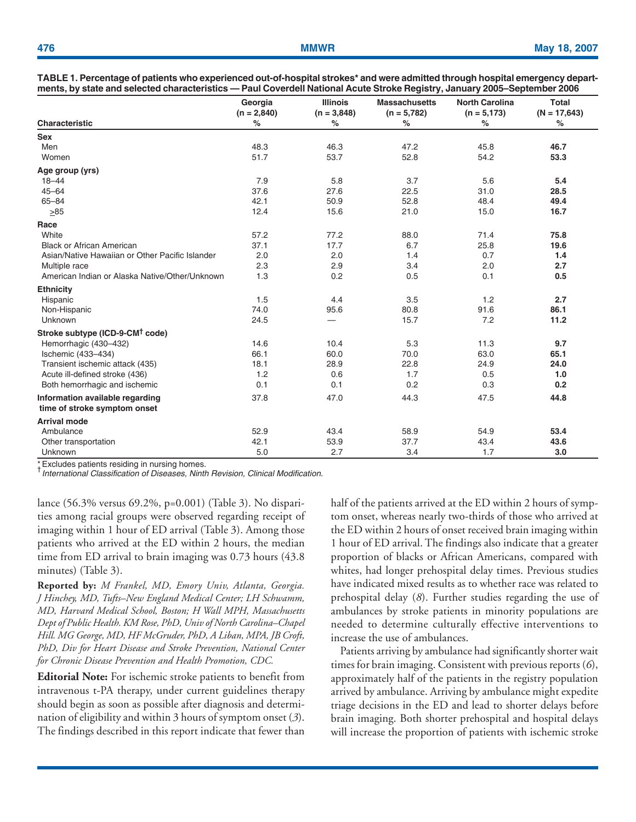|                                                 | Georgia<br>$(n = 2,840)$ | <b>Illinois</b><br>$(n = 3,848)$ | <b>Massachusetts</b><br>$(n = 5,782)$ | <b>North Carolina</b><br>$(n = 5, 173)$ | <b>Total</b><br>$(N = 17,643)$ |
|-------------------------------------------------|--------------------------|----------------------------------|---------------------------------------|-----------------------------------------|--------------------------------|
| <b>Characteristic</b>                           | $\%$                     | $\%$                             | $\%$                                  | $\%$                                    | $\%$                           |
| <b>Sex</b>                                      |                          |                                  |                                       |                                         |                                |
| Men                                             | 48.3                     | 46.3                             | 47.2                                  | 45.8                                    | 46.7                           |
| Women                                           | 51.7                     | 53.7                             | 52.8                                  | 54.2                                    | 53.3                           |
| Age group (yrs)                                 |                          |                                  |                                       |                                         |                                |
| $18 - 44$                                       | 7.9                      | 5.8                              | 3.7                                   | 5.6                                     | 5.4                            |
| $45 - 64$                                       | 37.6                     | 27.6                             | 22.5                                  | 31.0                                    | 28.5                           |
| $65 - 84$                                       | 42.1                     | 50.9                             | 52.8                                  | 48.4                                    | 49.4                           |
| $\geq 85$                                       | 12.4                     | 15.6                             | 21.0                                  | 15.0                                    | 16.7                           |
| Race                                            |                          |                                  |                                       |                                         |                                |
| White                                           | 57.2                     | 77.2                             | 88.0                                  | 71.4                                    | 75.8                           |
| Black or African American                       | 37.1                     | 17.7                             | 6.7                                   | 25.8                                    | 19.6                           |
| Asian/Native Hawaiian or Other Pacific Islander | 2.0                      | 2.0                              | 1.4                                   | 0.7                                     | 1.4                            |
| Multiple race                                   | 2.3                      | 2.9                              | 3.4                                   | 2.0                                     | 2.7                            |
| American Indian or Alaska Native/Other/Unknown  | 1.3                      | 0.2                              | 0.5                                   | 0.1                                     | 0.5                            |
| <b>Ethnicity</b>                                |                          |                                  |                                       |                                         |                                |
| Hispanic                                        | 1.5                      | 4.4                              | 3.5                                   | 1.2                                     | 2.7                            |
| Non-Hispanic                                    | 74.0                     | 95.6                             | 80.8                                  | 91.6                                    | 86.1                           |
| Unknown                                         | 24.5                     |                                  | 15.7                                  | 7.2                                     | 11.2                           |
| Stroke subtype (ICD-9-CM <sup>†</sup> code)     |                          |                                  |                                       |                                         |                                |
| Hemorrhagic (430-432)                           | 14.6                     | 10.4                             | 5.3                                   | 11.3                                    | 9.7                            |
| Ischemic (433-434)                              | 66.1                     | 60.0                             | 70.0                                  | 63.0                                    | 65.1                           |
| Transient ischemic attack (435)                 | 18.1                     | 28.9                             | 22.8                                  | 24.9                                    | 24.0                           |
| Acute ill-defined stroke (436)                  | 1.2                      | 0.6                              | 1.7                                   | 0.5                                     | 1.0                            |
| Both hemorrhagic and ischemic                   | 0.1                      | 0.1                              | 0.2                                   | 0.3                                     | 0.2                            |
| Information available regarding                 | 37.8                     | 47.0                             | 44.3                                  | 47.5                                    | 44.8                           |
| time of stroke symptom onset                    |                          |                                  |                                       |                                         |                                |
| <b>Arrival mode</b>                             |                          |                                  |                                       |                                         |                                |
| Ambulance                                       | 52.9                     | 43.4                             | 58.9                                  | 54.9                                    | 53.4                           |
| Other transportation                            | 42.1                     | 53.9                             | 37.7                                  | 43.4                                    | 43.6                           |
| Unknown                                         | 5.0                      | 2.7                              | 3.4                                   | 1.7                                     | 3.0                            |

| TABLE 1. Percentage of patients who experienced out-of-hospital strokes* and were admitted through hospital emergency depart- |  |
|-------------------------------------------------------------------------------------------------------------------------------|--|
| ments, by state and selected characteristics — Paul Coverdell National Acute Stroke Registry, January 2005–September 2006     |  |

\* Excludes patients residing in nursing homes.

*International Classification of Diseases, Ninth Revision*, *Clinical Modification.*

lance (56.3% versus 69.2%, p=0.001) (Table 3). No disparities among racial groups were observed regarding receipt of imaging within 1 hour of ED arrival (Table 3). Among those patients who arrived at the ED within 2 hours, the median time from ED arrival to brain imaging was 0.73 hours (43.8 minutes) (Table 3).

**Reported by:** *M Frankel, MD, Emory Univ, Atlanta, Georgia. J Hinchey, MD, Tufts–New England Medical Center; LH Schwamm, MD, Harvard Medical School, Boston; H Wall MPH, Massachusetts Dept of Public Health. KM Rose, PhD, Univ of North Carolina–Chapel Hill. MG George, MD, HF McGruder, PhD, A Liban, MPA, JB Croft, PhD, Div for Heart Disease and Stroke Prevention, National Center for Chronic Disease Prevention and Health Promotion, CDC.*

**Editorial Note:** For ischemic stroke patients to benefit from intravenous t-PA therapy, under current guidelines therapy should begin as soon as possible after diagnosis and determination of eligibility and within 3 hours of symptom onset (*3*). The findings described in this report indicate that fewer than half of the patients arrived at the ED within 2 hours of symptom onset, whereas nearly two-thirds of those who arrived at the ED within 2 hours of onset received brain imaging within 1 hour of ED arrival. The findings also indicate that a greater proportion of blacks or African Americans, compared with whites, had longer prehospital delay times. Previous studies have indicated mixed results as to whether race was related to prehospital delay (*8*). Further studies regarding the use of ambulances by stroke patients in minority populations are needed to determine culturally effective interventions to increase the use of ambulances.

Patients arriving by ambulance had significantly shorter wait times for brain imaging. Consistent with previous reports (*6*), approximately half of the patients in the registry population arrived by ambulance. Arriving by ambulance might expedite triage decisions in the ED and lead to shorter delays before brain imaging. Both shorter prehospital and hospital delays will increase the proportion of patients with ischemic stroke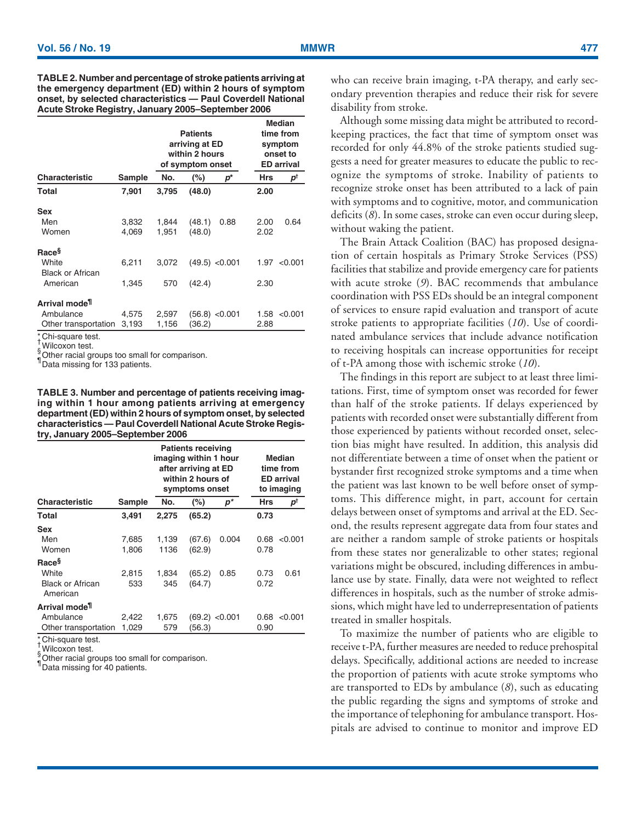**TABLE 2. Number and percentage of stroke patients arriving at the emergency department (ED) within 2 hours of symptom onset, by selected characteristics — Paul Coverdell National Acute Stroke Registry, January 2005–September 2006**

|                           |        | <b>Patients</b><br>arriving at ED<br>within 2 hours<br>of symptom onset |        | <b>Median</b><br>time from<br>symptom<br>onset to<br><b>ED</b> arrival |      |              |
|---------------------------|--------|-------------------------------------------------------------------------|--------|------------------------------------------------------------------------|------|--------------|
| <b>Characteristic</b>     | Sample | No.                                                                     | (%)    | p*                                                                     | Hrs  | р†           |
| Total                     | 7,901  | 3,795                                                                   | (48.0) |                                                                        | 2.00 |              |
| <b>Sex</b>                |        |                                                                         |        |                                                                        |      |              |
| Men                       | 3,832  | 1,844                                                                   | (48.1) | 0.88                                                                   | 2.00 | 0.64         |
| Women                     | 4,069  | 1,951                                                                   | (48.0) |                                                                        | 2.02 |              |
| Race <sup>§</sup>         |        |                                                                         |        |                                                                        |      |              |
| White                     | 6,211  | 3.072                                                                   |        | $(49.5)$ < 0.001                                                       |      | 1.97 < 0.001 |
| <b>Black or African</b>   |        |                                                                         |        |                                                                        |      |              |
| American                  | 1,345  | 570                                                                     | (42.4) |                                                                        | 2.30 |              |
| Arrival mode <sup>1</sup> |        |                                                                         |        |                                                                        |      |              |
| Ambulance                 | 4,575  | 2,597                                                                   |        | $(56.8)$ <0.001                                                        | 1.58 | < 0.001      |
| Other transportation      | 3,193  | 1,156                                                                   | (36.2) |                                                                        | 2.88 |              |
| $*$ Chi aguara taat       |        |                                                                         |        |                                                                        |      |              |

\* Chi-square test.<br>Twitter

 $\frac{1}{8}$ Wilcoxon test. Other racial groups too small for comparison.

Data missing for 133 patients.

**TABLE 3. Number and percentage of patients receiving imaging within 1 hour among patients arriving at emergency department (ED) within 2 hours of symptom onset, by selected characteristics — Paul Coverdell National Acute Stroke Registry, January 2005–September 2006**

|                                     |        |       | <b>Patients receiving</b><br>imaging within 1 hour<br>after arriving at ED<br>within 2 hours of<br>symptoms onset | Median<br>time from<br><b>ED</b> arrival<br>to imaging |      |               |  |
|-------------------------------------|--------|-------|-------------------------------------------------------------------------------------------------------------------|--------------------------------------------------------|------|---------------|--|
| <b>Characteristic</b>               | Sample | No.   | (%)                                                                                                               | $p^*$                                                  | Hrs  | $p^{\dagger}$ |  |
| Total                               | 3,491  | 2,275 | (65.2)                                                                                                            |                                                        | 0.73 |               |  |
| <b>Sex</b>                          |        |       |                                                                                                                   |                                                        |      |               |  |
| Men                                 | 7,685  | 1,139 | (67.6)                                                                                                            | 0.004                                                  | 0.68 | < 0.001       |  |
| Women                               | 1,806  | 1136  | (62.9)                                                                                                            |                                                        | 0.78 |               |  |
| Race <sup>§</sup>                   |        |       |                                                                                                                   |                                                        |      |               |  |
| White                               | 2,815  | 1,834 | (65.2)                                                                                                            | 0.85                                                   | 0.73 | 0.61          |  |
| <b>Black or African</b><br>American | 533    | 345   | (64.7)                                                                                                            |                                                        | 0.72 |               |  |
| Arrival mode <sup>ll</sup>          |        |       |                                                                                                                   |                                                        |      |               |  |
| Ambulance                           | 2,422  | 1,675 |                                                                                                                   | $(69.2)$ <0.001                                        | 0.68 | < 0.001       |  |
| Other transportation                | 1,029  | 579   | (56.3)                                                                                                            |                                                        | 0.90 |               |  |
| $- - - - -$                         |        |       |                                                                                                                   |                                                        |      |               |  |

Chi-square test.

 $\frac{1}{6}$  Wilcoxon test.

Other racial groups too small for comparison.

<sup>1</sup> Data missing for 40 patients.

who can receive brain imaging, t-PA therapy, and early secondary prevention therapies and reduce their risk for severe disability from stroke.

Although some missing data might be attributed to recordkeeping practices, the fact that time of symptom onset was recorded for only 44.8% of the stroke patients studied suggests a need for greater measures to educate the public to recognize the symptoms of stroke. Inability of patients to recognize stroke onset has been attributed to a lack of pain with symptoms and to cognitive, motor, and communication deficits (*8*). In some cases, stroke can even occur during sleep, without waking the patient.

The Brain Attack Coalition (BAC) has proposed designation of certain hospitals as Primary Stroke Services (PSS) facilities that stabilize and provide emergency care for patients with acute stroke (*9*). BAC recommends that ambulance coordination with PSS EDs should be an integral component of services to ensure rapid evaluation and transport of acute stroke patients to appropriate facilities (*10*). Use of coordinated ambulance services that include advance notification to receiving hospitals can increase opportunities for receipt of t-PA among those with ischemic stroke (*10*).

The findings in this report are subject to at least three limitations. First, time of symptom onset was recorded for fewer than half of the stroke patients. If delays experienced by patients with recorded onset were substantially different from those experienced by patients without recorded onset, selection bias might have resulted. In addition, this analysis did not differentiate between a time of onset when the patient or bystander first recognized stroke symptoms and a time when the patient was last known to be well before onset of symptoms. This difference might, in part, account for certain delays between onset of symptoms and arrival at the ED. Second, the results represent aggregate data from four states and are neither a random sample of stroke patients or hospitals from these states nor generalizable to other states; regional variations might be obscured, including differences in ambulance use by state. Finally, data were not weighted to reflect differences in hospitals, such as the number of stroke admissions, which might have led to underrepresentation of patients treated in smaller hospitals.

To maximize the number of patients who are eligible to receive t-PA, further measures are needed to reduce prehospital delays. Specifically, additional actions are needed to increase the proportion of patients with acute stroke symptoms who are transported to EDs by ambulance (*8*), such as educating the public regarding the signs and symptoms of stroke and the importance of telephoning for ambulance transport. Hospitals are advised to continue to monitor and improve ED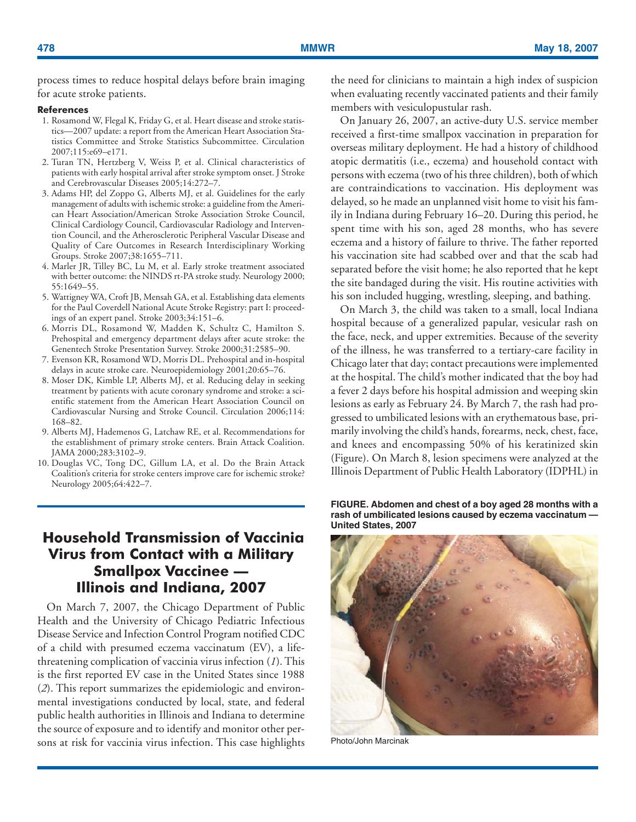<span id="page-9-0"></span>process times to reduce hospital delays before brain imaging for acute stroke patients.

### **References**

- 1. Rosamond W, Flegal K, Friday G, et al. Heart disease and stroke statistics—2007 update: a report from the American Heart Association Statistics Committee and Stroke Statistics Subcommittee. Circulation 2007;115:e69–e171.
- 2. Turan TN, Hertzberg V, Weiss P, et al. Clinical characteristics of patients with early hospital arrival after stroke symptom onset. J Stroke and Cerebrovascular Diseases 2005;14:272–7.
- 3. Adams HP, del Zoppo G, Alberts MJ, et al. Guidelines for the early management of adults with ischemic stroke: a guideline from the American Heart Association/American Stroke Association Stroke Council, Clinical Cardiology Council, Cardiovascular Radiology and Intervention Council, and the Atherosclerotic Peripheral Vascular Disease and Quality of Care Outcomes in Research Interdisciplinary Working Groups. Stroke 2007;38:1655–711.
- 4. Marler JR, Tilley BC, Lu M, et al. Early stroke treatment associated with better outcome: the NINDS rt-PA stroke study. Neurology 2000; 55:1649–55.
- 5. Wattigney WA, Croft JB, Mensah GA, et al. Establishing data elements for the Paul Coverdell National Acute Stroke Registry: part I: proceedings of an expert panel. Stroke 2003;34:151–6.
- 6. Morris DL, Rosamond W, Madden K, Schultz C, Hamilton S. Prehospital and emergency department delays after acute stroke: the Genentech Stroke Presentation Survey. Stroke 2000;31:2585–90.
- 7. Evenson KR, Rosamond WD, Morris DL. Prehospital and in-hospital delays in acute stroke care. Neuroepidemiology 2001;20:65–76.
- 8. Moser DK, Kimble LP, Alberts MJ, et al. Reducing delay in seeking treatment by patients with acute coronary syndrome and stroke: a scientific statement from the American Heart Association Council on Cardiovascular Nursing and Stroke Council. Circulation 2006;114: 168–82.
- 9. Alberts MJ, Hademenos G, Latchaw RE, et al. Recommendations for the establishment of primary stroke centers. Brain Attack Coalition. JAMA 2000;283:3102–9.
- 10. Douglas VC, Tong DC, Gillum LA, et al. Do the Brain Attack Coalition's criteria for stroke centers improve care for ischemic stroke? Neurology 2005;64:422–7.

# **Household Transmission of Vaccinia Virus from Contact with a Military Smallpox Vaccinee — Illinois and Indiana, 2007**

On March 7, 2007, the Chicago Department of Public Health and the University of Chicago Pediatric Infectious Disease Service and Infection Control Program notified CDC of a child with presumed eczema vaccinatum (EV), a lifethreatening complication of vaccinia virus infection (*1*). This is the first reported EV case in the United States since 1988 (*2*). This report summarizes the epidemiologic and environmental investigations conducted by local, state, and federal public health authorities in Illinois and Indiana to determine the source of exposure and to identify and monitor other persons at risk for vaccinia virus infection. This case highlights the need for clinicians to maintain a high index of suspicion when evaluating recently vaccinated patients and their family members with vesiculopustular rash.

On January 26, 2007, an active-duty U.S. service member received a first-time smallpox vaccination in preparation for overseas military deployment. He had a history of childhood atopic dermatitis (i.e., eczema) and household contact with persons with eczema (two of his three children), both of which are contraindications to vaccination. His deployment was delayed, so he made an unplanned visit home to visit his family in Indiana during February 16–20. During this period, he spent time with his son, aged 28 months, who has severe eczema and a history of failure to thrive. The father reported his vaccination site had scabbed over and that the scab had separated before the visit home; he also reported that he kept the site bandaged during the visit. His routine activities with his son included hugging, wrestling, sleeping, and bathing.

On March 3, the child was taken to a small, local Indiana hospital because of a generalized papular, vesicular rash on the face, neck, and upper extremities. Because of the severity of the illness, he was transferred to a tertiary-care facility in Chicago later that day; contact precautions were implemented at the hospital. The child's mother indicated that the boy had a fever 2 days before his hospital admission and weeping skin lesions as early as February 24. By March 7, the rash had progressed to umbilicated lesions with an erythematous base, primarily involving the child's hands, forearms, neck, chest, face, and knees and encompassing 50% of his keratinized skin (Figure). On March 8, lesion specimens were analyzed at the Illinois Department of Public Health Laboratory (IDPHL) in

**FIGURE. Abdomen and chest of a boy aged 28 months with a rash of umbilicated lesions caused by eczema vaccinatum — United States, 2007**



Photo/John Marcinak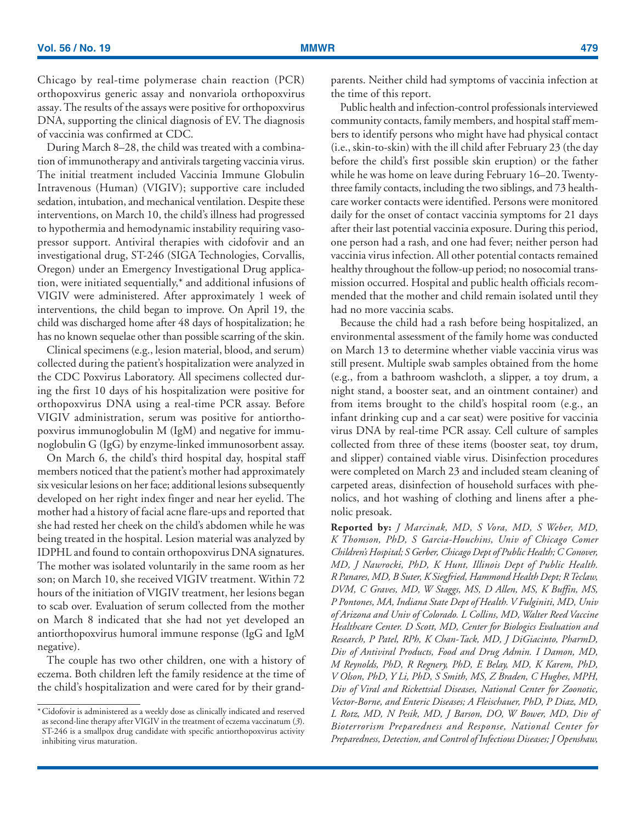Chicago by real-time polymerase chain reaction (PCR) orthopoxvirus generic assay and nonvariola orthopoxvirus assay. The results of the assays were positive for orthopoxvirus DNA, supporting the clinical diagnosis of EV. The diagnosis of vaccinia was confirmed at CDC.

During March 8–28, the child was treated with a combination of immunotherapy and antivirals targeting vaccinia virus. The initial treatment included Vaccinia Immune Globulin Intravenous (Human) (VIGIV); supportive care included sedation, intubation, and mechanical ventilation. Despite these interventions, on March 10, the child's illness had progressed to hypothermia and hemodynamic instability requiring vasopressor support. Antiviral therapies with cidofovir and an investigational drug, ST-246 (SIGA Technologies, Corvallis, Oregon) under an Emergency Investigational Drug application, were initiated sequentially,\* and additional infusions of VIGIV were administered. After approximately 1 week of interventions, the child began to improve. On April 19, the child was discharged home after 48 days of hospitalization; he has no known sequelae other than possible scarring of the skin.

Clinical specimens (e.g., lesion material, blood, and serum) collected during the patient's hospitalization were analyzed in the CDC Poxvirus Laboratory. All specimens collected during the first 10 days of his hospitalization were positive for orthopoxvirus DNA using a real-time PCR assay. Before VIGIV administration, serum was positive for antiorthopoxvirus immunoglobulin M (IgM) and negative for immunoglobulin G (IgG) by enzyme-linked immunosorbent assay.

On March 6, the child's third hospital day, hospital staff members noticed that the patient's mother had approximately six vesicular lesions on her face; additional lesions subsequently developed on her right index finger and near her eyelid. The mother had a history of facial acne flare-ups and reported that she had rested her cheek on the child's abdomen while he was being treated in the hospital. Lesion material was analyzed by IDPHL and found to contain orthopoxvirus DNA signatures. The mother was isolated voluntarily in the same room as her son; on March 10, she received VIGIV treatment. Within 72 hours of the initiation of VIGIV treatment, her lesions began to scab over. Evaluation of serum collected from the mother on March 8 indicated that she had not yet developed an antiorthopoxvirus humoral immune response (IgG and IgM negative).

The couple has two other children, one with a history of eczema. Both children left the family residence at the time of the child's hospitalization and were cared for by their grandparents. Neither child had symptoms of vaccinia infection at the time of this report.

Public health and infection-control professionals interviewed community contacts, family members, and hospital staff members to identify persons who might have had physical contact (i.e., skin-to-skin) with the ill child after February 23 (the day before the child's first possible skin eruption) or the father while he was home on leave during February 16–20. Twentythree family contacts, including the two siblings, and 73 healthcare worker contacts were identified. Persons were monitored daily for the onset of contact vaccinia symptoms for 21 days after their last potential vaccinia exposure. During this period, one person had a rash, and one had fever; neither person had vaccinia virus infection. All other potential contacts remained healthy throughout the follow-up period; no nosocomial transmission occurred. Hospital and public health officials recommended that the mother and child remain isolated until they had no more vaccinia scabs.

Because the child had a rash before being hospitalized, an environmental assessment of the family home was conducted on March 13 to determine whether viable vaccinia virus was still present. Multiple swab samples obtained from the home (e.g., from a bathroom washcloth, a slipper, a toy drum, a night stand, a booster seat, and an ointment container) and from items brought to the child's hospital room (e.g., an infant drinking cup and a car seat) were positive for vaccinia virus DNA by real-time PCR assay. Cell culture of samples collected from three of these items (booster seat, toy drum, and slipper) contained viable virus. Disinfection procedures were completed on March 23 and included steam cleaning of carpeted areas, disinfection of household surfaces with phenolics, and hot washing of clothing and linens after a phenolic presoak.

**Reported by:** *J Marcinak, MD, S Vora, MD, S Weber, MD, K Thomson, PhD, S Garcia-Houchins, Univ of Chicago Comer Children's Hospital; S Gerber, Chicago Dept of Public Health; C Conover, MD, J Nawrocki, PhD, K Hunt, Illinois Dept of Public Health. R Panares, MD, B Suter, K Siegfried, Hammond Health Dept; R Teclaw, DVM, C Graves, MD, W Staggs, MS, D Allen, MS, K Buffin, MS, P Pontones, MA, Indiana State Dept of Health. V Fulginiti, MD, Univ of Arizona and Univ of Colorado. L Collins, MD, Walter Reed Vaccine Healthcare Center. D Scott, MD, Center for Biologics Evaluation and Research, P Patel, RPh, K Chan-Tack, MD, J DiGiacinto, PharmD, Div of Antiviral Products, Food and Drug Admin. I Damon, MD, M Reynolds, PhD, R Regnery, PhD, E Belay, MD, K Karem, PhD, V Olson, PhD, Y Li, PhD, S Smith, MS, Z Braden, C Hughes, MPH, Div of Viral and Rickettsial Diseases, National Center for Zoonotic, Vector-Borne, and Enteric Diseases; A Fleischauer, PhD, P Diaz, MD, L Rotz, MD, N Pesik, MD, J Barson, DO, W Bower, MD, Div of Bioterrorism Preparedness and Response, National Center for Preparedness, Detection, and Control of Infectious Diseases; J Openshaw,*

<sup>\*</sup> Cidofovir is administered as a weekly dose as clinically indicated and reserved as second-line therapy after VIGIV in the treatment of eczema vaccinatum (*3*). ST-246 is a smallpox drug candidate with specific antiorthopoxvirus activity inhibiting virus maturation.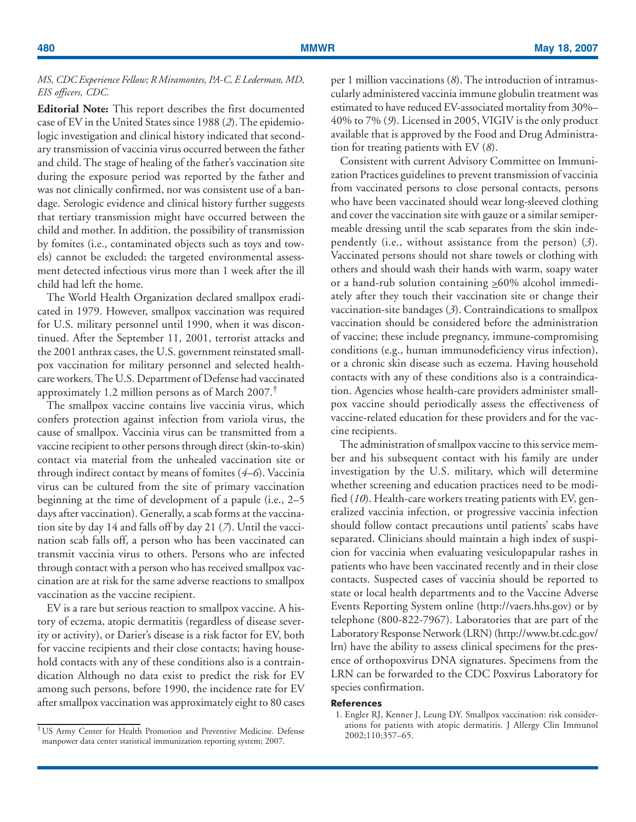# *MS, CDC Experience Fellow; R Miramontes, PA-C, E Lederman, MD, EIS officers, CDC.*

**Editorial Note:** This report describes the first documented case of EV in the United States since 1988 (*2*). The epidemiologic investigation and clinical history indicated that secondary transmission of vaccinia virus occurred between the father and child. The stage of healing of the father's vaccination site during the exposure period was reported by the father and was not clinically confirmed, nor was consistent use of a bandage. Serologic evidence and clinical history further suggests that tertiary transmission might have occurred between the child and mother. In addition, the possibility of transmission by fomites (i.e., contaminated objects such as toys and towels) cannot be excluded; the targeted environmental assessment detected infectious virus more than 1 week after the ill child had left the home.

The World Health Organization declared smallpox eradicated in 1979. However, smallpox vaccination was required for U.S. military personnel until 1990, when it was discontinued. After the September 11, 2001, terrorist attacks and the 2001 anthrax cases, the U.S. government reinstated smallpox vaccination for military personnel and selected healthcare workers. The U.S. Department of Defense had vaccinated approximately 1.2 million persons as of March 2007.†

The smallpox vaccine contains live vaccinia virus, which confers protection against infection from variola virus, the cause of smallpox. Vaccinia virus can be transmitted from a vaccine recipient to other persons through direct (skin-to-skin) contact via material from the unhealed vaccination site or through indirect contact by means of fomites (*4–6*). Vaccinia virus can be cultured from the site of primary vaccination beginning at the time of development of a papule (i.e., 2–5 days after vaccination). Generally, a scab forms at the vaccination site by day 14 and falls off by day 21 (*7*). Until the vaccination scab falls off, a person who has been vaccinated can transmit vaccinia virus to others. Persons who are infected through contact with a person who has received smallpox vaccination are at risk for the same adverse reactions to smallpox vaccination as the vaccine recipient.

EV is a rare but serious reaction to smallpox vaccine. A history of eczema, atopic dermatitis (regardless of disease severity or activity), or Darier's disease is a risk factor for EV, both for vaccine recipients and their close contacts; having household contacts with any of these conditions also is a contraindication Although no data exist to predict the risk for EV among such persons, before 1990, the incidence rate for EV after smallpox vaccination was approximately eight to 80 cases per 1 million vaccinations (*8*). The introduction of intramuscularly administered vaccinia immune globulin treatment was estimated to have reduced EV-associated mortality from 30%– 40% to 7% (*9*). Licensed in 2005, VIGIV is the only product available that is approved by the Food and Drug Administration for treating patients with EV (*8*).

Consistent with current Advisory Committee on Immunization Practices guidelines to prevent transmission of vaccinia from vaccinated persons to close personal contacts, persons who have been vaccinated should wear long-sleeved clothing and cover the vaccination site with gauze or a similar semipermeable dressing until the scab separates from the skin independently (i.e., without assistance from the person) (*3*). Vaccinated persons should not share towels or clothing with others and should wash their hands with warm, soapy water or a hand-rub solution containing  $\geq 60\%$  alcohol immediately after they touch their vaccination site or change their vaccination-site bandages (*3*). Contraindications to smallpox vaccination should be considered before the administration of vaccine; these include pregnancy, immune-compromising conditions (e.g., human immunodeficiency virus infection), or a chronic skin disease such as eczema. Having household contacts with any of these conditions also is a contraindication. Agencies whose health-care providers administer smallpox vaccine should periodically assess the effectiveness of vaccine-related education for these providers and for the vaccine recipients.

The administration of smallpox vaccine to this service member and his subsequent contact with his family are under investigation by the U.S. military, which will determine whether screening and education practices need to be modified (*10*). Health-care workers treating patients with EV, generalized vaccinia infection, or progressive vaccinia infection should follow contact precautions until patients' scabs have separated. Clinicians should maintain a high index of suspicion for vaccinia when evaluating vesiculopapular rashes in patients who have been vaccinated recently and in their close contacts. Suspected cases of vaccinia should be reported to state or local health departments and to the Vaccine Adverse Events Reporting System online [\(http://vaers.hhs.gov\) o](http://vaers.hhs.gov)r by telephone (800-822-7967). Laboratories that are part of the Laboratory Response Network (LRN) ([http://www.bt.cdc.gov/](http://www.bt.cdc.gov/lrn) [lrn\) h](http://www.bt.cdc.gov/lrn)ave the ability to assess clinical specimens for the presence of orthopoxvirus DNA signatures. Specimens from the LRN can be forwarded to the CDC Poxvirus Laboratory for species confirmation.

### **References**

1. Engler RJ, Kenner J, Leung DY. Smallpox vaccination: risk considerations for patients with atopic dermatitis. J Allergy Clin Immunol

<sup>&</sup>lt;sup>†</sup>US Army Center for Health Promotion and Preventive Medicine. Defense manpower data center statistical immunization reporting system; 2007.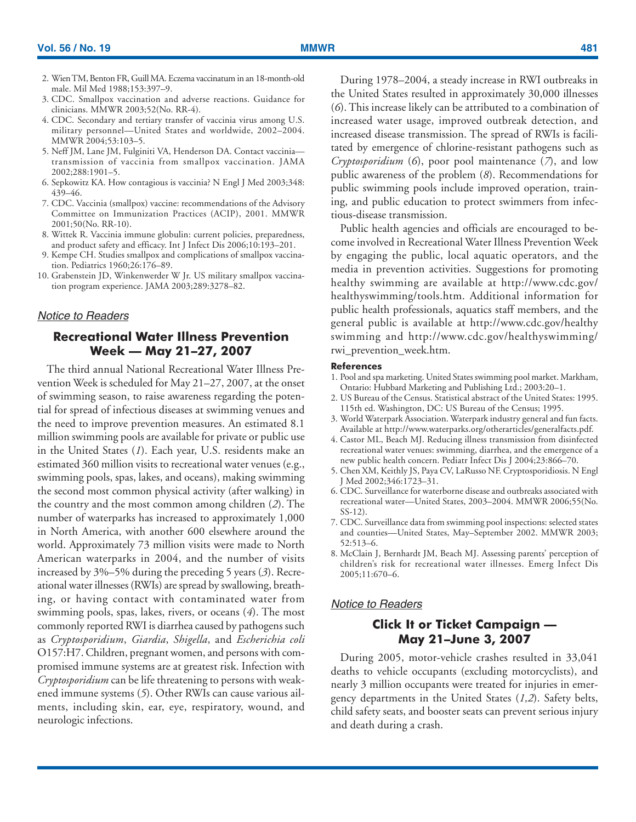- <span id="page-12-0"></span>2. Wien TM, Benton FR, Guill MA. Eczema vaccinatum in an 18-month-old male. Mil Med 1988;153:397–9.
- 3. CDC. Smallpox vaccination and adverse reactions. Guidance for clinicians. MMWR 2003;52(No. RR-4).
- 4. CDC. Secondary and tertiary transfer of vaccinia virus among U.S. military personnel—United States and worldwide, 2002–2004. MMWR 2004;53:103–5.
- 5. Neff JM, Lane JM, Fulginiti VA, Henderson DA. Contact vaccinia transmission of vaccinia from smallpox vaccination. JAMA 2002;288:1901–5.
- 6. Sepkowitz KA. How contagious is vaccinia? N Engl J Med 2003;348: 439–46.
- 7. CDC. Vaccinia (smallpox) vaccine: recommendations of the Advisory Committee on Immunization Practices (ACIP), 2001. MMWR 2001;50(No. RR-10).
- 8. Wittek R. Vaccinia immune globulin: current policies, preparedness, and product safety and efficacy. Int J Infect Dis 2006;10:193–201.
- 9. Kempe CH. Studies smallpox and complications of smallpox vaccination. Pediatrics 1960;26:176–89.
- 10. Grabenstein JD, Winkenwerder W Jr. US military smallpox vaccination program experience. JAMA 2003;289:3278–82.

## *Notice to Readers*

# **Recreational Water Illness Prevention Week — May 21–27, 2007**

The third annual National Recreational Water Illness Prevention Week is scheduled for May 21–27, 2007, at the onset of swimming season, to raise awareness regarding the potential for spread of infectious diseases at swimming venues and the need to improve prevention measures. An estimated 8.1 million swimming pools are available for private or public use in the United States (*1*). Each year, U.S. residents make an estimated 360 million visits to recreational water venues (e.g., swimming pools, spas, lakes, and oceans), making swimming the second most common physical activity (after walking) in the country and the most common among children (*2*). The number of waterparks has increased to approximately 1,000 in North America, with another 600 elsewhere around the world. Approximately 73 million visits were made to North American waterparks in 2004, and the number of visits increased by 3%–5% during the preceding 5 years (*3*). Recreational water illnesses (RWIs) are spread by swallowing, breathing, or having contact with contaminated water from swimming pools, spas, lakes, rivers, or oceans (*4*). The most commonly reported RWI is diarrhea caused by pathogens such as *Cryptosporidium*, *Giardia*, *Shigella*, and *Escherichia coli* O157:H7. Children, pregnant women, and persons with compromised immune systems are at greatest risk. Infection with *Cryptosporidium* can be life threatening to persons with weakened immune systems (*5*). Other RWIs can cause various ailments, including skin, ear, eye, respiratory, wound, and neurologic infections.

During 1978–2004, a steady increase in RWI outbreaks in the United States resulted in approximately 30,000 illnesses (*6*). This increase likely can be attributed to a combination of increased water usage, improved outbreak detection, and increased disease transmission. The spread of RWIs is facilitated by emergence of chlorine-resistant pathogens such as *Cryptosporidium* (*6*), poor pool maintenance (*7*), and low public awareness of the problem (*8*). Recommendations for public swimming pools include improved operation, training, and public education to protect swimmers from infectious-disease transmission.

Public health agencies and officials are encouraged to become involved in Recreational Water Illness Prevention Week by engaging the public, local aquatic operators, and the media in prevention activities. Suggestions for promoting healthy swimming are available at [http://www.cdc.gov/](http://www.cdc.gov/healthyswimming/tools.htm) [healthyswimming/tools.htm.](http://www.cdc.gov/healthyswimming/tools.htm) Additional information for public health professionals, aquatics staff members, and the general public is available at [http://www.cdc.gov/healthy](http://www.cdc.gov/healthyswimming) [swimming](http://www.cdc.gov/healthyswimming) and [http://www.cdc.gov/healthyswimming/](http://www.cdc.gov/healthyswimming/rwi_prevention_week.htm) [rwi\\_prevention\\_week.htm.](http://www.cdc.gov/healthyswimming/rwi_prevention_week.htm)

#### **References**

- 1. Pool and spa marketing. United States swimming pool market. Markham, Ontario: Hubbard Marketing and Publishing Ltd.; 2003:20–1.
- 2. US Bureau of the Census. Statistical abstract of the United States: 1995. 115th ed. Washington, DC: US Bureau of the Census; 1995.
- 3. World Waterpark Association. Waterpark industry general and fun facts. Available at [http://www.waterparks.org/otherarticles/generalfacts.pdf.](http://www.waterparks.org/otherarticles/generalfacts.pdf)
- 4. Castor ML, Beach MJ. Reducing illness transmission from disinfected recreational water venues: swimming, diarrhea, and the emergence of a new public health concern. Pediatr Infect Dis J 2004;23:866–70.
- 5. Chen XM, Keithly JS, Paya CV, LaRusso NF. Cryptosporidiosis. N Engl J Med 2002;346:1723–31.
- 6. CDC. Surveillance for waterborne disease and outbreaks associated with recreational water—United States, 2003–2004. MMWR 2006;55(No. SS-12).
- 7. CDC. Surveillance data from swimming pool inspections: selected states and counties—United States, May–September 2002. MMWR 2003; 52:513–6.
- 8. McClain J, Bernhardt JM, Beach MJ. Assessing parents' perception of children's risk for recreational water illnesses. Emerg Infect Dis 2005;11:670–6.

# *Notice to Readers*

# **Click It or Ticket Campaign — May 21–June 3, 2007**

During 2005, motor-vehicle crashes resulted in 33,041 deaths to vehicle occupants (excluding motorcyclists), and nearly 3 million occupants were treated for injuries in emergency departments in the United States (*1,2*). Safety belts, child safety seats, and booster seats can prevent serious injury and death during a crash.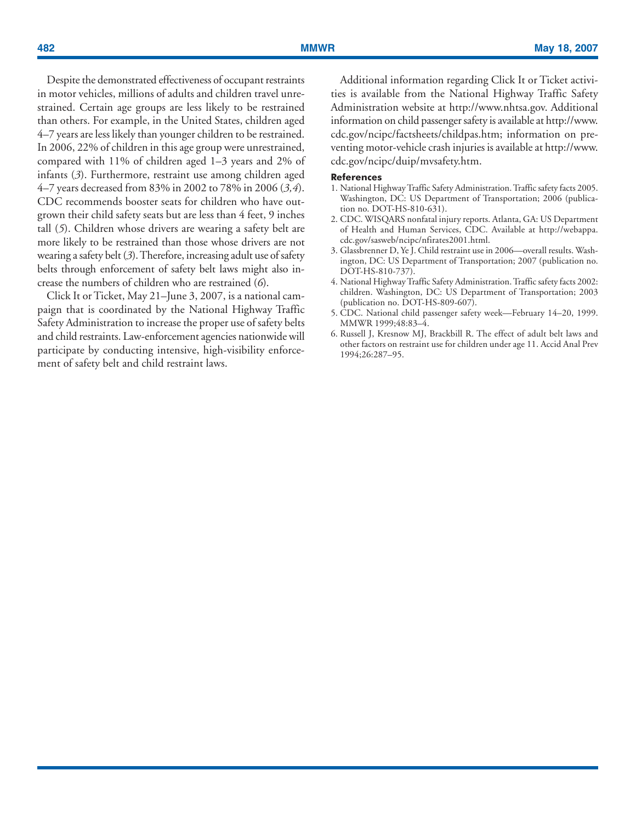Despite the demonstrated effectiveness of occupant restraints in motor vehicles, millions of adults and children travel unrestrained. Certain age groups are less likely to be restrained than others. For example, in the United States, children aged 4–7 years are less likely than younger children to be restrained. In 2006, 22% of children in this age group were unrestrained, compared with 11% of children aged 1–3 years and 2% of infants (*3*). Furthermore, restraint use among children aged 4–7 years decreased from 83% in 2002 to 78% in 2006 (*3,4*). CDC recommends booster seats for children who have outgrown their child safety seats but are less than 4 feet, 9 inches tall (*5*). Children whose drivers are wearing a safety belt are more likely to be restrained than those whose drivers are not wearing a safety belt (*3*). Therefore, increasing adult use of safety belts through enforcement of safety belt laws might also increase the numbers of children who are restrained (*6*).

Click It or Ticket, May 21–June 3, 2007, is a national campaign that is coordinated by the National Highway Traffic Safety Administration to increase the proper use of safety belts and child restraints. Law-enforcement agencies nationwide will participate by conducting intensive, high-visibility enforcement of safety belt and child restraint laws.

Additional information regarding Click It or Ticket activities is available from the National Highway Traffic Safety Administration website at [http://www.nhtsa.gov.](http://www.nhtsa.gov) Additional information on child passenger safety is available at [http://www.](http://www.cdc.gov/ncipc/factsheets/childpas.htm) [cdc.gov/ncipc/factsheets/childpas.htm;](http://www.cdc.gov/ncipc/factsheets/childpas.htm) information on preventing motor-vehicle crash injuries is available at [http://www.](http://www.cdc.gov/ncipc/duip/mvsafety.htm) [cdc.gov/ncipc/duip/mvsafety.htm.](http://www.cdc.gov/ncipc/duip/mvsafety.htm)

### **References**

- 1. National Highway Traffic Safety Administration. Traffic safety facts 2005. Washington, DC: US Department of Transportation; 2006 (publication no. DOT-HS-810-631).
- 2. CDC. WISQARS nonfatal injury reports. Atlanta, GA: US Department of Health and Human Services, CDC. Available at [http://webappa.](http://webapp.cdc.gov/sasweb/ncipc/nfirates2001.html) [cdc.gov/sasweb/ncipc/nfirates2001.html.](http://webapp.cdc.gov/sasweb/ncipc/nfirates2001.html)
- 3. Glassbrenner D, Ye J. Child restraint use in 2006—overall results. Washington, DC: US Department of Transportation; 2007 (publication no. DOT-HS-810-737).
- 4. National Highway Traffic Safety Administration. Traffic safety facts 2002: children. Washington, DC: US Department of Transportation; 2003 (publication no. DOT-HS-809-607).
- 5. CDC. National child passenger safety week—February 14–20, 1999. MMWR 1999;48:83–4.
- 6. Russell J, Kresnow MJ, Brackbill R. The effect of adult belt laws and other factors on restraint use for children under age 11. Accid Anal Prev 1994;26:287–95.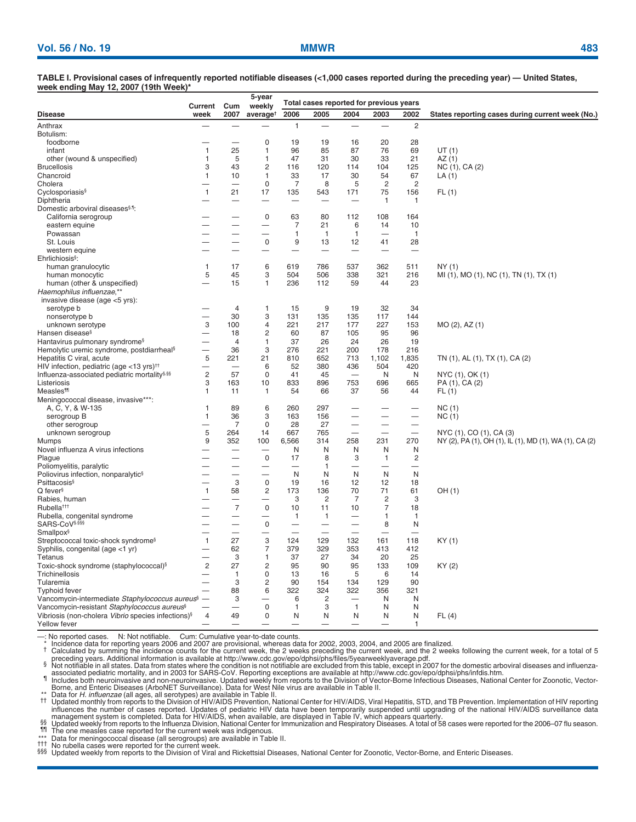**TABLE I. Provisional cases of infrequently reported notifiable diseases (<1,000 cases reported during the preceding year) — United States, week ending May 12, 2007 (19th Week)\***

|                                                                | Current                  | Cum                      | 5-year<br>weekly           |                               | Total cases reported for previous years |                          |                                |                                                      |                                                                                   |
|----------------------------------------------------------------|--------------------------|--------------------------|----------------------------|-------------------------------|-----------------------------------------|--------------------------|--------------------------------|------------------------------------------------------|-----------------------------------------------------------------------------------|
| <b>Disease</b>                                                 | week                     | 2007                     | average <sup>t</sup>       | 2006                          | 2005                                    | 2004                     | 2003                           | 2002                                                 | States reporting cases during current week (No.)                                  |
| Anthrax                                                        |                          |                          |                            | $\mathbf{1}$                  |                                         |                          | $\overline{\phantom{0}}$       | 2                                                    |                                                                                   |
| Botulism:                                                      |                          |                          |                            |                               |                                         |                          |                                |                                                      |                                                                                   |
| foodborne                                                      |                          |                          | $\mathbf 0$                | 19                            | 19                                      | 16                       | 20                             | 28                                                   |                                                                                   |
| infant                                                         | $\mathbf{1}$             | 25                       | $\mathbf{1}$               | 96                            | 85                                      | 87                       | 76                             | 69                                                   | UT(1)                                                                             |
| other (wound & unspecified)                                    | $\mathbf{1}$             | 5                        | $\mathbf{1}$               | 47                            | 31                                      | 30                       | 33                             | 21                                                   | AZ(1)                                                                             |
| <b>Brucellosis</b>                                             | 3                        | 43                       | $\overline{c}$             | 116                           | 120                                     | 114                      | 104                            | 125                                                  | NC (1), CA (2)                                                                    |
| Chancroid                                                      | $\mathbf{1}$             | 10                       | 1                          | 33                            | 17                                      | 30                       | 54                             | 67                                                   | LA (1)                                                                            |
| Cholera                                                        |                          |                          | $\mathbf 0$                | $\overline{7}$                | 8                                       | 5                        | $\overline{2}$                 | $\overline{2}$                                       |                                                                                   |
| Cyclosporiasis <sup>§</sup>                                    | $\mathbf{1}$             | 21                       | 17                         | 135                           | 543                                     | 171                      | 75                             | 156                                                  | FL(1)                                                                             |
| Diphtheria                                                     |                          |                          |                            |                               |                                         |                          | 1                              | 1                                                    |                                                                                   |
| Domestic arboviral diseases <sup>§,1</sup> :                   |                          |                          |                            |                               |                                         |                          |                                |                                                      |                                                                                   |
| California serogroup                                           |                          |                          | 0                          | 63                            | 80                                      | 112                      | 108                            | 164                                                  |                                                                                   |
| eastern equine                                                 |                          |                          |                            | $\overline{7}$                | 21                                      | 6                        | 14                             | 10                                                   |                                                                                   |
| Powassan                                                       |                          |                          | ÷,                         | 1                             | $\mathbf{1}$                            | 1                        |                                | $\mathbf{1}$                                         |                                                                                   |
| St. Louis                                                      |                          |                          | $\pmb{0}$                  | 9<br>$\overline{\phantom{0}}$ | 13                                      | 12                       | 41                             | 28                                                   |                                                                                   |
| western equine<br>Ehrlichiosis <sup>§</sup> :                  |                          |                          |                            |                               |                                         |                          |                                |                                                      |                                                                                   |
| human granulocytic                                             | $\mathbf{1}$             | 17                       | 6                          | 619                           | 786                                     | 537                      | 362                            | 511                                                  | NY(1)                                                                             |
| human monocytic                                                | 5                        | 45                       | 3                          | 504                           | 506                                     | 338                      | 321                            | 216                                                  | MI (1), MO (1), NC (1), TN (1), TX (1)                                            |
| human (other & unspecified)                                    | ÷.                       | 15                       | 1                          | 236                           | 112                                     | 59                       | 44                             | 23                                                   |                                                                                   |
| Haemophilus influenzae,**                                      |                          |                          |                            |                               |                                         |                          |                                |                                                      |                                                                                   |
| invasive disease (age <5 yrs):                                 |                          |                          |                            |                               |                                         |                          |                                |                                                      |                                                                                   |
| serotype b                                                     |                          | $\overline{4}$           | 1                          | 15                            | 9                                       | 19                       | 32                             | 34                                                   |                                                                                   |
| nonserotype b                                                  | ÷.                       | 30                       | 3                          | 131                           | 135                                     | 135                      | 117                            | 144                                                  |                                                                                   |
| unknown serotype                                               | 3                        | 100                      | $\overline{4}$             | 221                           | 217                                     | 177                      | 227                            | 153                                                  | MO (2), AZ (1)                                                                    |
| Hansen disease <sup>§</sup>                                    | $\overline{\phantom{a}}$ | 18                       | $\overline{c}$             | 60                            | 87                                      | 105                      | 95                             | 96                                                   |                                                                                   |
| Hantavirus pulmonary syndrome <sup>§</sup>                     |                          | $\overline{4}$           | $\mathbf{1}$               | 37                            | 26                                      | 24                       | 26                             | 19                                                   |                                                                                   |
| Hemolytic uremic syndrome, postdiarrheal <sup>§</sup>          | $\overline{\phantom{0}}$ | 36                       | 3                          | 276                           | 221                                     | 200                      | 178                            | 216                                                  |                                                                                   |
| Hepatitis C viral, acute                                       | 5                        | 221                      | 21                         | 810                           | 652                                     | 713                      | 1,102                          | 1,835                                                | TN (1), AL (1), TX (1), CA (2)                                                    |
| HIV infection, pediatric (age <13 yrs) <sup>††</sup>           | -                        | $\overline{\phantom{0}}$ | 6                          | 52                            | 380                                     | 436                      | 504                            | 420                                                  |                                                                                   |
| Influenza-associated pediatric mortality <sup>§,§§</sup>       | $\mathbf{2}$             | 57                       | $\mathbf 0$                | 41                            | 45                                      | $\overline{\phantom{0}}$ | N                              | N                                                    | NYC (1), OK (1)                                                                   |
| Listeriosis                                                    | 3                        | 163                      | 10                         | 833                           | 896                                     | 753                      | 696                            | 665                                                  | PA (1), CA (2)                                                                    |
| <b>Measles<sup>11</sup></b>                                    | 1                        | 11                       | 1                          | 54                            | 66                                      | 37                       | 56                             | 44                                                   | FL(1)                                                                             |
| Meningococcal disease, invasive***:                            |                          |                          |                            |                               |                                         |                          |                                |                                                      |                                                                                   |
| A, C, Y, & W-135                                               | $\overline{1}$           | 89                       | 6                          | 260                           | 297                                     |                          |                                |                                                      | NC(1)                                                                             |
| serogroup B                                                    | $\mathbf{1}$             | 36                       | 3<br>$\mathbf 0$           | 163                           | 156                                     |                          |                                | $\overline{\phantom{0}}$                             | NC(1)                                                                             |
| other serogroup                                                | ۰<br>5                   | $\overline{7}$<br>264    | 14                         | 28<br>667                     | 27<br>765                               |                          | $\overline{\phantom{0}}$<br>÷, | $\overline{\phantom{0}}$<br>$\overline{\phantom{0}}$ |                                                                                   |
| unknown serogroup<br>Mumps                                     | 9                        | 352                      | 100                        | 6,566                         | 314                                     | 258                      | 231                            | 270                                                  | NYC (1), CO (1), CA (3)<br>NY (2), PA (1), OH (1), IL (1), MD (1), WA (1), CA (2) |
| Novel influenza A virus infections                             |                          |                          |                            | N                             | N                                       | N                        | N                              | N                                                    |                                                                                   |
| Plague                                                         |                          | —                        | $\mathbf 0$                | 17                            | 8                                       | 3                        | $\mathbf{1}$                   | 2                                                    |                                                                                   |
| Poliomyelitis, paralytic                                       |                          | $\overline{\phantom{0}}$ | -                          | $\overline{\phantom{0}}$      | 1                                       | —                        | $\overline{\phantom{0}}$       | $\overline{\phantom{0}}$                             |                                                                                   |
| Poliovirus infection, nonparalytic <sup>§</sup>                |                          | —                        | $\overline{\phantom{0}}$   | N                             | N                                       | N                        | N                              | N                                                    |                                                                                   |
| <b>Psittacosis</b> <sup>§</sup>                                |                          | 3                        | $\mathbf 0$                | 19                            | 16                                      | 12                       | 12                             | 18                                                   |                                                                                   |
| Q fever <sup>§</sup>                                           | $\mathbf{1}$             | 58                       | $\overline{c}$             | 173                           | 136                                     | 70                       | 71                             | 61                                                   | OH (1)                                                                            |
| Rabies, human                                                  |                          |                          | -                          | 3                             | $\overline{2}$                          | $\overline{7}$           | $\overline{c}$                 | 3                                                    |                                                                                   |
| Rubella <sup>ttt</sup>                                         |                          | $\overline{7}$           | $\mathsf 0$                | 10                            | 11                                      | 10                       | $\overline{7}$                 | 18                                                   |                                                                                   |
| Rubella, congenital syndrome                                   |                          | -                        | —                          | $\mathbf{1}$                  | $\mathbf{1}$                            | -                        | 1                              | 1                                                    |                                                                                   |
| SARS-CoV§,§§§                                                  |                          | $\overline{\phantom{0}}$ | $\mathsf 0$                | $\overline{\phantom{0}}$      | $\overline{\phantom{0}}$                | $\overline{\phantom{0}}$ | 8                              | N                                                    |                                                                                   |
| Smallpox <sup>§</sup>                                          |                          | $\sim$                   |                            | $\overline{\phantom{0}}$      | $\overline{\phantom{0}}$                |                          |                                |                                                      |                                                                                   |
| Streptococcal toxic-shock syndrome <sup>§</sup>                | $\mathbf{1}$             | 27                       | 3                          | 124                           | 129                                     | 132                      | 161                            | 118                                                  | KY (1)                                                                            |
| Syphilis, congenital (age <1 yr)                               |                          | 62                       | $\overline{7}$             | 379                           | 329                                     | 353                      | 413                            | 412                                                  |                                                                                   |
| Tetanus                                                        |                          | 3                        | $\mathbf{1}$               | 37                            | 27                                      | 34                       | 20                             | 25                                                   |                                                                                   |
| Toxic-shock syndrome (staphylococcal) <sup>§</sup>             | $\overline{c}$           | 27                       | $\overline{c}$             | 95                            | 90                                      | 95                       | 133                            | 109                                                  | KY (2)                                                                            |
| Trichinellosis<br>Tularemia                                    | $\overline{\phantom{0}}$ | $\mathbf{1}$<br>3        | $\Omega$<br>$\overline{c}$ | 13<br>90                      | 16<br>154                               | 5<br>134                 | 6<br>129                       | 14<br>90                                             |                                                                                   |
| <b>Typhoid fever</b>                                           |                          | 88                       | 6                          | 322                           | 324                                     | 322                      | 356                            | 321                                                  |                                                                                   |
| Vancomycin-intermediate Staphylococcus aureus <sup>§</sup> -   |                          | 3                        |                            | 6                             | $\overline{2}$                          | $\overline{\phantom{0}}$ | N                              | N                                                    |                                                                                   |
| Vancomycin-resistant Staphylococcus aureus <sup>§</sup>        |                          | a.                       | $\mathsf 0$                | $\mathbf{1}$                  | 3                                       | $\overline{1}$           | N                              | N                                                    |                                                                                   |
| Vibriosis (non-cholera Vibrio species infections) <sup>§</sup> | $\overline{4}$           | 49                       | $\pmb{0}$                  | N                             | N                                       | N                        | N                              | N                                                    | FL(4)                                                                             |
| Yellow fever                                                   |                          |                          |                            |                               | -                                       |                          |                                | 1                                                    |                                                                                   |

—: No reported cases. N: Not notifiable. Cum: Cumulative year-to-date counts.<br>\* " Incidence data for reporting years 2006 and 2007 are provisional, whereas data for 2002, 2003, 2004, and 2005 are finalized.<br><sup>†</sup> Calculate

preceding years. Additional information is available a[t http://www.cdc.gov/epo/dphsi/phs/files/5yearweeklyaverage.pdf.](http://www.cdc.gov/epo/dphsi/phs/files/5yearweeklyaverage.pdf)<br>§ Not notifiable in all states. Data from states where the condition is not notifiable are excluded fr

Borne, and Enteric Diseases (ArboNET Surveillance). Data for West Nile virus are available in Table II.

\*\* Data for H. influenzae (all ages, all serotypes) are available in Table II.<br>The Updated monthly from reports to the Division of HIV/AIDS Prevention, National Center for HIV/AIDS, Viral Hepatitis, STD, and TB Prevention. influences the number of cases reported. Updates of pediatric HIV data have been temporarily suspended until upgrading of the national HIV/AIDS surveillance data<br>management system is completed. Data for HIV/AIDS, when avai

<sup>111</sup> The one measles case reported for the current week was indigenous.<br>\*\*\* Data for meningococcal disease (all serogroups) are available in Table II.<br><sup>†††</sup> No rubella cases were reported for the current week.

††† No rubella cases were reported for the current week. §§§ Updated weekly from reports to the Division of Viral and Rickettsial Diseases, National Center for Zoonotic, Vector-Borne, and Enteric Diseases.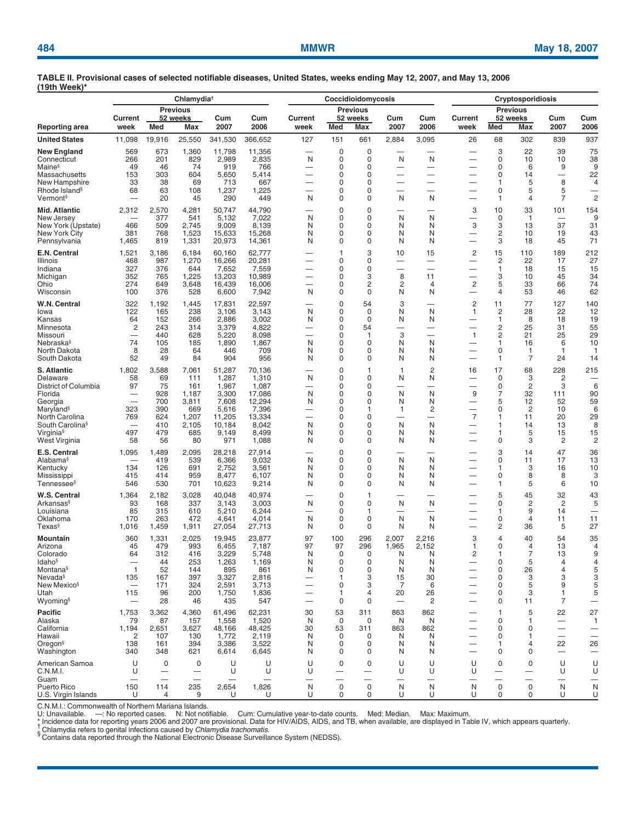|                                                                                                                                                                               | Chlamydia <sup>+</sup>                                        |                                                                   |                                                                             |                                                                                         |                                                                                            | Coccidioidomycosis                                     |                                                |                                                                        |                                                |                                                                                   | <b>Cryptosporidiosis</b>                                                                                                        |                                                                                                 |                                                        |                                                                       |                                                              |
|-------------------------------------------------------------------------------------------------------------------------------------------------------------------------------|---------------------------------------------------------------|-------------------------------------------------------------------|-----------------------------------------------------------------------------|-----------------------------------------------------------------------------------------|--------------------------------------------------------------------------------------------|--------------------------------------------------------|------------------------------------------------|------------------------------------------------------------------------|------------------------------------------------|-----------------------------------------------------------------------------------|---------------------------------------------------------------------------------------------------------------------------------|-------------------------------------------------------------------------------------------------|--------------------------------------------------------|-----------------------------------------------------------------------|--------------------------------------------------------------|
| Reporting area                                                                                                                                                                | Current<br>week                                               | Med                                                               | <b>Previous</b><br>52 weeks<br>Max                                          | Cum<br>2007                                                                             | Cum<br>2006                                                                                | Current<br>week                                        | Med                                            | <b>Previous</b><br>52 weeks<br>Max                                     | Cum<br>2007                                    | Cum<br>2006                                                                       | <b>Current</b><br>week                                                                                                          | Med                                                                                             | <b>Previous</b><br>52 weeks<br>Max                     | Cum<br>2007                                                           | Cum<br>2006                                                  |
| <b>United States</b>                                                                                                                                                          | 11,098                                                        | 19,916                                                            | 25,550                                                                      | 341,530                                                                                 | 366,652                                                                                    | 127                                                    | 151                                            | 661                                                                    | 2,884                                          | 3,095                                                                             | 26                                                                                                                              | 68                                                                                              | 302                                                    | 839                                                                   | 937                                                          |
| New England<br>Connecticut<br>Maine <sup>§</sup><br>Massachusetts<br>New Hampshire<br>Rhode Island <sup>§</sup><br>Vermont§                                                   | 569<br>266<br>49<br>153<br>33<br>68                           | 673<br>201<br>46<br>303<br>38<br>63<br>20                         | 1,360<br>829<br>74<br>604<br>69<br>108<br>45                                | 11,798<br>2,989<br>919<br>5,650<br>713<br>1,237<br>290                                  | 11,356<br>2,835<br>766<br>5,414<br>667<br>1,225<br>449                                     | N<br>–<br>$\overline{\phantom{0}}$<br>N                | $\mathbf 0$<br>0<br>0<br>0<br>0<br>0<br>0      | 0<br>$\Omega$<br>0<br>$\Omega$<br>0<br>0<br>0                          | N<br>-<br>$\overline{\phantom{0}}$<br>N        | N<br>-<br>-<br>$\overline{\phantom{0}}$<br>-<br>N                                 | —<br>-<br>$\overline{\phantom{0}}$<br>$\overline{\phantom{0}}$<br>—                                                             | 3<br>$\mathbf 0$<br>0<br>0<br>1<br>0<br>$\mathbf{1}$                                            | 22<br>10<br>6<br>14<br>5<br>5<br>4                     | 39<br>10<br>9<br>$\overline{\phantom{0}}$<br>8<br>5<br>$\overline{7}$ | 75<br>38<br>9<br>22<br>4<br>$\overline{c}$                   |
| Mid. Atlantic<br>New Jersey<br>New York (Upstate)<br>New York City<br>Pennsylvania                                                                                            | 2,312<br>466<br>381<br>1,465                                  | 2,570<br>377<br>509<br>768<br>819                                 | 4,281<br>541<br>2,745<br>1,523<br>1,331                                     | 50,747<br>5,132<br>9,009<br>15,633<br>20,973                                            | 44,790<br>7,022<br>8,139<br>15,268<br>14,361                                               | N<br>N<br>N<br>N                                       | 0<br>0<br>0<br>0<br>0                          | 0<br>0<br>0<br>0<br>0                                                  | -<br>N<br>N<br>N<br>N                          | -<br>N<br>N<br>N<br>N                                                             | 3<br>—<br>3<br>$\overline{\phantom{0}}$<br>—                                                                                    | 10<br>$\mathbf 0$<br>3<br>2<br>3                                                                | 33<br>$\mathbf{1}$<br>13<br>10<br>18                   | 101<br>-<br>37<br>19<br>45                                            | 154<br>9<br>31<br>43<br>71                                   |
| E.N. Central<br>Illinois<br>Indiana<br>Michigan<br>Ohio<br>Wisconsin                                                                                                          | 1,521<br>468<br>327<br>352<br>274<br>100                      | 3,186<br>987<br>376<br>765<br>649<br>376                          | 6,184<br>1,270<br>644<br>1,225<br>3,648<br>528                              | 60,160<br>16,266<br>7,652<br>13,203<br>16,439<br>6,600                                  | 62,777<br>20,281<br>7,559<br>10,989<br>16,006<br>7,942                                     | —<br>—<br>N                                            | 1<br>0<br>0<br>0<br>0<br>0                     | 3<br>0<br>0<br>3<br>2<br>0                                             | 10<br>—<br>8<br>2<br>N                         | 15<br>—<br>$\overline{\phantom{0}}$<br>11<br>$\overline{4}$<br>N                  | 2<br>—<br>—<br>—<br>2<br>—                                                                                                      | 15<br>2<br>$\mathbf{1}$<br>3<br>5<br>4                                                          | 110<br>22<br>18<br>10<br>33<br>53                      | 189<br>17<br>15<br>45<br>66<br>46                                     | 212<br>27<br>15<br>34<br>74<br>62                            |
| W.N. Central<br>lowa<br>Kansas<br>Minnesota<br>Missouri<br>Nebraska <sup>§</sup><br>North Dakota<br>South Dakota                                                              | 322<br>122<br>64<br>$\overline{c}$<br>74<br>8<br>52           | 1,192<br>165<br>152<br>243<br>440<br>105<br>28<br>49              | 1,445<br>238<br>266<br>314<br>628<br>185<br>64<br>84                        | 17,831<br>3,106<br>2,886<br>3,379<br>5,220<br>1,890<br>446<br>904                       | 22,597<br>3,143<br>3,002<br>4,822<br>8,098<br>1,867<br>709<br>956                          | N<br>N<br>—<br>N<br>N<br>N                             | 0<br>0<br>0<br>0<br>0<br>0<br>0<br>0           | 54<br>$\Omega$<br>$\Omega$<br>54<br>$\mathbf{1}$<br>$\Omega$<br>0<br>0 | 3<br>N<br>N<br>-<br>3<br>N<br>N<br>N           | N<br>N<br>-<br>÷.<br>N<br>N<br>N                                                  | 2<br>$\mathbf{1}$<br>$\overline{\phantom{0}}$<br>—<br>$\mathbf{1}$<br>$\overline{\phantom{0}}$<br>-<br>$\overline{\phantom{0}}$ | 11<br>$\overline{c}$<br>$\mathbf{1}$<br>$\overline{c}$<br>$\overline{c}$<br>1<br>$\pmb{0}$<br>1 | 77<br>28<br>8<br>25<br>21<br>16<br>1<br>$\overline{7}$ | 127<br>22<br>18<br>31<br>25<br>6<br>$\mathbf{1}$<br>24                | 140<br>12<br>19<br>55<br>29<br>10<br>-1<br>14                |
| S. Atlantic<br>Delaware<br>District of Columbia<br>Florida<br>Georgia<br>Maryland <sup>§</sup><br>North Carolina<br>South Carolina <sup>§</sup><br>Virginia§<br>West Virginia | 1,802<br>58<br>97<br>$\equiv$<br>323<br>769<br>-<br>497<br>58 | 3,588<br>69<br>75<br>928<br>700<br>390<br>624<br>410<br>479<br>56 | 7,061<br>111<br>161<br>1,187<br>3,811<br>669<br>1,207<br>2,105<br>685<br>80 | 51,287<br>1,287<br>1,967<br>3,300<br>7,608<br>5,616<br>11,205<br>10,184<br>9,149<br>971 | 70,136<br>1,310<br>1,087<br>17,086<br>12,294<br>7,396<br>13,334<br>8,042<br>8,499<br>1,088 | N<br>N<br>N<br>$\overline{\phantom{0}}$<br>N<br>N<br>N | 0<br>0<br>0<br>0<br>0<br>0<br>0<br>0<br>0<br>0 | 1<br>0<br>0<br>0<br>0<br>1<br>0<br>0<br>0<br>0                         | 1<br>N<br>N<br>N<br>1<br>-<br>N<br>N<br>N      | $\overline{c}$<br>N<br>-<br>N<br>N<br>$\overline{\mathbf{c}}$<br>-<br>N<br>N<br>N | 16<br>-<br>9<br>$\overline{\phantom{0}}$<br>—<br>$\overline{7}$<br>—<br>—<br>$\overline{\phantom{0}}$                           | 17<br>0<br>0<br>7<br>5<br>0<br>1<br>$\mathbf{1}$<br>$\mathbf{1}$<br>0                           | 68<br>3<br>2<br>32<br>12<br>2<br>11<br>14<br>5<br>3    | 228<br>2<br>3<br>111<br>52<br>10<br>20<br>13<br>15<br>$\overline{c}$  | 215<br>6<br>90<br>59<br>6<br>29<br>8<br>15<br>$\overline{c}$ |
| E.S. Central<br>Alabama§<br>Kentucky<br>Mississippi<br>Tennessee§                                                                                                             | 1,095<br>134<br>415<br>546                                    | 1,489<br>419<br>126<br>414<br>530                                 | 2,095<br>539<br>691<br>959<br>701                                           | 28,218<br>6,366<br>2,752<br>8,477<br>10,623                                             | 27,914<br>9,032<br>3,561<br>6,107<br>9,214                                                 | N<br>N<br>N<br>N                                       | 0<br>0<br>0<br>0<br>0                          | 0<br>0<br>0<br>0<br>0                                                  | N<br>N<br>N<br>N                               | N<br>N<br>N<br>N                                                                  | -<br>—<br>—<br>—                                                                                                                | 3<br>0<br>1<br>0<br>$\mathbf{1}$                                                                | 14<br>11<br>3<br>8<br>5                                | 47<br>17<br>16<br>8<br>6                                              | 36<br>13<br>10<br>3<br>10                                    |
| W.S. Central<br>Arkansas§<br>Louisiana<br>Oklahoma<br>Texas <sup>§</sup>                                                                                                      | 1,364<br>93<br>85<br>170<br>1,016                             | 2,182<br>168<br>315<br>263<br>1,459                               | 3,028<br>337<br>610<br>472<br>1,911                                         | 40,048<br>3,143<br>5,210<br>4,641<br>27,054                                             | 40,974<br>3,003<br>6,244<br>4,014<br>27,713                                                | N<br>—<br>N<br>N                                       | 0<br>0<br>0<br>0<br>0                          | $\overline{1}$<br>0<br>1<br>0<br>0                                     | N<br>N<br>N                                    | N<br>-<br>N<br>N                                                                  | —<br>—<br>—                                                                                                                     | 5<br>0<br>1<br>0<br>$\overline{c}$                                                              | 45<br>$\overline{c}$<br>9<br>4<br>36                   | 32<br>$\overline{\mathbf{c}}$<br>14<br>11<br>5                        | 43<br>5<br>-<br>11<br>27                                     |
| Mountain<br>Arizona<br>Colorado<br>ldaho <sup>§</sup><br>Montana§<br>Nevada <sup>§</sup><br>New Mexico <sup>§</sup><br>Utah<br>Wyoming <sup>§</sup>                           | 360<br>45<br>64<br>$\mathbf{1}$<br>135<br>115                 | 1,331<br>479<br>312<br>44<br>52<br>167<br>171<br>96<br>28         | 2,025<br>993<br>416<br>253<br>144<br>397<br>324<br>200<br>46                | 19,945<br>6,455<br>3,229<br>1,263<br>895<br>3,327<br>2,591<br>1,750<br>435              | 23,877<br>7,187<br>5,748<br>1,169<br>861<br>2,816<br>3,713<br>1,836<br>547                 | 97<br>97<br>N<br>N<br>N<br>$\overline{\phantom{0}}$    | 100<br>97<br>0<br>0<br>0<br>1<br>0<br>1<br>0   | 296<br>296<br>0<br>0<br>0<br>3<br>3<br>4<br>0                          | 2,007<br>1,965<br>N<br>N<br>N<br>15<br>7<br>20 | 2,216<br>2,152<br>N<br>N<br>N<br>30<br>6<br>26<br>$\overline{c}$                  | 3<br>1<br>2<br>—<br>$\overline{\phantom{0}}$<br>—<br>$\overline{\phantom{0}}$                                                   | 4<br>0<br>1<br>0<br>0<br>0<br>0<br>0<br>0                                                       | 40<br>4<br>7<br>5<br>26<br>3<br>5<br>3<br>11           | 54<br>13<br>13<br>4<br>4<br>3<br>9<br>$\mathbf{1}$<br>7               | 35<br>4<br>9<br>4<br>5<br>3<br>5<br>5                        |
| Pacific<br>Alaska<br>California<br>Hawaii<br>Oregon <sup>§</sup><br>Washington                                                                                                | 1,753<br>79<br>1,194<br>2<br>138<br>340                       | 3,362<br>87<br>2,651<br>107<br>161<br>348                         | 4,360<br>157<br>3,627<br>130<br>394<br>621                                  | 61,496<br>1,558<br>48,166<br>1,772<br>3,386<br>6,614                                    | 62,231<br>1,520<br>48,425<br>2,119<br>3,522<br>6,645                                       | 30<br>N<br>30<br>N<br>N<br>N                           | 53<br>0<br>53<br>0<br>0<br>0                   | 311<br>0<br>311<br>0<br>0<br>0                                         | 863<br>N<br>863<br>N<br>N<br>N                 | 862<br>N<br>862<br>N<br>N<br>N                                                    | —<br>—                                                                                                                          | $\mathbf{1}$<br>0<br>0<br>0<br>1<br>0                                                           | 5<br>$\mathbf 1$<br>0<br>1<br>4<br>0                   | 22<br>$\overline{\phantom{0}}$<br>22<br>$\overline{\phantom{m}}$      | 27<br>$\mathbf{1}$<br>26<br>-                                |
| American Samoa<br>C.N.M.I.<br>Guam<br>Puerto Rico<br>U.S. Virgin Islands                                                                                                      | U<br>U<br>$\overline{\phantom{0}}$<br>150<br>U                | 0<br>$\overline{\phantom{0}}$<br>114<br>4                         | 0<br>$\overline{\phantom{0}}$<br>235<br>9                                   | U<br>U<br>2,654<br>U                                                                    | U<br>U<br>1,826<br>U                                                                       | U<br>U<br>—<br>N<br>U                                  | $\mathbf 0$<br>$\mathbf 0$<br>0                | $\mathbf 0$<br>-<br>—<br>$\mathsf 0$<br>0                              | U<br>U<br>$\overline{\phantom{0}}$<br>N<br>U   | U<br>U<br>$\overline{\phantom{0}}$<br>N<br>U                                      | U<br>U<br>$\overline{\phantom{0}}$<br>N<br>U                                                                                    | 0<br>-<br>$\mathbf 0$<br>0                                                                      | 0<br>—<br>$\pmb{0}$<br>0                               | U<br>U<br>$\mathsf{N}$<br>U                                           | U<br>U<br>N<br>U                                             |

C.N.M.I.: Commonwealth of Northern Mariana Islands.

U: Unavailable. —: No reported cases. N: Not notifiable. Cum: Cumulative year-to-date counts. Med: Median. Max: Maximum.<br>\* Incidence data for reporting years 2006 and 2007 are provisional. Data for HIV/A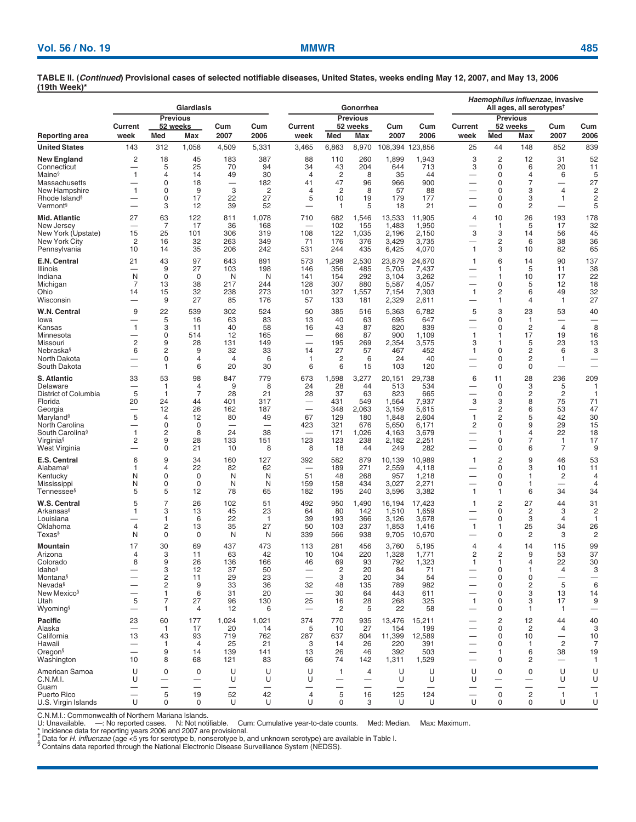|                                                |                                |                     | Giardiasis                    |                               |                                |                                       | Gonorrhea                     |                               |                               | Haemophilus influenzae, invasive<br>All ages, all serotypes <sup>t</sup> |                                                      |                               |                               |                                            |                |
|------------------------------------------------|--------------------------------|---------------------|-------------------------------|-------------------------------|--------------------------------|---------------------------------------|-------------------------------|-------------------------------|-------------------------------|--------------------------------------------------------------------------|------------------------------------------------------|-------------------------------|-------------------------------|--------------------------------------------|----------------|
|                                                | Current                        |                     | <b>Previous</b><br>52 weeks   | Cum                           | Cum                            | Current                               |                               | <b>Previous</b><br>52 weeks   | Cum                           | Cum                                                                      | Current                                              |                               | <b>Previous</b><br>52 weeks   | Cum                                        | Cum            |
| Reporting area                                 | week                           | Med                 | Max                           | 2007                          | 2006                           | week                                  | Med                           | Max                           | 2007                          | 2006                                                                     | week                                                 | Med                           | Max                           | 2007                                       | 2006           |
| <b>United States</b>                           | 143                            | 312                 | 1,058                         | 4,509                         | 5,331                          | 3,465                                 | 6,863                         | 8,970                         | 108,394                       | 123,856                                                                  | 25                                                   | 44                            | 148                           | 852                                        | 839            |
| New England                                    | 2<br>$\overline{\phantom{0}}$  | 18                  | 45                            | 183                           | 387                            | 88                                    | 110                           | 260                           | 1,899                         | 1,943                                                                    | 3                                                    | $\overline{c}$                | 12                            | 31                                         | 52             |
| Connecticut<br>Maine§                          | 1                              | 5<br>4              | 25<br>14                      | 70<br>49                      | 94<br>30                       | 34<br>$\overline{4}$                  | 43<br>$\overline{2}$          | 204<br>8                      | 644<br>35                     | 713<br>44                                                                | 3<br>-                                               | 0<br>0                        | 6<br>4                        | 20<br>6                                    | 11<br>5        |
| Massachusetts                                  |                                | 0                   | 18                            | 3                             | 182                            | 41                                    | 47                            | 96                            | 966                           | 900                                                                      | —                                                    | 0                             | 7                             | $\overline{\phantom{0}}$<br>$\overline{4}$ | 27             |
| New Hampshire<br>Rhode Island <sup>§</sup>     | $\mathbf{1}$                   | 0<br>0              | 9<br>17                       | 22                            | 2<br>27                        | 4<br>5                                | $\overline{c}$<br>10          | 8<br>19                       | 57<br>179                     | 88<br>177                                                                | —                                                    | 0<br>0                        | 3<br>3                        | 1                                          | 2<br>2         |
| Vermont§                                       | —                              | 3                   | 12                            | 39                            | 52                             |                                       | $\mathbf{1}$                  | 5                             | 18                            | 21                                                                       | —                                                    | 0                             | 2                             |                                            | 5              |
| Mid. Atlantic                                  | 27                             | 63                  | 122                           | 811                           | 1,078                          | 710                                   | 682                           | 1,546                         | 13,533                        | 11,905                                                                   | 4                                                    | 10                            | 26                            | 193                                        | 178            |
| New Jersey<br>New York (Upstate)               | 15                             | 7<br>25             | 17<br>101                     | 36<br>306                     | 168<br>319                     | $\overline{\phantom{0}}$<br>108       | 102<br>122                    | 155<br>1,035                  | 1,483<br>2,196                | 1,950<br>2,150                                                           | —<br>3                                               | $\mathbf{1}$<br>3             | 5<br>14                       | 17<br>56                                   | 32<br>45       |
| New York City                                  | 2                              | 16                  | 32                            | 263                           | 349                            | 71                                    | 176                           | 376                           | 3,429                         | 3,735                                                                    |                                                      | 2                             | 6                             | 38                                         | 36             |
| Pennsylvania                                   | 10                             | 14                  | 35                            | 206                           | 242                            | 531                                   | 244                           | 435                           | 6,425                         | 4,070                                                                    | $\mathbf{1}$                                         | 3                             | 10                            | 82                                         | 65             |
| E.N. Central<br>Illinois                       | 21                             | 43<br>9             | 97<br>27                      | 643<br>103                    | 891<br>198                     | 573<br>146                            | 1,298<br>356                  | 2,530<br>485                  | 23,879<br>5,705               | 24,670<br>7,437                                                          | 1                                                    | 6<br>$\mathbf 1$              | 14<br>5                       | 90<br>11                                   | 137<br>38      |
| Indiana                                        | N                              | $\mathbf 0$         | 0                             | N                             | N                              | 141                                   | 154                           | 292                           | 3,104                         | 3,262                                                                    | —                                                    | 1                             | 10                            | 17                                         | 22             |
| Michigan<br>Ohio                               | 7<br>14                        | 13<br>15            | 38<br>32                      | 217<br>238                    | 244<br>273                     | 128<br>101                            | 307<br>327                    | 880<br>1,557                  | 5,587<br>7,154                | 4,057<br>7,303                                                           | -<br>$\mathbf{1}$                                    | 0<br>2                        | 5<br>6                        | 12<br>49                                   | 18<br>32       |
| Wisconsin                                      | _                              | 9                   | 27                            | 85                            | 176                            | 57                                    | 133                           | 181                           | 2,329                         | 2,611                                                                    | —                                                    | 1                             | $\overline{4}$                | $\mathbf{1}$                               | 27             |
| W.N. Central                                   | 9                              | 22                  | 539                           | 302                           | 524                            | 50                                    | 385                           | 516                           | 5,363                         | 6,782                                                                    | 5                                                    | 3                             | 23                            | 53                                         | 40             |
| lowa<br>Kansas                                 | 1                              | 5<br>3              | 16<br>11                      | 63<br>40                      | 83<br>58                       | 13<br>16                              | 40<br>43                      | 63<br>87                      | 695<br>820                    | 647<br>839                                                               | —                                                    | 0<br>0                        | $\mathbf{1}$<br>2             | -<br>$\overline{4}$                        | 8              |
| Minnesota                                      | —                              | 0                   | 514                           | 12                            | 165                            |                                       | 66                            | 87                            | 900                           | 1,109                                                                    | $\mathbf{1}$                                         | $\mathbf 1$                   | 17                            | 19                                         | 16             |
| Missouri<br>Nebraska§                          | 2<br>6                         | 9<br>2              | 28<br>9                       | 131<br>32                     | 149<br>33                      | 14                                    | 195<br>27                     | 269<br>57                     | 2,354<br>467                  | 3,575<br>452                                                             | 3<br>1                                               | $\mathbf 1$<br>0              | 5<br>2                        | 23<br>6                                    | 13<br>3        |
| North Dakota                                   | —                              | 0                   | 4                             | $\overline{4}$                | 6                              | 1                                     | $\overline{c}$                | 6                             | 24                            | 40                                                                       | —                                                    | 0                             | 2                             | 1                                          | -              |
| South Dakota                                   |                                | 1                   | 6                             | 20                            | 30                             | 6                                     | 6                             | 15                            | 103                           | 120                                                                      |                                                      | 0                             | 0                             | $\overline{\phantom{0}}$                   |                |
| S. Atlantic<br>Delaware                        | 33<br>$\overline{\phantom{0}}$ | 53<br>1             | 98<br>4                       | 847<br>9                      | 779<br>8                       | 673<br>24                             | 1,598<br>28                   | 3,277<br>44                   | 20,151<br>513                 | 29,738<br>534                                                            | 6<br>—                                               | 11<br>0                       | 28<br>3                       | 236<br>5                                   | 209<br>1       |
| District of Columbia                           | 5                              | 1                   | $\overline{7}$                | 28                            | 21                             | 28                                    | 37                            | 63                            | 823                           | 665                                                                      |                                                      | 0                             | 2                             | $\overline{c}$                             | 1              |
| Florida<br>Georgia                             | 20                             | 24<br>12            | 44<br>26                      | 401<br>162                    | 317<br>187                     | -                                     | 431<br>348                    | 549<br>2,063                  | 1,564<br>3,159                | 7,937<br>5,615                                                           | 3                                                    | 3<br>$\overline{c}$           | 8<br>6                        | 75<br>53                                   | 71<br>47       |
| Maryland <sup>§</sup>                          | 5                              | 4                   | 12                            | 80                            | 49                             | 67                                    | 129                           | 180                           | 1,848                         | 2,604                                                                    | $\mathbf{1}$                                         | 2                             | 5                             | 42                                         | 30             |
| North Carolina<br>South Carolina <sup>§</sup>  | 1                              | 0<br>2              | 0<br>8                        | 24                            | $\overline{\phantom{0}}$<br>38 | 423<br>$\overline{\phantom{0}}$       | 321<br>171                    | 676<br>1,026                  | 5,650<br>4,163                | 6,171<br>3,679                                                           | 2<br>—                                               | 0<br>1                        | 9<br>4                        | 29<br>22                                   | 15<br>18       |
| Virginia <sup>§</sup>                          | 2                              | 9                   | 28                            | 133                           | 151                            | 123                                   | 123                           | 238                           | 2,182                         | 2,251                                                                    | -                                                    | 0                             | 7                             | 1                                          | 17             |
| West Virginia                                  |                                | 0                   | 21                            | 10                            | 8                              | 8                                     | 18                            | 44                            | 249                           | 282                                                                      | —                                                    | 0                             | 6                             | $\overline{7}$                             | 9              |
| E.S. Central<br>Alabama§                       | 6<br>1                         | 9<br>4              | 34<br>22                      | 160<br>82                     | 127<br>62                      | 392                                   | 582<br>189                    | 879<br>271                    | 10,139<br>2,559               | 10,989<br>4,118                                                          | $\mathbf{1}$<br>_                                    | 2<br>0                        | 9<br>3                        | 46<br>10                                   | 53<br>11       |
| Kentucky                                       | N                              | 0                   | 0                             | N                             | N                              | 51                                    | 48                            | 268                           | 957                           | 1,218                                                                    | —                                                    | 0                             | 1                             | 2                                          | 4              |
| Mississippi<br>Tennessee§                      | N<br>5                         | 0<br>5              | 0<br>12                       | N<br>78                       | N<br>65                        | 159<br>182                            | 158<br>195                    | 434<br>240                    | 3,027<br>3,596                | 2,271<br>3,382                                                           | $\mathbf{1}$                                         | 0<br>1                        | 1<br>6                        | $\overline{\phantom{0}}$<br>34             | 4<br>34        |
| W.S. Central                                   | 5                              | 7                   | 26                            | 102                           | 51                             | 492                                   | 950                           | 1,490                         | 16,194                        | 17,423                                                                   | 1                                                    | 2                             | 27                            | 44                                         | 31             |
| Arkansas§                                      | 1                              | 3                   | 13                            | 45                            | 23                             | 64                                    | 80                            | 142                           | 1,510                         | 1,659                                                                    |                                                      | 0                             | 2                             | 3                                          | 2              |
| Louisiana<br>Oklahoma                          | 4                              | 1<br>2              | 6<br>13                       | 22<br>35                      | $\mathbf{1}$<br>27             | 39<br>50                              | 193<br>103                    | 366<br>237                    | 3,126<br>1,853                | 3,678<br>1,416                                                           | $\mathbf{1}$                                         | 0<br>$\mathbf 1$              | 3<br>25                       | $\overline{4}$<br>34                       | 1<br>26        |
| Texas§                                         | N                              | 0                   | 0                             | N                             | N                              | 339                                   | 566                           | 938                           | 9,705                         | 10,670                                                                   |                                                      | 0                             | 2                             | 3                                          | 2              |
| Mountain                                       | 17                             | 30                  | 69                            | 437                           | 473                            | 113                                   | 281                           | 456                           | 3,760                         | 5,195                                                                    | 4                                                    | 4                             | 14                            | 115                                        | 99             |
| Arizona                                        | 4                              | 3                   | 11                            | 63                            | 42                             | 10                                    | 104                           | 220                           | 1,328                         | 1,771                                                                    | 2                                                    | 2                             | 9                             | 53                                         | 37             |
| Colorado<br>ldaho <sup>§</sup>                 | 8                              | 9<br>3              | 26<br>12                      | 136<br>37                     | 166<br>50                      | 46<br>$\hspace{0.1mm}-\hspace{0.1mm}$ | 69<br>$\overline{c}$          | 93<br>20                      | 792<br>84                     | 1,323<br>71                                                              | 1<br>—                                               | 0                             | 4<br>$\mathbf{1}$             | 22<br>4                                    | 30<br>3        |
| Montana§                                       |                                | $\overline{c}$      | 11                            | 29                            | 23                             |                                       | 3                             | 20                            | 34                            | 54                                                                       | $\overline{\phantom{0}}$                             | 0                             | 0                             |                                            |                |
| Nevada <sup>§</sup><br>New Mexico <sup>s</sup> | —<br>—                         | $\overline{c}$<br>1 | 9<br>6                        | 33<br>31                      | 36<br>20                       | 32<br>$\overline{\phantom{0}}$        | 48<br>30                      | 135<br>64                     | 789<br>443                    | 982<br>611                                                               | -<br>-                                               | 0<br>0                        | 2<br>3                        | $\mathbf 5$<br>13                          | 6<br>14        |
| Utah                                           | 5                              | 7                   | 27                            | 96                            | 130                            | 25                                    | 16                            | 28                            | 268                           | 325                                                                      | $\mathbf{1}$                                         | 0                             | 3                             | 17                                         | 9              |
| Wyoming <sup>§</sup>                           | $\overline{\phantom{0}}$       | 1                   | 4                             | 12                            | 6                              | $\overline{\phantom{0}}$              | 2                             | 5                             | 22                            | 58                                                                       |                                                      | 0                             | $\mathbf{1}$                  | $\mathbf{1}$                               | -              |
| Pacific<br>Alaska                              | 23                             | 60<br>$\mathbf{1}$  | 177<br>17                     | 1,024<br>20                   | 1,021<br>14                    | 374<br>5                              | 770<br>10                     | 935<br>27                     | 13,476<br>154                 | 15,211<br>199                                                            |                                                      | $\overline{2}$<br>0           | 12<br>$\overline{2}$          | 44<br>4                                    | 40<br>3        |
| California                                     | 13                             | 43                  | 93                            | 719                           | 762                            | 287                                   | 637                           | 804                           | 11,399                        | 12,589                                                                   | —                                                    | 0                             | 10                            | $\overline{\phantom{m}}$                   | 10             |
| Hawaii<br>Oregon§                              | —                              | $\mathbf{1}$<br>9   | $\overline{4}$<br>14          | 25<br>139                     | 21<br>141                      | 3<br>13                               | 14<br>26                      | 26<br>46                      | 220<br>392                    | 391<br>503                                                               | $\overline{\phantom{0}}$<br>$\overline{\phantom{0}}$ | 0<br>1                        | 1<br>6                        | $\overline{c}$<br>38                       | 7<br>19        |
| Washington                                     | 10                             | 8                   | 68                            | 121                           | 83                             | 66                                    | 74                            | 142                           | 1,311                         | 1,529                                                                    | —                                                    | 0                             | 2                             | $\overline{\phantom{0}}$                   | $\mathbf{1}$   |
| American Samoa                                 | U                              | 0                   | 0                             | U                             | U                              | U                                     | $\mathbf{1}$                  | 4                             | U                             | U                                                                        | U                                                    | 0                             | 0                             | U                                          | U              |
| C.N.M.I.<br>Guam                               | U                              | —                   | —<br>$\overline{\phantom{m}}$ | U<br>$\overline{\phantom{0}}$ | U<br>—                         | U                                     | —<br>$\overline{\phantom{0}}$ | -<br>$\overline{\phantom{0}}$ | U<br>$\overline{\phantom{0}}$ | U<br>$\overline{\phantom{0}}$                                            | U                                                    | —<br>$\overline{\phantom{0}}$ | —<br>$\overline{\phantom{0}}$ | U                                          | U              |
| Puerto Rico                                    | —                              | 5                   | 19                            | 52                            | 42                             | 4                                     | 5                             | 16                            | 125                           | 124                                                                      | U                                                    | 0                             | $\overline{c}$                | $\mathbf{1}$                               | $\overline{1}$ |
| U.S. Virgin Islands                            | U                              | 0                   | 0                             | U                             | U                              | U                                     | 0                             | 3                             | U                             | U                                                                        |                                                      | 0                             | 0                             | U                                          | U              |

C.N.M.I.: Commonwealth of Northern Mariana Islands.<br>U: Unavailable. —: No reported cases. N: Not noti U: Unavailable. —: No reported cases. N: Not notifiable. Cum: Cumulative year-to-date counts. Med: Median. Max: Maximum.

Contains data for reporting years 2006 and 2007 are provisional.<br>
Thickence data for reporting years 2006 and 2007 are provisional.<br>
Thickence data for *H. influenzae* (age <5 yrs for serotype b, nonserotype b, and unknown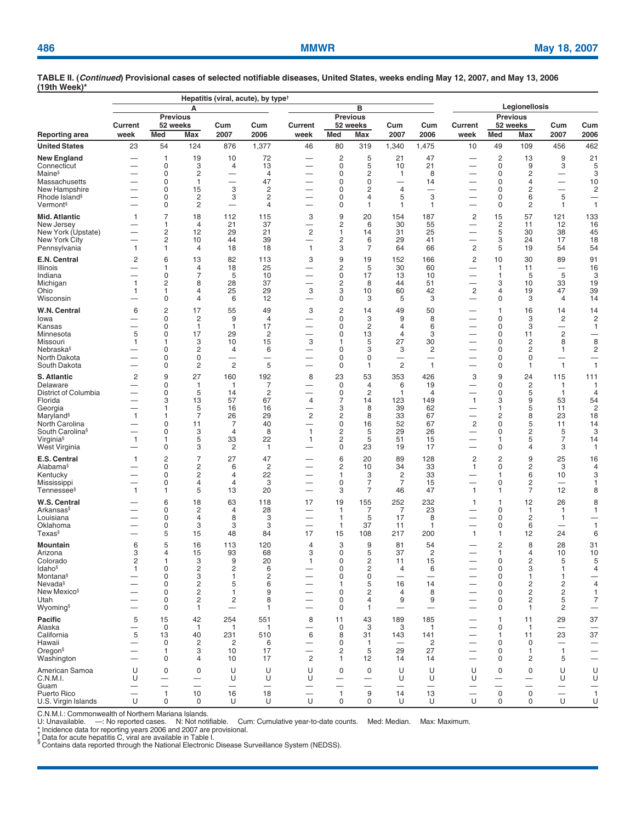|                                               |                               |                         | А                            |                                                      | Hepatitis (viral, acute), by type <sup><math>\dagger</math></sup> |                               |                               |                                |                                            | Legionellosis                            |                                |                                |                                                 |                                               |                                          |
|-----------------------------------------------|-------------------------------|-------------------------|------------------------------|------------------------------------------------------|-------------------------------------------------------------------|-------------------------------|-------------------------------|--------------------------------|--------------------------------------------|------------------------------------------|--------------------------------|--------------------------------|-------------------------------------------------|-----------------------------------------------|------------------------------------------|
|                                               |                               |                         |                              | в<br><b>Previous</b>                                 |                                                                   |                               |                               |                                | <b>Previous</b>                            |                                          |                                |                                |                                                 |                                               |                                          |
|                                               | Current                       |                         | <b>Previous</b><br>52 weeks  | Cum                                                  | Cum                                                               | <b>Current</b>                |                               | 52 weeks                       | Cum                                        | Cum                                      | Current                        |                                | 52 weeks                                        | Cum                                           | Cum                                      |
| <b>Reporting area</b><br><b>United States</b> | week<br>23                    | Med<br>54               | Max<br>124                   | 2007<br>876                                          | 2006<br>1,377                                                     | week<br>46                    | Med<br>80                     | Max<br>319                     | 2007<br>1,340                              | 2006<br>1,475                            | week<br>10                     | Med<br>49                      | Max<br>109                                      | 2007<br>456                                   | 2006<br>462                              |
| <b>New England</b>                            |                               | 1                       | 19                           | 10                                                   | 72                                                                | —                             | $\overline{c}$                | 5                              | 21                                         | 47                                       | —                              | $\overline{c}$                 | 13                                              | 9                                             | 21                                       |
| Connecticut                                   |                               | 0                       | 3                            | 4                                                    | 13                                                                | $\qquad \qquad -$             | $\pmb{0}$                     | 5                              | 10                                         | 21                                       | —                              | $\pmb{0}$                      | 9                                               | 3                                             | 5                                        |
| Maine <sup>§</sup>                            |                               | 0<br>0                  | 2                            | $\overline{\phantom{0}}$<br>$\overline{\phantom{0}}$ | 4                                                                 | —<br>—                        | $\mathbf 0$<br>$\pmb{0}$      | $\overline{c}$<br>$\mathbf 0$  | $\overline{1}$                             | 8                                        | —                              | $\mathbf 0$<br>0               | $\overline{\mathbf{c}}$<br>$\overline{4}$       | $\overline{\phantom{0}}$                      | 3                                        |
| Massachusetts<br>New Hampshire                |                               | 0                       | $\mathbf{1}$<br>15           | 3                                                    | 47<br>2                                                           |                               | 0                             | $\overline{c}$                 | $\overline{\phantom{0}}$<br>$\overline{4}$ | 14                                       | —<br>—                         | 0                              | $\overline{c}$                                  | $\overline{\phantom{0}}$                      | 10<br>$\overline{c}$                     |
| Rhode Island <sup>§</sup>                     | $\overline{\phantom{0}}$      | 0                       | 2                            | 3                                                    | 2                                                                 |                               | 0                             | $\overline{4}$                 | 5                                          | 3                                        | $\overline{\phantom{0}}$       | 0                              | 6                                               | 5                                             | $\overline{\phantom{0}}$                 |
| Vermont <sup>§</sup>                          |                               | 0                       | $\overline{c}$               | $\overline{\phantom{0}}$                             | $\overline{4}$                                                    |                               | 0                             | $\mathbf{1}$                   | 1                                          | 1                                        | —                              | 0                              | 2                                               | 1                                             | $\mathbf{1}$                             |
| Mid. Atlantic<br>New Jersey                   | 1                             | $\overline{7}$<br>1     | 18<br>$\overline{4}$         | 112<br>21                                            | 115<br>37                                                         | 3<br>$\overline{\phantom{0}}$ | 9<br>2                        | 20<br>6                        | 154<br>30                                  | 187<br>55                                | 2                              | 15<br>2                        | 57<br>11                                        | 121<br>12                                     | 133<br>16                                |
| New York (Upstate)                            |                               | $\overline{\mathbf{c}}$ | 12                           | 29                                                   | 21                                                                | $\overline{c}$                | 1                             | 14                             | 31                                         | 25                                       | —                              | 5                              | 30                                              | 38                                            | 45                                       |
| <b>New York City</b><br>Pennsylvania          | $\mathbf{1}$                  | $\overline{c}$<br>1     | 10<br>$\overline{4}$         | 44<br>18                                             | 39<br>18                                                          | $\mathbf{1}$                  | 2<br>3                        | 6<br>7                         | 29<br>64                                   | 41<br>66                                 | —<br>$\overline{2}$            | 3<br>5                         | 24<br>19                                        | 17<br>54                                      | 18<br>54                                 |
| E.N. Central                                  | $\overline{c}$                | 6                       | 13                           | 82                                                   | 113                                                               | 3                             | 9                             | 19                             | 152                                        | 166                                      | $\overline{\mathbf{c}}$        | 10                             | 30                                              | 89                                            | 91                                       |
| <b>Illinois</b>                               |                               | 1                       | $\overline{4}$               | 18                                                   | 25                                                                |                               | $\overline{c}$                | 5                              | 30                                         | 60                                       | —                              | $\mathbf{1}$                   | 11                                              | —                                             | 16                                       |
| Indiana                                       |                               | 0                       | $\overline{7}$               | 5                                                    | 10                                                                |                               | 0                             | 17                             | 13                                         | 10                                       | —                              | $\mathbf{1}$                   | 5                                               | 5                                             | 3                                        |
| Michigan<br>Ohio                              | $\mathbf{1}$<br>1             | $\overline{2}$<br>1     | 8<br>4                       | 28<br>25                                             | 37<br>29                                                          | —<br>3                        | $\overline{c}$<br>3           | 8<br>10                        | 44<br>60                                   | 51<br>42                                 | —<br>$\overline{c}$            | 3<br>$\overline{4}$            | 10<br>19                                        | 33<br>47                                      | 19<br>39                                 |
| Wisconsin                                     |                               | 0                       | 4                            | 6                                                    | 12                                                                | $\overline{\phantom{0}}$      | 0                             | 3                              | 5                                          | 3                                        | $\overline{\phantom{0}}$       | $\mathbf 0$                    | 3                                               | 4                                             | 14                                       |
| W.N. Central                                  | 6                             | 2                       | 17                           | 55                                                   | 49                                                                | 3                             | $\overline{c}$                | 14                             | 49                                         | 50                                       | —                              | $\mathbf{1}$                   | 16                                              | 14                                            | 14                                       |
| lowa                                          |                               | 0                       | 2                            | 9                                                    | 4                                                                 |                               | 0                             | 3                              | 9                                          | 8                                        |                                | 0                              | 3                                               | 2                                             | $\overline{2}$                           |
| Kansas<br>Minnesota                           | $\overline{\phantom{0}}$<br>5 | $\mathbf 0$<br>0        | $\mathbf{1}$<br>17           | $\mathbf{1}$<br>29                                   | 17<br>$\overline{2}$                                              | —<br>—                        | 0<br>0                        | $\overline{c}$<br>13           | $\overline{4}$<br>4                        | 6<br>3                                   | $\overline{\phantom{0}}$<br>—  | 0<br>0                         | 3<br>11                                         | —<br>$\overline{c}$                           | 1                                        |
| Missouri                                      | 1                             | 1                       | 3                            | 10                                                   | 15                                                                | 3                             | 1                             | 5                              | 27                                         | 30                                       |                                | 0                              | $\overline{2}$                                  | 8                                             | 8                                        |
| Nebraska <sup>§</sup>                         |                               | 0                       | 2                            | $\overline{4}$                                       | 6                                                                 |                               | 0                             | 3                              | 3                                          | $\overline{c}$                           | —                              | 0                              | $\overline{2}$                                  | 1                                             | $\overline{2}$                           |
| North Dakota<br>South Dakota                  | $\overline{\phantom{0}}$      | 0<br>0                  | 0<br>$\overline{c}$          | -<br>$\overline{2}$                                  | -<br>5                                                            | $\overline{\phantom{0}}$      | 0<br>0                        | 0<br>$\mathbf{1}$              | $\overline{2}$                             | $\overline{\phantom{0}}$<br>$\mathbf{1}$ | —                              | 0<br>0                         | 0<br>$\mathbf{1}$                               | -<br>$\mathbf{1}$                             | $\mathbf{1}$                             |
| <b>S. Atlantic</b>                            | 2                             | 9                       | 27                           | 160                                                  | 192                                                               | 8                             | 23                            | 53                             | 353                                        | 426                                      | 3                              | 9                              | 24                                              | 115                                           | 111                                      |
| Delaware                                      | —                             | 0                       | $\mathbf{1}$                 | $\mathbf{1}$                                         | 7                                                                 |                               | 0                             | $\overline{4}$                 | 6                                          | 19                                       | —                              | 0                              | $\overline{c}$                                  | 1                                             | -1                                       |
| District of Columbia<br>Florida               | —                             | 0<br>3                  | 5<br>13                      | 14<br>57                                             | 2<br>67                                                           | $\overline{\phantom{0}}$<br>4 | 0<br>7                        | $\overline{2}$<br>14           | 1<br>123                                   | $\overline{4}$<br>149                    | $\mathbf{1}$                   | 0<br>3                         | 5<br>9                                          | $\mathbf{1}$<br>53                            | $\overline{4}$<br>54                     |
| Georgia                                       | $\overline{\phantom{0}}$      | 1                       | 5                            | 16                                                   | 16                                                                | $\overline{\phantom{0}}$      | 3                             | 8                              | 39                                         | 62                                       | —                              | $\mathbf{1}$                   | 5                                               | 11                                            | 2                                        |
| Maryland <sup>§</sup>                         | 1                             | 1                       | $\overline{7}$               | 26                                                   | 29                                                                | 2                             | 2                             | 8                              | 33                                         | 67                                       | $\overline{\phantom{0}}$       | 2                              | 8                                               | 23                                            | 18                                       |
| North Carolina<br>South Carolina <sup>§</sup> | $\overline{\phantom{0}}$      | 0<br>0                  | 11<br>3                      | 7<br>$\overline{4}$                                  | 40<br>8                                                           | $\mathbf{1}$                  | 0<br>2                        | 16<br>5                        | 52<br>29                                   | 67<br>26                                 | $\overline{c}$<br>—            | $\mathsf 0$<br>0               | 5<br>$\overline{c}$                             | 11<br>5                                       | 14<br>3                                  |
| Virginia <sup>§</sup>                         | $\mathbf{1}$                  | 1                       | 5                            | 33                                                   | 22                                                                | 1                             | 2                             | 5                              | 51                                         | 15                                       | —                              | $\mathbf{1}$                   | 5                                               | 7                                             | 14                                       |
| West Virginia                                 |                               | 0                       | 3                            | 2                                                    | 1                                                                 |                               | 0                             | 23                             | 19                                         | 17                                       |                                | 0                              | $\overline{4}$                                  | 3                                             | 1                                        |
| E.S. Central<br>Alabama§                      | $\mathbf{1}$                  | $\overline{c}$<br>0     | $\overline{7}$<br>2          | 27<br>6                                              | 47<br>$\overline{2}$                                              |                               | 6<br>2                        | 20<br>10                       | 89<br>34                                   | 128<br>33                                | $\overline{c}$<br>$\mathbf{1}$ | $\overline{c}$<br>$\mathbf 0$  | 9<br>$\overline{c}$                             | 25<br>3                                       | 16<br>4                                  |
| Kentucky                                      |                               | 0                       | 2                            | $\overline{4}$                                       | 22                                                                |                               | 1                             | 3                              | $\overline{2}$                             | 33                                       |                                | $\mathbf{1}$                   | 6                                               | 10                                            | 3                                        |
| Mississippi                                   | $\overline{\phantom{0}}$      | 0                       | 4                            | $\overline{4}$                                       | 3                                                                 | —                             | $\mathbf 0$                   | $\overline{7}$                 | $\overline{7}$                             | 15                                       | $\overline{\phantom{0}}$       | 0                              | $\overline{c}$                                  |                                               | -1                                       |
| Tennessee <sup>§</sup>                        | $\mathbf{1}$                  | 1                       | 5                            | 13                                                   | 20                                                                |                               | 3                             | $\overline{7}$                 | 46                                         | 47                                       | $\mathbf{1}$                   | $\mathbf{1}$                   | $\overline{7}$                                  | 12                                            | 8                                        |
| W.S. Central<br>Arkansas§                     |                               | 6<br>0                  | 18<br>$\overline{c}$         | 63<br>$\overline{4}$                                 | 118<br>28                                                         | 17                            | 19<br>$\mathbf{1}$            | 155<br>7                       | 252<br>7                                   | 232<br>23                                | $\mathbf{1}$                   | $\mathbf{1}$<br>$\mathbf 0$    | 12<br>$\mathbf{1}$                              | 26<br>1                                       | 8<br>1                                   |
| Louisiana                                     |                               | 0                       | $\overline{4}$               | 8                                                    | 3                                                                 |                               | $\mathbf{1}$                  | 5                              | 17                                         | 8                                        |                                | 0                              | $\overline{2}$                                  | 1                                             |                                          |
| Oklahoma                                      | -                             | 0                       | 3                            | 3                                                    | 3                                                                 | —                             | $\mathbf{1}$                  | 37                             | 11                                         | 1                                        | —                              | 0                              | 6                                               | —                                             | 1                                        |
| Texas§                                        | $\overline{\phantom{0}}$      | 5                       | 15                           | 48                                                   | 84                                                                | 17                            | 15                            | 108                            | 217                                        | 200                                      | $\mathbf{1}$                   | $\mathbf{1}$                   | 12                                              | 24                                            | 6                                        |
| Mountain<br>Arizona                           | 6<br>3                        | 5<br>$\overline{4}$     | 16<br>15                     | 113<br>93                                            | 120<br>68                                                         | 4<br>3                        | 3<br>0                        | 9<br>5                         | 81<br>37                                   | 54<br>2                                  | $\overline{\phantom{0}}$       | $\overline{c}$<br>$\mathbf{1}$ | 8<br>4                                          | 28<br>10                                      | 31<br>10                                 |
| Colorado                                      | 2                             | 1                       | 3                            | 9                                                    | 20                                                                | 1                             | 0                             | 2                              | 11                                         | 15                                       |                                | 0                              | $\overline{c}$                                  | 5                                             | 5                                        |
| Idaho <sup>§</sup>                            | 1                             | $\mathbf 0$             | $\overline{c}$               | $\sqrt{2}$                                           | 6                                                                 |                               | $\mathsf 0$                   | $\overline{c}$                 | 4                                          | 6<br>$\overline{\phantom{0}}$            |                                | $\mathbf 0$                    | 3                                               | 1                                             | 4                                        |
| Montana <sup>§</sup><br>Nevada <sup>§</sup>   |                               | 0<br>0                  | 3<br>$\overline{\mathbf{c}}$ | $\mathbf{1}$<br>5                                    | 2<br>6                                                            |                               | 0<br>$\mathbf{1}$             | 0<br>5                         | 16                                         | 14                                       | —                              | 0<br>0                         | $\mathbf{1}$<br>2                               | 1<br>2                                        | —<br>$\overline{4}$                      |
| New Mexico <sup>§</sup>                       |                               | 0                       | $\overline{\mathbf{c}}$      | $\mathbf{1}$                                         | 9                                                                 |                               | 0                             | 2                              | 4                                          | 8                                        | —                              | 0                              | $\overline{c}$                                  | 2                                             | $\mathbf{1}$                             |
| Utah<br>Wyoming§                              | $\overline{\phantom{0}}$      | 0<br>0                  | $\overline{\mathbf{c}}$<br>1 | 2                                                    | 8<br>1                                                            | —                             | 0<br>0                        | $\overline{4}$<br>$\mathbf{1}$ | 9<br>$\overline{\phantom{0}}$              | 9<br>$\overline{\phantom{0}}$            | —                              | 0<br>0                         | 2<br>$\mathbf{1}$                               | 5<br>2                                        | 7<br>—                                   |
| Pacific                                       | 5                             | 15                      | 42                           | 254                                                  | 551                                                               | 8                             | 11                            | 43                             | 189                                        | 185                                      |                                | $\mathbf{1}$                   | 11                                              | 29                                            | 37                                       |
| Alaska                                        |                               | $\mathbf 0$             | $\mathbf{1}$                 | 1                                                    | 1                                                                 |                               | $\mathbf 0$                   | 3                              | 3                                          | 1                                        |                                | 0                              | $\mathbf{1}$                                    | $\overline{\phantom{0}}$                      | —                                        |
| California                                    | 5                             | 13                      | 40                           | 231                                                  | 510                                                               | 6                             | 8                             | 31                             | 143                                        | 141                                      |                                | $\mathbf{1}$                   | 11                                              | 23                                            | 37                                       |
| Hawaii<br>Oregon <sup>§</sup>                 | -<br>—                        | $\mathbf 0$<br>1        | $\overline{c}$<br>3          | $\overline{2}$<br>10                                 | 6<br>17                                                           | $\overline{\phantom{0}}$      | $\mathbf 0$<br>$\overline{c}$ | $\mathbf{1}$<br>5              | 29                                         | $\overline{c}$<br>27                     | $\overline{\phantom{0}}$       | $\mathbf 0$<br>0               | 0<br>$\mathbf{1}$                               | $\overline{1}$                                | —<br>-                                   |
| Washington                                    |                               | 0                       | 4                            | 10                                                   | 17                                                                | $\overline{\mathbf{c}}$       | 1                             | 12                             | 14                                         | 14                                       | —                              | 0                              | $\overline{2}$                                  | 5                                             | -                                        |
| American Samoa                                | U                             | 0                       | 0                            | U                                                    | U                                                                 | U                             | 0                             | 0                              | U                                          | U                                        | U                              | 0                              | 0                                               | U                                             | U                                        |
| C.N.M.I.                                      | U                             |                         | $\overline{\phantom{0}}$     | U                                                    | U                                                                 | U                             |                               |                                | U                                          | U                                        | U                              | $\overline{\phantom{m}}$       | $\overline{\phantom{m}}$                        | U                                             | U                                        |
| Guam<br>Puerto Rico                           | $\overline{\phantom{0}}$      | $\mathbf{1}$            | 10                           | 16                                                   | 18                                                                |                               | $\mathbf{1}$                  | $\overline{\phantom{0}}$<br>9  | 14                                         | 13                                       | $\overline{\phantom{0}}$       | —<br>0                         | $\overline{\phantom{0}}$<br>$\mathsf{O}\xspace$ | $\qquad \qquad -$<br>$\overline{\phantom{m}}$ | $\overline{\phantom{0}}$<br>$\mathbf{1}$ |
| U.S. Virgin Islands                           | U                             | 0                       | 0                            | U                                                    | U                                                                 | U                             | $\mathbf 0$                   | $\mathbf 0$                    | U                                          | U                                        | U                              | 0                              | 0                                               | U                                             | U                                        |

C.N.M.I.: Commonwealth of Northern Mariana Islands.<br>U: Unavailable. —: No reported cases. N: Not notifiable. Cum: Cumulative year-to-date counts. Med: Median. Max: Maximum.<br>\* | broidence data for report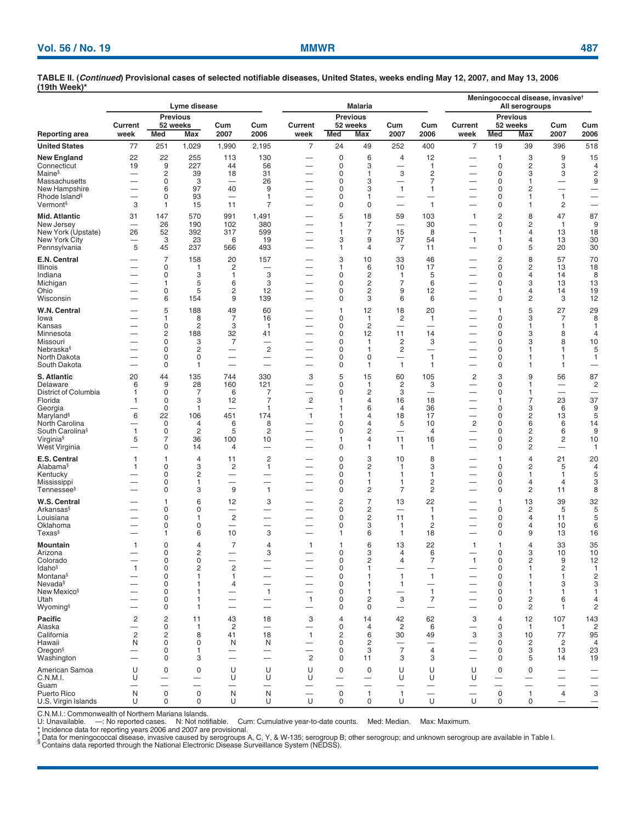|                                                                                                                                                                   |                                                                                                    |                                                   | Lyme disease                                            |                                                                                         |                                                                                        |                                                                                                                                          |                                                                        | <b>Malaria</b>                                                                                 |                                                                                                   | Meningococcal disease, invasive <sup>t</sup><br>All serogroups                     |                                                                                                                                              |                                                             |                                                                                |                                                                          |                                                                                               |
|-------------------------------------------------------------------------------------------------------------------------------------------------------------------|----------------------------------------------------------------------------------------------------|---------------------------------------------------|---------------------------------------------------------|-----------------------------------------------------------------------------------------|----------------------------------------------------------------------------------------|------------------------------------------------------------------------------------------------------------------------------------------|------------------------------------------------------------------------|------------------------------------------------------------------------------------------------|---------------------------------------------------------------------------------------------------|------------------------------------------------------------------------------------|----------------------------------------------------------------------------------------------------------------------------------------------|-------------------------------------------------------------|--------------------------------------------------------------------------------|--------------------------------------------------------------------------|-----------------------------------------------------------------------------------------------|
|                                                                                                                                                                   |                                                                                                    |                                                   | <b>Previous</b>                                         |                                                                                         |                                                                                        |                                                                                                                                          |                                                                        | <b>Previous</b>                                                                                |                                                                                                   |                                                                                    | Current                                                                                                                                      |                                                             | <b>Previous</b><br>52 weeks                                                    |                                                                          |                                                                                               |
| Reporting area                                                                                                                                                    | Current<br>week                                                                                    | Med                                               | 52 weeks<br>Max                                         | Cum<br>2007                                                                             | Cum<br>2006                                                                            | Current<br>week                                                                                                                          | Med                                                                    | 52 weeks<br><b>Max</b>                                                                         | Cum<br>2007                                                                                       | Cum<br>2006                                                                        | week                                                                                                                                         | <b>Med</b>                                                  | <b>Max</b>                                                                     | Cum<br>2007                                                              | Cum<br>2006                                                                                   |
| <b>United States</b>                                                                                                                                              | 77                                                                                                 | 251                                               | 1,029                                                   | 1,990                                                                                   | 2,195                                                                                  | $\overline{7}$                                                                                                                           | 24                                                                     | 49                                                                                             | 252                                                                                               | 400                                                                                | $\overline{7}$                                                                                                                               | 19                                                          | 39                                                                             | 396                                                                      | 518                                                                                           |
| New England<br>Connecticut<br>Maine§<br>Massachusetts<br>New Hampshire<br>Rhode Island <sup>§</sup>                                                               | 22<br>19<br>—                                                                                      | 22<br>9<br>2<br>0<br>6<br>0                       | 255<br>227<br>39<br>3<br>97<br>93                       | 113<br>44<br>18<br>40<br>$\overline{\phantom{0}}$                                       | 130<br>56<br>31<br>26<br>9<br>$\mathbf{1}$                                             | $\overline{\phantom{0}}$<br>$\overline{\phantom{0}}$<br>$\overline{\phantom{0}}$                                                         | $\pmb{0}$<br>0<br>0<br>0<br>0<br>0                                     | 6<br>3<br>$\mathbf{1}$<br>3<br>3<br>1                                                          | 4<br>3<br>$\mathbf{1}$                                                                            | 12<br>$\mathbf{1}$<br>2<br>7<br>$\mathbf{1}$                                       | —<br>$\overline{\phantom{0}}$<br>$\overline{\phantom{0}}$                                                                                    | 1<br>0<br>0<br>0<br>0<br>0                                  | 3<br>2<br>3<br>1<br>2<br>1                                                     | 9<br>3<br>3<br>$\overline{\phantom{0}}$<br>$\mathbf{1}$                  | 15<br>$\overline{4}$<br>$\overline{2}$<br>9                                                   |
| Vermont§                                                                                                                                                          | 3                                                                                                  | 1                                                 | 15                                                      | 11                                                                                      | 7                                                                                      |                                                                                                                                          | 0                                                                      | 0                                                                                              | $\overline{\phantom{0}}$                                                                          | $\overline{1}$                                                                     |                                                                                                                                              | 0                                                           | 1                                                                              | 2                                                                        | $\overline{\phantom{0}}$                                                                      |
| Mid. Atlantic<br>New Jersey<br>New York (Upstate)<br>New York City<br>Pennsylvania                                                                                | 31<br>-<br>26<br>—<br>5                                                                            | 147<br>26<br>52<br>3<br>45                        | 570<br>190<br>392<br>23<br>237                          | 991<br>102<br>317<br>6<br>566                                                           | 1,491<br>380<br>599<br>19<br>493                                                       | -<br>-                                                                                                                                   | 5<br>$\mathbf{1}$<br>1<br>3<br>1                                       | 18<br>7<br>$\overline{7}$<br>9<br>$\overline{4}$                                               | 59<br>15<br>37<br>7                                                                               | 103<br>30<br>8<br>54<br>11                                                         | $\mathbf{1}$<br>—<br>$\mathbf{1}$                                                                                                            | 2<br>0<br>1<br>1<br>0                                       | 8<br>2<br>$\overline{4}$<br>4<br>5                                             | 47<br>$\mathbf{1}$<br>13<br>13<br>20                                     | 87<br>9<br>18<br>30<br>30                                                                     |
| E.N. Central<br>Illinois<br>Indiana<br>Michigan<br>Ohio<br>Wisconsin                                                                                              |                                                                                                    | $\overline{7}$<br>0<br>0<br>1<br>0<br>6           | 158<br>1<br>3<br>5<br>5<br>154                          | 20<br>2<br>1<br>6<br>2<br>9                                                             | 157<br>—<br>3<br>3<br>12<br>139                                                        | $\overline{\phantom{0}}$<br>-<br>$\overline{\phantom{0}}$<br>-                                                                           | 3<br>1<br>0<br>0<br>0<br>0                                             | 10<br>6<br>$\overline{c}$<br>$\overline{c}$<br>2<br>3                                          | 33<br>10<br>$\mathbf{1}$<br>7<br>9<br>6                                                           | 46<br>17<br>5<br>6<br>12<br>6                                                      | -<br>-<br>-<br>$\overline{\phantom{0}}$<br>$\overline{\phantom{0}}$                                                                          | 2<br>0<br>0<br>0<br>1<br>0                                  | 8<br>2<br>4<br>3<br>4<br>$\overline{c}$                                        | 57<br>13<br>14<br>13<br>14<br>3                                          | 70<br>18<br>8<br>13<br>19<br>12                                                               |
| W.N. Central<br>lowa<br>Kansas<br>Minnesota<br>Missouri<br>Nebraska§<br>North Dakota<br>South Dakota                                                              | —                                                                                                  | 5<br>1<br>0<br>2<br>0<br>0<br>0<br>0              | 188<br>8<br>2<br>188<br>3<br>2<br>0<br>1                | 49<br>7<br>3<br>32<br>7<br>$\overline{\phantom{0}}$<br>$\overline{\phantom{0}}$         | 60<br>16<br>$\mathbf{1}$<br>41<br>—<br>$\overline{c}$<br>—<br>$\overline{\phantom{0}}$ | $\overline{\phantom{0}}$<br>$\overline{\phantom{0}}$<br>$\overline{\phantom{0}}$<br>$\overline{\phantom{0}}$<br>$\overline{\phantom{0}}$ | $\mathbf{1}$<br>0<br>0<br>0<br>0<br>0<br>0<br>0                        | 12<br>$\mathbf{1}$<br>$\overline{c}$<br>12<br>1<br>$\mathbf{1}$<br>$\mathbf 0$<br>$\mathbf{1}$ | 18<br>2<br>11<br>2<br>2<br>$\mathbf{1}$                                                           | 20<br>$\mathbf{1}$<br>14<br>3<br>$\overline{\phantom{0}}$<br>$\mathbf{1}$<br>1     | $\overline{\phantom{0}}$<br>—<br>$\overline{\phantom{0}}$<br>$\overline{\phantom{0}}$                                                        | 1<br>0<br>0<br>0<br>0<br>0<br>0<br>0                        | 5<br>3<br>1<br>3<br>3<br>1<br>1<br>1                                           | 27<br>7<br>1<br>8<br>8<br>1<br>1<br>1                                    | 29<br>8<br>$\mathbf{1}$<br>$\overline{4}$<br>10<br>5<br>1<br>$\overbrace{\phantom{12322111}}$ |
| S. Atlantic<br>Delaware<br>District of Columbia<br>Florida<br>Georgia<br>Maryland§<br>North Carolina<br>South Carolina <sup>§</sup><br>Virginia§<br>West Virginia | 20<br>6<br>1<br>1<br>6<br>$\mathbf{1}$<br>5                                                        | 44<br>9<br>0<br>0<br>0<br>22<br>0<br>0<br>7<br>0  | 135<br>28<br>7<br>3<br>1<br>106<br>4<br>2<br>36<br>14   | 744<br>160<br>6<br>12<br>451<br>6<br>5<br>100<br>4                                      | 330<br>121<br>7<br>7<br>$\mathbf{1}$<br>174<br>8<br>2<br>10<br>-                       | 3<br>-<br>-<br>$\overline{c}$<br>-<br>$\mathbf{1}$<br>-                                                                                  | 5<br>0<br>0<br>1<br>1<br>1<br>0<br>0<br>$\mathbf{1}$<br>0              | 15<br>1<br>2<br>4<br>6<br>4<br>4<br>2<br>$\overline{4}$<br>1                                   | 60<br>2<br>3<br>16<br>$\overline{4}$<br>18<br>5<br>$\overline{\phantom{0}}$<br>11<br>$\mathbf{1}$ | 105<br>3<br>18<br>36<br>17<br>10<br>4<br>16<br>1                                   | 2<br>—<br>—<br>—<br>$\overline{\phantom{0}}$<br>$\overline{2}$<br>—                                                                          | 3<br>0<br>0<br>1<br>0<br>0<br>0<br>0<br>0<br>0              | 9<br>1<br>1<br>7<br>3<br>2<br>6<br>2<br>2<br>2                                 | 56<br>-<br>$\overline{\phantom{0}}$<br>23<br>6<br>13<br>6<br>6<br>2<br>— | 87<br>$\overline{c}$<br>—<br>37<br>9<br>5<br>14<br>9<br>10<br>1                               |
| E.S. Central<br>Alabama§<br>Kentucky<br>Mississippi<br>Tennessee§                                                                                                 | 1<br>1                                                                                             | 1<br>0<br>0<br>0<br>0                             | 4<br>3<br>2<br>1<br>3                                   | 11<br>2<br>$\overline{\phantom{0}}$<br>9                                                | $\overline{c}$<br>$\mathbf{1}$<br>$\overline{\phantom{0}}$<br>-<br>$\mathbf{1}$        | -<br>$\overline{\phantom{0}}$<br>$\overline{\phantom{0}}$                                                                                | $\pmb{0}$<br>0<br>0<br>0<br>0                                          | 3<br>$\overline{c}$<br>1<br>$\mathbf{1}$<br>$\overline{c}$                                     | 10<br>1<br>$\mathbf{1}$<br>$\mathbf{1}$<br>$\overline{7}$                                         | 8<br>3<br>1<br>$\overline{c}$<br>$\overline{c}$                                    | —<br>$\overline{\phantom{0}}$<br>$\overline{\phantom{0}}$<br>—<br>$\overline{\phantom{0}}$                                                   | 1<br>0<br>0<br>0<br>0                                       | 4<br>2<br>1<br>4<br>$\overline{c}$                                             | 21<br>5<br>1<br>4<br>11                                                  | 20<br>4<br>5<br>3<br>8                                                                        |
| W.S. Central<br>Arkansas§<br>Louisiana<br>Oklahoma<br>Texas§                                                                                                      |                                                                                                    | $\mathbf{1}$<br>0<br>0<br>0<br>1                  | 6<br>0<br>1<br>0<br>6                                   | 12<br>$\overline{c}$<br>10                                                              | 3<br>-<br>▃<br>3                                                                       |                                                                                                                                          | $\overline{c}$<br>0<br>0<br>0<br>$\mathbf{1}$                          | $\overline{7}$<br>$\overline{c}$<br>$\overline{c}$<br>3<br>6                                   | 13<br>$\overline{\phantom{0}}$<br>11<br>$\mathbf{1}$<br>$\mathbf{1}$                              | 22<br>1<br>$\mathbf{1}$<br>2<br>18                                                 | $\overline{\phantom{0}}$<br>—                                                                                                                | 1<br>0<br>0<br>0<br>0                                       | 13<br>2<br>4<br>4<br>9                                                         | 39<br>5<br>11<br>10<br>13                                                | 32<br>5<br>5<br>6<br>16                                                                       |
| Mountain<br>Arizona<br>Colorado<br>ldaho§<br>Montana§<br>Nevada§<br>New Mexico <sup>§</sup><br>Utah<br>Wyoming§                                                   | 1<br>$\mathbf{1}$<br>—<br>-                                                                        | 0<br>0<br>0<br>0<br>0<br>0<br>0<br>0<br>0         | 4<br>2<br>0<br>2<br>1<br>1<br>1<br>1<br>1               | $\overline{7}$<br>$\overline{2}$<br>$\mathbf{1}$<br>4<br>—<br>$\overline{\phantom{0}}$  | $\overline{4}$<br>3<br>$\overline{\phantom{0}}$<br>$\mathbf{1}$<br>—<br>—              | 1<br>$\overline{\phantom{0}}$<br>$\mathbf{1}$<br>-                                                                                       | 1<br>0<br>0<br>0<br>0<br>0<br>0<br>0<br>0                              | 6<br>3<br>2<br>$\mathbf{1}$<br>1<br>1<br>1<br>2<br>0                                           | 13<br>4<br>4<br>$\mathbf{1}$<br>$\mathbf{1}$<br>—<br>3<br>$\overline{\phantom{0}}$                | 22<br>6<br>7<br>—<br>$\mathbf{1}$<br>$\mathbf{1}$<br>7<br>$\overline{\phantom{0}}$ | $\mathbf{1}$<br>$\mathbf{1}$<br>$\overline{\phantom{0}}$<br>$\overline{\phantom{m}}$<br>$\overline{\phantom{0}}$<br>$\overline{\phantom{m}}$ | 1<br>$\Omega$<br>0<br>0<br>0<br>0<br>0<br>0<br>0            | 4<br>3<br>2<br>1<br>1<br>1<br>1<br>2<br>2                                      | 33<br>10<br>9<br>2<br>1<br>3<br>1<br>6<br>1                              | 35<br>10<br>12<br>$\mathbf{1}$<br>$\overline{c}$<br>3<br>1<br>4<br>2                          |
| Pacific<br>Alaska<br>California<br>Hawaii<br>Oregon§<br>Washington                                                                                                | $\overline{c}$<br>$\overline{\phantom{0}}$<br>$\overline{c}$<br>N<br>—<br>$\overline{\phantom{0}}$ | $\overline{c}$<br>0<br>2<br>$\mathbf 0$<br>0<br>0 | 11<br>1<br>8<br>0<br>1<br>3                             | 43<br>$\overline{c}$<br>41<br>N<br>$\overline{\phantom{0}}$<br>$\overline{\phantom{0}}$ | 18<br>18<br>N<br>—<br>$\overline{\phantom{0}}$                                         | 3<br>$\mathbf{1}$<br>—<br>$\overline{c}$                                                                                                 | $\overline{4}$<br>0<br>$\overline{c}$<br>0<br>0<br>0                   | 14<br>4<br>6<br>2<br>3<br>11                                                                   | 42<br>$\overline{c}$<br>30<br>$\overline{7}$<br>3                                                 | 62<br>6<br>49<br>$\overline{\phantom{0}}$<br>$\overline{4}$<br>3                   | 3<br>$\ensuremath{\mathsf{3}}$<br>$\overline{\phantom{0}}$<br>$\overline{\phantom{0}}$                                                       | 4<br>0<br>3<br>$\pmb{0}$<br>0<br>0                          | 12<br>$\mathbf{1}$<br>10<br>2<br>3<br>5                                        | 107<br>$\mathbf{1}$<br>77<br>2<br>13<br>14                               | 143<br>$\overline{c}$<br>95<br>4<br>23<br>19                                                  |
| American Samoa<br>C.N.M.I.<br>Guam<br>Puerto Rico<br>U.S. Virgin Islands                                                                                          | U<br>U<br>—<br>N<br>U                                                                              | 0<br>—<br>—<br>$\mathbf 0$<br>0                   | 0<br>$\overbrace{\phantom{123331}}$<br>$\mathbf 0$<br>0 | U<br>U<br>$\overline{\phantom{0}}$<br>N<br>U                                            | U<br>U<br>$\overline{\phantom{0}}$<br>N<br>U                                           | U<br>U<br>$\overline{\phantom{m}}$<br>$\overline{\phantom{0}}$<br>U                                                                      | 0<br>$\qquad \qquad -$<br>$\overline{\phantom{0}}$<br>$\mathbf 0$<br>0 | 0<br>$\overline{\phantom{m}}$<br>$\mathbf{1}$<br>0                                             | U<br>U<br>$\overline{\phantom{0}}$<br>$\mathbf{1}$<br>U                                           | U<br>U<br>$\overline{\phantom{m}}$<br>$\overline{\phantom{m}}$<br>U                | U<br>U<br>$\overline{\phantom{m}}$<br>U                                                                                                      | 0<br>—<br>$\overbrace{\phantom{12332}}$<br>$\mathbf 0$<br>0 | 0<br>$\overline{\phantom{m}}$<br>$\overline{\phantom{0}}$<br>$\mathbf{1}$<br>0 | $\overline{\phantom{0}}$<br>4<br>$\qquad \qquad -$                       | $\overline{\phantom{0}}$<br>3                                                                 |

C.N.M.I.: Commonwealth of Northern Mariana Islands.<br>U: Unavailable. —: No reported cases. N: Not notifiable. Cum: Cumulative year-to-date counts. Med: Median. Max: Maximum.<br>\* | Dridence data for reporti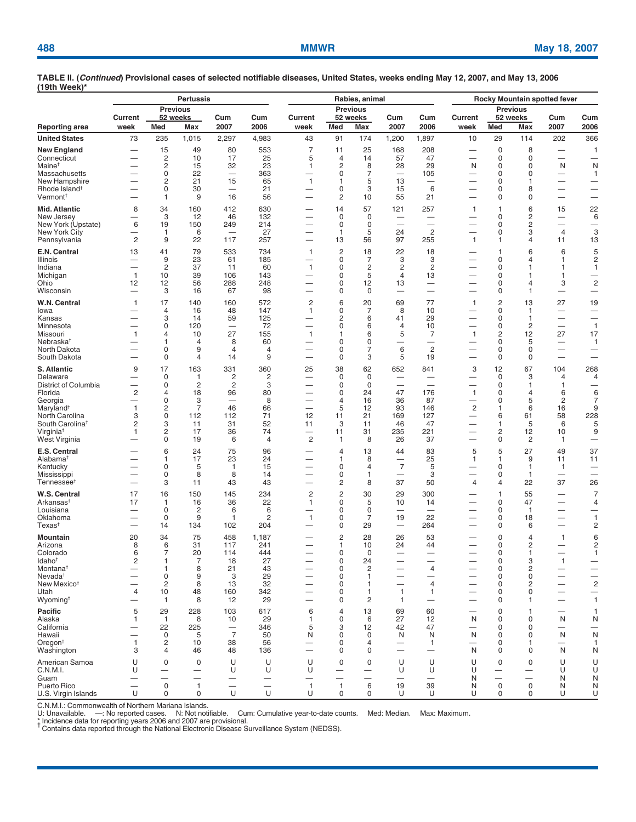|                                                                                                                                                                                           | <b>Pertussis</b>                                                                      |                                                                                                         |                                                                                             |                                                                                  |                                                                     | Rabies, animal                                 |                                                                                   |                                                                                                     |                                                                                                            |                                                                                                                           | Rocky Mountain spotted fever                                                                   |                                                                                                                |                                                                                     |                                                                                                          |                                                                                      |
|-------------------------------------------------------------------------------------------------------------------------------------------------------------------------------------------|---------------------------------------------------------------------------------------|---------------------------------------------------------------------------------------------------------|---------------------------------------------------------------------------------------------|----------------------------------------------------------------------------------|---------------------------------------------------------------------|------------------------------------------------|-----------------------------------------------------------------------------------|-----------------------------------------------------------------------------------------------------|------------------------------------------------------------------------------------------------------------|---------------------------------------------------------------------------------------------------------------------------|------------------------------------------------------------------------------------------------|----------------------------------------------------------------------------------------------------------------|-------------------------------------------------------------------------------------|----------------------------------------------------------------------------------------------------------|--------------------------------------------------------------------------------------|
|                                                                                                                                                                                           | Current                                                                               | Med                                                                                                     | <b>Previous</b><br>52 weeks<br>Max                                                          | Cum<br>2007                                                                      | Cum<br>2006                                                         | Current                                        | Med                                                                               | <b>Previous</b><br>52 weeks                                                                         | Cum<br>2007                                                                                                | Cum<br>2006                                                                                                               | Current<br>week                                                                                | <b>Med</b>                                                                                                     | <b>Previous</b><br>52 weeks                                                         | Cum<br>2007                                                                                              | Cum<br>2006                                                                          |
| Reporting area<br><b>United States</b>                                                                                                                                                    | week<br>73                                                                            | 235                                                                                                     | 1,015                                                                                       | 2,297                                                                            | 4,983                                                               | week<br>43                                     | 91                                                                                | Max<br>174                                                                                          | 1,200                                                                                                      | 1,897                                                                                                                     | 10                                                                                             | 29                                                                                                             | Max<br>114                                                                          | 202                                                                                                      | 366                                                                                  |
| <b>New England</b><br>Connecticut<br>Maine <sup>+</sup><br>Massachusetts<br>New Hampshire<br>Rhode Island <sup>†</sup><br>Vermont <sup>t</sup>                                            | $\overline{\phantom{0}}$<br>$\overline{\phantom{0}}$                                  | 15<br>$\overline{c}$<br>$\overline{c}$<br>$\mathbf 0$<br>$\overline{c}$<br>$\mathbf 0$<br>1             | 49<br>10<br>15<br>22<br>21<br>30<br>9                                                       | 80<br>17<br>32<br>15<br>$\overline{\phantom{0}}$<br>16                           | 553<br>25<br>23<br>363<br>65<br>21<br>56                            | $\overline{7}$<br>5<br>1<br>1<br>—             | 11<br>4<br>2<br>0<br>1<br>0<br>$\overline{c}$                                     | 25<br>14<br>8<br>$\overline{7}$<br>5<br>3<br>10                                                     | 168<br>57<br>28<br>13<br>15<br>55                                                                          | 208<br>47<br>29<br>105<br>$\overline{\phantom{0}}$<br>6<br>21                                                             | -<br>N<br>$\overline{\phantom{0}}$<br>—<br>$\overline{\phantom{0}}$<br>-                       | $\pmb{0}$<br>$\pmb{0}$<br>$\mathbf 0$<br>$\pmb{0}$<br>0<br>$\mathbf 0$<br>0                                    | 8<br>0<br>$\mathbf 0$<br>0<br>1<br>8<br>$\mathbf 0$                                 | $\overline{\phantom{0}}$<br>N<br>$\overline{\phantom{0}}$<br>$\qquad \qquad$<br>$\overline{\phantom{0}}$ | 1<br>N<br>$\mathbf{1}$<br>-<br>$\overline{\phantom{0}}$<br>-                         |
| <b>Mid. Atlantic</b><br>New Jersey<br>New York (Upstate)<br>New York City<br>Pennsylvania                                                                                                 | 8<br>$\overline{\phantom{0}}$<br>6<br>$\overline{c}$                                  | 34<br>3<br>19<br>$\mathbf{1}$<br>9                                                                      | 160<br>12<br>150<br>6<br>22                                                                 | 412<br>46<br>249<br>$\overline{\phantom{0}}$<br>117                              | 630<br>132<br>214<br>27<br>257                                      | —<br>—                                         | 14<br>$\mathbf 0$<br>$\mathbf 0$<br>$\mathbf{1}$<br>13                            | 57<br>$\mathbf 0$<br>$\mathbf 0$<br>5<br>56                                                         | 121<br>$\overline{\phantom{0}}$<br>$\overline{\phantom{0}}$<br>24<br>97                                    | 257<br>$\overline{\phantom{0}}$<br>$\overline{2}$<br>255                                                                  | $\mathbf{1}$<br>$\overline{\phantom{0}}$<br>—<br>$\mathbf{1}$                                  | $\mathbf{1}$<br>$\mathbf 0$<br>$\mathbf 0$<br>$\mathbf 0$<br>$\mathbf{1}$                                      | 6<br>2<br>2<br>3<br>4                                                               | 15<br>$\overline{\phantom{0}}$<br>$\overline{4}$<br>11                                                   | 22<br>6<br>$\overline{\phantom{0}}$<br>3<br>13                                       |
| E.N. Central<br>Illinois<br>Indiana<br>Michigan<br>Ohio<br>Wisconsin                                                                                                                      | 13<br>-<br>$\overline{\phantom{0}}$<br>$\mathbf{1}$<br>12<br>$\overline{\phantom{0}}$ | 41<br>9<br>$\overline{c}$<br>10<br>12<br>3                                                              | 79<br>23<br>37<br>39<br>56<br>16                                                            | 533<br>61<br>11<br>106<br>288<br>67                                              | 734<br>185<br>60<br>143<br>248<br>98                                | 1<br>$\mathbf{1}$                              | $\overline{c}$<br>0<br>0<br>0<br>0<br>0                                           | 18<br>7<br>$\overline{c}$<br>5<br>12<br>0                                                           | 22<br>3<br>2<br>$\overline{4}$<br>13<br>$\overline{\phantom{0}}$                                           | 18<br>3<br>2<br>13<br>$\overline{\phantom{0}}$<br>$\overline{\phantom{0}}$                                                | -<br>$\overline{\phantom{0}}$<br>$\overline{\phantom{0}}$<br>-                                 | 1<br>0<br>0<br>0<br>0<br>0                                                                                     | 6<br>4<br>$\mathbf{1}$<br>1<br>4<br>1                                               | 6<br>1<br>1<br>1<br>3                                                                                    | 5<br>2<br>1<br>-<br>$\overline{c}$<br>-                                              |
| W.N. Central<br>lowa<br>Kansas<br>Minnesota<br>Missouri<br>Nebraska <sup>+</sup><br>North Dakota<br>South Dakota                                                                          | $\mathbf{1}$<br>$\mathbf{1}$                                                          | 17<br>4<br>3<br>$\mathbf 0$<br>4<br>1<br>$\mathbf 0$<br>$\mathbf 0$                                     | 140<br>16<br>14<br>120<br>10<br>4<br>9<br>4                                                 | 160<br>48<br>59<br>$\overline{\phantom{0}}$<br>27<br>8<br>$\overline{4}$<br>14   | 572<br>147<br>125<br>72<br>155<br>60<br>4<br>9                      | $\overline{\mathbf{c}}$<br>1<br>—<br>1<br>—    | 6<br>0<br>$\overline{\mathbf{c}}$<br>0<br>1<br>0<br>$\mathbf 0$<br>$\mathsf 0$    | 20<br>$\overline{7}$<br>6<br>6<br>6<br>0<br>$\overline{7}$<br>3                                     | 69<br>8<br>41<br>$\overline{4}$<br>5<br>6<br>5                                                             | 77<br>10<br>29<br>10<br>$\overline{7}$<br>$\overline{\phantom{0}}$<br>$\overline{c}$<br>19                                | $\mathbf{1}$<br>-<br>$\overline{\phantom{0}}$<br>$\mathbf{1}$<br>$\overline{\phantom{0}}$<br>- | $\overline{c}$<br>$\pmb{0}$<br>0<br>$\pmb{0}$<br>$\overline{c}$<br>$\pmb{0}$<br>0<br>$\mathbf 0$               | 13<br>$\mathbf{1}$<br>$\mathbf{1}$<br>$\overline{c}$<br>12<br>5<br>$\mathbf 0$<br>0 | 27<br>$\overline{\phantom{0}}$<br>$\overline{\phantom{0}}$<br>27<br>—<br>$\overline{\phantom{0}}$        | 19<br>-<br>$\overline{1}$<br>17<br>$\mathbf{1}$<br>-                                 |
| S. Atlantic<br>Delaware<br>District of Columbia<br>Florida<br>Georgia<br>Maryland <sup>+</sup><br>North Carolina<br>South Carolina <sup>t</sup><br>Virginia <sup>†</sup><br>West Virginia | 9<br>$\overline{\mathbf{c}}$<br>-<br>$\mathbf{1}$<br>3<br>$\overline{c}$<br>1         | 17<br>0<br>$\mathbf 0$<br>$\overline{4}$<br>$\mathbf 0$<br>$\overline{c}$<br>$\mathbf 0$<br>3<br>2<br>0 | 163<br>$\mathbf{1}$<br>$\overline{2}$<br>18<br>3<br>$\overline{7}$<br>112<br>11<br>17<br>19 | 331<br>$\overline{c}$<br>$\overline{2}$<br>96<br>-<br>46<br>112<br>31<br>36<br>6 | 360<br>2<br>3<br>80<br>8<br>66<br>71<br>52<br>74<br>4               | 25<br>—<br>12<br>11<br>$\overline{\mathbf{c}}$ | 38<br>$\mathbf 0$<br>$\mathbf 0$<br>0<br>4<br>5<br>11<br>3<br>11<br>$\mathbf{1}$  | 62<br>0<br>$\mathbf 0$<br>24<br>16<br>12<br>21<br>11<br>31<br>8                                     | 652<br>-<br>47<br>36<br>93<br>169<br>46<br>235<br>26                                                       | 841<br>-<br>$\overline{\phantom{0}}$<br>176<br>87<br>146<br>127<br>47<br>221<br>37                                        | 3<br>-<br>$\mathbf{1}$<br>-<br>$\overline{c}$<br>—<br>—<br>—                                   | 12<br>$\mathbf 0$<br>$\pmb{0}$<br>0<br>$\mathbf 0$<br>$\mathbf{1}$<br>6<br>$\mathbf{1}$<br>$\overline{c}$<br>0 | 67<br>3<br>1<br>4<br>5<br>6<br>61<br>5<br>12<br>$\overline{2}$                      | 104<br>$\overline{4}$<br>1<br>6<br>$\overline{c}$<br>16<br>58<br>6<br>10<br>1                            | 268<br>4<br>6<br>$\overline{7}$<br>9<br>228<br>5<br>9<br>—                           |
| E.S. Central<br>Alabama <sup>t</sup><br>Kentucky<br>Mississippi<br>Tennessee <sup>t</sup>                                                                                                 | $\overline{\phantom{0}}$<br>-                                                         | 6<br>1<br>0<br>$\mathbf 0$<br>3                                                                         | 24<br>17<br>5<br>8<br>11                                                                    | 75<br>23<br>$\mathbf{1}$<br>8<br>43                                              | 96<br>24<br>15<br>14<br>43                                          | _                                              | $\overline{4}$<br>1<br>0<br>0<br>2                                                | 13<br>8<br>4<br>$\mathbf{1}$<br>8                                                                   | 44<br>-<br>$\overline{7}$<br>$\overline{\phantom{0}}$<br>37                                                | 83<br>25<br>5<br>3<br>50                                                                                                  | 5<br>$\mathbf{1}$<br>-<br>4                                                                    | 5<br>1<br>0<br>0<br>4                                                                                          | 27<br>9<br>$\mathbf{1}$<br>$\mathbf{1}$<br>22                                       | 49<br>11<br>1<br>37                                                                                      | 37<br>11<br>26                                                                       |
| W.S. Central<br>Arkansas <sup>t</sup><br>Louisiana<br>Oklahoma<br>$T$ exas <sup>†</sup>                                                                                                   | 17<br>17                                                                              | 16<br>$\mathbf{1}$<br>$\mathbf 0$<br>$\Omega$<br>14                                                     | 150<br>16<br>$\overline{c}$<br>9<br>134                                                     | 145<br>36<br>6<br>$\mathbf{1}$<br>102                                            | 234<br>22<br>6<br>2<br>204                                          | $\overline{\mathbf{c}}$<br>1<br>1              | $\overline{c}$<br>0<br>0<br>0<br>0                                                | 30<br>5<br>0<br>$\overline{7}$<br>29                                                                | 29<br>10<br>$\overline{\phantom{0}}$<br>19<br>$\overline{\phantom{0}}$                                     | 300<br>14<br>$\overline{\phantom{0}}$<br>22<br>264                                                                        | -<br>$\overline{\phantom{0}}$                                                                  | 1<br>$\mathbf 0$<br>0<br>0<br>0                                                                                | 55<br>47<br>$\mathbf{1}$<br>18<br>6                                                 | $\overline{\phantom{0}}$<br>-<br>$\overline{\phantom{0}}$                                                | $\overline{7}$<br>$\overline{4}$<br>$\mathbf{1}$<br>$\overline{c}$                   |
| Mountain<br>Arizona<br>Colorado<br>Idaho <sup>t</sup><br>Montana <sup>†</sup><br>Nevada <sup>†</sup><br>New Mexico <sup>t</sup><br>Utah<br>Wyoming <sup>†</sup>                           | 20<br>8<br>6<br>2<br>-<br>4<br>-                                                      | 34<br>6<br>$\overline{7}$<br>1<br>$\mathbf{1}$<br>$\pmb{0}$<br>$\overline{2}$<br>10<br>$\mathbf{1}$     | 75<br>31<br>20<br>7<br>8<br>9<br>8<br>48<br>8                                               | 458<br>117<br>114<br>18<br>21<br>3<br>13<br>160<br>12                            | 1,187<br>241<br>444<br>27<br>43<br>29<br>32<br>342<br>29            |                                                | 2<br>1<br>0<br>$\mathsf 0$<br>0<br>$\mathbf 0$<br>$\mathbf 0$<br>0<br>$\mathbf 0$ | 28<br>10<br>$\Omega$<br>24<br>$\overline{c}$<br>1<br>$\mathbf{1}$<br>$\mathbf{1}$<br>$\overline{2}$ | 26<br>24<br>-<br>$\overline{\phantom{0}}$<br>-<br>$\overline{\phantom{0}}$<br>$\mathbf{1}$<br>$\mathbf{1}$ | 53<br>44<br>$\overline{\phantom{0}}$<br>$\overline{4}$<br>-<br>$\overline{4}$<br>$\mathbf{1}$<br>$\overline{\phantom{m}}$ | $\overline{\phantom{0}}$<br>—                                                                  | 0<br>$\mathbf 0$<br>$\mathbf 0$<br>$\pmb{0}$<br>$\pmb{0}$<br>$\mathbf 0$<br>$\mathbf 0$<br>0<br>$\mathbf 0$    | 4<br>2<br>$\mathbf{1}$<br>3<br>$\overline{c}$<br>$\mathbf 0$<br>2<br>0<br>1         | 1<br>$\overline{\phantom{0}}$<br>$\overline{\phantom{0}}$<br>1<br>-<br>$\overline{\phantom{0}}$          | 6<br>$\overline{c}$<br>1<br>$\equiv$<br>$\overline{\mathbf{c}}$<br>-<br>$\mathbf{1}$ |
| Pacific<br>Alaska<br>California<br>Hawaii<br>Oregon <sup>+</sup><br>Washington                                                                                                            | 5<br>1<br>1<br>3                                                                      | 29<br>$\mathbf{1}$<br>22<br>0<br>$\overline{c}$<br>$\overline{4}$                                       | 228<br>8<br>225<br>5<br>10<br>46                                                            | 103<br>10<br>$\overline{7}$<br>38<br>48                                          | 617<br>29<br>346<br>50<br>56<br>136                                 | 6<br>1<br>5<br>N                               | $\overline{4}$<br>0<br>3<br>0<br>0<br>0                                           | 13<br>6<br>12<br>0<br>$\overline{4}$<br>0                                                           | 69<br>27<br>42<br>N<br>$\overline{\phantom{0}}$                                                            | 60<br>12<br>47<br>N<br>$\mathbf{1}$<br>$\qquad \qquad$                                                                    | —<br>N<br>—<br>N<br>N                                                                          | 0<br>0<br>0<br>0<br>0<br>0                                                                                     | $\mathbf 1$<br>0<br>0<br>0<br>1<br>0                                                | N<br>-<br>N<br>$\overline{\phantom{0}}$<br>N                                                             | $\mathbf{1}$<br>N<br>—<br>N<br>$\mathbf{1}$<br>N                                     |
| American Samoa<br>C.N.M.I.<br>Guam<br>Puerto Rico<br>U.S. Virgin Islands                                                                                                                  | U<br>U<br>U                                                                           | $\mathbf 0$<br>$\overline{\phantom{0}}$<br>$\overline{\phantom{0}}$<br>$\mathsf 0$<br>0                 | 0<br>$\overline{\phantom{0}}$<br>$\overline{\phantom{0}}$<br>$\mathbf{1}$<br>$\mathbf 0$    | U<br>U<br>$\overline{\phantom{m}}$<br>$\cup$                                     | U<br>U<br>$\overline{\phantom{0}}$<br>$\overline{\phantom{0}}$<br>U | U<br>U<br>—<br>$\mathbf{1}$<br>U               | $\mathbf 0$<br>$\overline{\phantom{0}}$<br>-<br>$\mathbf{1}$<br>$\mathbf 0$       | $\mathbf 0$<br>—<br>$\overline{\phantom{0}}$<br>6<br>$\mathbf 0$                                    | U<br>U<br>$\overline{\phantom{0}}$<br>19<br>U                                                              | U<br>U<br>39<br>U                                                                                                         | U<br>U<br>N<br>N<br>U                                                                          | 0<br>$\overline{\phantom{0}}$<br>$\overline{\phantom{0}}$<br>$\mathsf 0$<br>0                                  | 0<br>—<br>$\overline{\phantom{0}}$<br>$\mathsf 0$<br>0                              | U<br>U<br>N<br>N<br>U                                                                                    | U<br>U<br>N<br>N<br>U                                                                |

C.N.M.I.: Commonwealth of Northern Mariana Islands.<br>U: Unavailable. —: No reported cases. N: Not notifiable. Cum: Cumulative year-to-date counts. Med: Median. Max: Maximum.<br>‡ 'ncidence data for reportin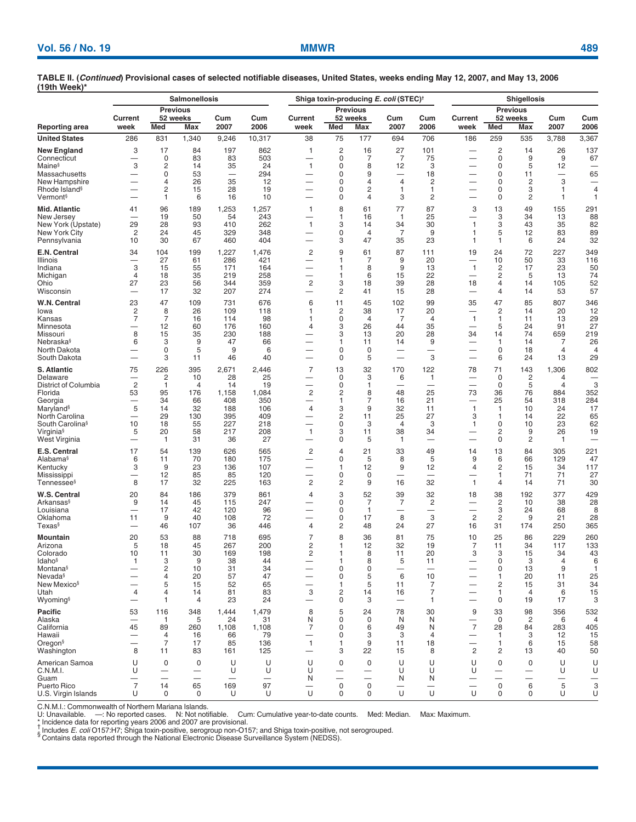|                                       |                                |                     | <b>Salmonellosis</b>                                         |              |                               |                               |                               | Shiga toxin-producing E. coli (STEC) <sup>+</sup> | <b>Shigellosis</b>             |                                |                          |                                             |                               |                                |              |
|---------------------------------------|--------------------------------|---------------------|--------------------------------------------------------------|--------------|-------------------------------|-------------------------------|-------------------------------|---------------------------------------------------|--------------------------------|--------------------------------|--------------------------|---------------------------------------------|-------------------------------|--------------------------------|--------------|
| Reporting area                        | <b>Previous</b>                |                     |                                                              |              |                               |                               |                               | <b>Previous</b>                                   |                                |                                |                          | <b>Previous</b>                             |                               |                                |              |
|                                       | Current<br>week                | <b>Med</b>          | 52 weeks<br>Max                                              | Cum<br>2007  | Cum<br>2006                   | Current<br>week               | Med                           | 52 weeks<br>Max                                   | Cum<br>2007                    | Cum<br>2006                    | Current<br>week          | Med                                         | 52 weeks<br>Max               | Cum<br>2007                    | Cum<br>2006  |
| <b>United States</b>                  | 286                            | 831                 | 1,340                                                        | 9,246        | 10,317                        | 38                            | 75                            | 177                                               | 694                            | 706                            | 186                      | 259                                         | 535                           | 3,788                          | 3,367        |
| New England                           | 3                              | 17                  | 84                                                           | 197          | 862                           | 1                             | $\overline{c}$                | 16                                                | 27                             | 101                            |                          | $\overline{c}$                              | 14                            | 26                             | 137          |
| Connecticut                           | -                              | 0                   | 83                                                           | 83           | 503                           |                               | 0                             | $\overline{7}$                                    | $\overline{7}$                 | 75                             | —                        | 0                                           | 9                             | 9                              | 67           |
| Maine§<br>Massachusetts               | 3<br>—                         | 2<br>0              | 14<br>53                                                     | 35<br>-      | 24<br>294                     | $\mathbf{1}$                  | $\mathbf 0$<br>0              | 8<br>9                                            | 12<br>$\overline{\phantom{0}}$ | 3<br>18                        |                          | 0<br>0                                      | 5<br>11                       | 12<br>$\overline{\phantom{0}}$ | 65           |
| New Hampshire                         | -                              | 4                   | 26                                                           | 35           | 12                            |                               | 0                             | 4                                                 | $\overline{4}$                 | $\overline{c}$                 |                          | 0                                           | 2                             | 3                              |              |
| Rhode Island <sup>§</sup>             |                                | 2                   | 15                                                           | 28           | 19                            |                               | 0                             | $\overline{c}$                                    | 1                              | 1                              |                          | 0                                           | 3                             | 1                              | 4            |
| Vermont§                              |                                | 1                   | 6                                                            | 16           | 10                            |                               | $\mathbf 0$                   | 4                                                 | 3                              | $\overline{c}$                 | —                        | 0                                           | 2                             | $\mathbf{1}$                   | 1            |
| Mid. Atlantic                         | 41                             | 96                  | 189                                                          | 1,253        | 1,257                         | $\mathbf{1}$                  | 8                             | 61                                                | 77                             | 87                             | 3                        | 13                                          | 49                            | 155                            | 291          |
| New Jersey<br>New York (Upstate)      | 29                             | 19<br>28            | 50<br>93                                                     | 54<br>410    | 243<br>262                    | $\mathbf{1}$                  | 1<br>3                        | 16<br>14                                          | $\overline{1}$<br>34           | 25<br>30                       | $\mathbf{1}$             | 3<br>3                                      | 34<br>43                      | 13<br>35                       | 88<br>82     |
| New York City                         | $\overline{c}$                 | 24                  | 45                                                           | 329          | 348                           |                               | 0                             | $\overline{4}$                                    | 7                              | 9                              | 1                        | 5                                           | 12                            | 83                             | 89           |
| Pennsylvania                          | 10                             | 30                  | 67                                                           | 460          | 404                           |                               | 3                             | 47                                                | 35                             | 23                             | $\mathbf{1}$             | $\mathbf{1}$                                | 6                             | 24                             | 32           |
| E.N. Central                          | 34                             | 104                 | 199                                                          | 1,227        | 1,476                         | 2                             | 9                             | 61                                                | 87                             | 111                            | 19                       | 24                                          | 72                            | 227                            | 349          |
| Illinois<br>Indiana                   | $\overline{\phantom{0}}$<br>3  | 27<br>15            | 61<br>55                                                     | 286<br>171   | 421<br>164                    | —                             | 1<br>$\mathbf{1}$             | 7<br>8                                            | 9<br>9                         | 20<br>13                       | —<br>$\mathbf{1}$        | 10<br>$\overline{2}$                        | 50<br>17                      | 33<br>23                       | 116<br>50    |
| Michigan                              | 4                              | 18                  | 35                                                           | 219          | 258                           |                               | 1                             | 6                                                 | 15                             | 22                             | -                        | 2                                           | 5                             | 13                             | 74           |
| Ohio                                  | 27                             | 23                  | 56                                                           | 344          | 359                           | 2                             | 3                             | 18                                                | 39                             | 28                             | 18                       | $\overline{4}$                              | 14                            | 105                            | 52           |
| Wisconsin                             |                                | 17                  | 32                                                           | 207          | 274                           |                               | 2                             | 41                                                | 15                             | 28                             | -                        | 4                                           | 14                            | 53                             | 57           |
| W.N. Central                          | 23                             | 47                  | 109                                                          | 731          | 676                           | 6                             | 11                            | 45                                                | 102                            | 99                             | 35                       | 47                                          | 85                            | 807                            | 346          |
| lowa<br>Kansas                        | 2<br>7                         | 8<br>$\overline{7}$ | 26<br>16                                                     | 109<br>114   | 118<br>98                     | 1<br>-1                       | $\overline{c}$<br>$\mathbf 0$ | 38<br>$\overline{4}$                              | 17<br>$\overline{7}$           | 20<br>$\overline{4}$           | $\mathbf{1}$             | $\overline{c}$<br>$\mathbf{1}$              | 14<br>11                      | 20<br>13                       | 12<br>29     |
| Minnesota                             | -                              | 12                  | 60                                                           | 176          | 160                           | 4                             | 3                             | 26                                                | 44                             | 35                             | —                        | 5                                           | 24                            | 91                             | 27           |
| Missouri                              | 8                              | 15                  | 35                                                           | 230          | 188                           |                               | 3                             | 13                                                | 20                             | 28                             | 34                       | 14                                          | 74                            | 659                            | 219          |
| Nebraska§                             | 6                              | 3                   | 9                                                            | 47           | 66                            |                               | 1                             | 11                                                | 14                             | 9                              | —                        | $\mathbf{1}$                                | 14                            | 7                              | 26           |
| North Dakota<br>South Dakota          | —                              | 0<br>3              | 5<br>11                                                      | 9<br>46      | 6<br>40                       |                               | $\mathbf 0$<br>0              | 0<br>5                                            | -<br>$\overline{\phantom{0}}$  | -<br>3                         |                          | 0<br>6                                      | 18<br>24                      | $\overline{4}$<br>13           | 4<br>29      |
| S. Atlantic                           | 75                             | 226                 | 395                                                          | 2,671        | 2,446                         | 7                             | 13                            | 32                                                | 170                            | 122                            | 78                       | 71                                          | 143                           | 1,306                          | 802          |
| Delaware                              | -                              | 2                   | 10                                                           | 28           | 25                            | -                             | 0                             | 3                                                 | 6                              | 1                              | -                        | 0                                           | $\overline{2}$                | $\overline{4}$                 |              |
| District of Columbia                  | $\overline{c}$                 | 1                   | 4                                                            | 14           | 19                            |                               | 0                             | 1                                                 | -                              |                                |                          | 0                                           | 5                             | $\overline{4}$                 | 3            |
| Florida<br>Georgia                    | 53<br>—                        | 95<br>34            | 176<br>66                                                    | 1,158<br>408 | 1,084<br>350                  | 2                             | 2<br>1                        | 8<br>7                                            | 48<br>16                       | 25<br>21                       | 73                       | 36<br>25                                    | 76<br>54                      | 884<br>318                     | 352<br>284   |
| Maryland§                             | 5                              | 14                  | 32                                                           | 188          | 106                           | 4                             | 3                             | 9                                                 | 32                             | 11                             | $\mathbf{1}$             | $\mathbf{1}$                                | 10                            | 24                             | 17           |
| North Carolina                        |                                | 29                  | 130                                                          | 395          | 409                           |                               | 2                             | 11                                                | 25                             | 27                             | 3                        | 1                                           | 14                            | 22                             | 65           |
| South Carolina <sup>§</sup>           | 10                             | 18                  | 55                                                           | 227          | 218                           |                               | 0                             | 3                                                 | $\overline{4}$                 | 3                              | $\mathbf{1}$             | 0                                           | 10                            | 23                             | 62           |
| Virginia§<br>West Virginia            | 5<br>$\overline{\phantom{0}}$  | 20<br>$\mathbf{1}$  | 58<br>31                                                     | 217<br>36    | 208<br>27                     | $\mathbf{1}$                  | 3<br>0                        | 11<br>5                                           | 38<br>$\overline{1}$           | 34<br>$\overline{\phantom{0}}$ |                          | 2<br>0                                      | 9<br>2                        | 26<br>$\mathbf{1}$             | 19<br>-      |
| E.S. Central                          | 17                             | 54                  | 139                                                          | 626          | 565                           | 2                             | 4                             | 21                                                | 33                             | 49                             | 14                       | 13                                          | 84                            | 305                            | 221          |
| Alabama§                              | 6                              | 11                  | 70                                                           | 180          | 175                           | —                             | 0                             | 5                                                 | 8                              | 5                              | 9                        | 6                                           | 66                            | 129                            | 47           |
| Kentucky                              | 3                              | 9                   | 23                                                           | 136          | 107                           |                               | 1                             | 12                                                | 9                              | 12                             | 4                        | 2                                           | 15                            | 34                             | 117          |
| Mississippi<br>Tennessee <sup>§</sup> | $\overline{\phantom{0}}$<br>8  | 12<br>17            | 85<br>32                                                     | 85<br>225    | 120<br>163                    | 2                             | 0<br>2                        | 0<br>9                                            | 16                             | 32                             | $\overline{1}$           | 1<br>$\overline{4}$                         | 71<br>14                      | 71<br>71                       | 27<br>30     |
| W.S. Central                          | 20                             | 84                  | 186                                                          | 379          | 861                           | 4                             | 3                             | 52                                                | 39                             | 32                             | 18                       | 38                                          | 192                           | 377                            | 429          |
| Arkansas§                             | 9                              | 14                  | 45                                                           | 115          | 247                           |                               | 0                             | 7                                                 | 7                              | $\overline{\mathbf{c}}$        |                          | $\overline{c}$                              | 10                            | 38                             | 28           |
| Louisiana                             | —                              | 17                  | 42                                                           | 120          | 96                            |                               | 0                             | $\mathbf{1}$                                      | -                              | —                              |                          | 3                                           | 24                            | 68                             | 8            |
| Oklahoma<br>Texas§                    | 11                             | 9                   | 40                                                           | 108<br>36    | 72                            |                               | 0                             | 17<br>48                                          | 8                              | 3<br>27                        | $\overline{2}$           | $\overline{2}$<br>31                        | 9                             | 21                             | 28           |
|                                       |                                | 46                  | 107                                                          |              | 446                           | 4                             | $\overline{c}$                |                                                   | 24                             |                                | 16                       |                                             | 174                           | 250                            | 365          |
| Mountain<br>Arizona                   | 20<br>5                        | 53<br>18            | 88<br>45                                                     | 718<br>267   | 695<br>200                    | 7<br>2                        | 8<br>1                        | 36<br>12                                          | 81<br>32                       | 75<br>19                       | 10<br>7                  | 25<br>11                                    | 86<br>34                      | 229<br>117                     | 260<br>133   |
| Colorado                              | 10                             | 11                  | 30                                                           | 169          | 198                           | 2                             | 1                             | 8                                                 | 11                             | 20                             | 3                        | 3                                           | 15                            | 34                             | 43           |
| ldaho§                                | $\mathbf{1}$                   | 3                   | 9                                                            | 38           | 44                            | $\overline{\phantom{0}}$      | $\mathbf{1}$                  | 8                                                 | 5                              | 11                             |                          | 0                                           | 3                             | $\overline{4}$                 | 6            |
| Montana§                              |                                | $\overline{c}$<br>4 | 10                                                           | 31           | 34                            |                               | 0                             | 0<br>5                                            | $\overline{\phantom{0}}$       | $\overline{\phantom{0}}$       |                          | 0                                           | 13                            | 9                              | $\mathbf{1}$ |
| Nevada§<br>New Mexico§                | —                              | 5                   | 20<br>15                                                     | 57<br>52     | 47<br>65                      | $\overline{\phantom{0}}$      | 0<br>1                        | 5                                                 | 6<br>11                        | 10<br>7                        | —                        | $\mathbf{1}$<br>2                           | 20<br>15                      | 11<br>31                       | 25<br>34     |
| Utah                                  | 4                              | 4                   | 14                                                           | 81           | 83                            | 3                             | 2                             | 14                                                | 16                             | 7                              | —                        | $\mathbf{1}$                                | $\overline{4}$                | 6                              | 15           |
| Wyoming§                              |                                | 1                   | 4                                                            | 23           | 24                            |                               | 0                             | 3                                                 |                                | $\mathbf{1}$                   |                          | 0                                           | 19                            | 17                             | 3            |
| Pacific                               | 53                             | 116                 | 348                                                          | 1,444        | 1,479                         | 8                             | 5                             | 24                                                | 78                             | 30                             | 9                        | 33                                          | 98                            | 356                            | 532          |
| Alaska<br>California                  | $\overline{\phantom{0}}$<br>45 | $\mathbf{1}$<br>89  | 5<br>260                                                     | 24<br>1,108  | 31<br>1,108                   | N<br>7                        | 0<br>0                        | 0<br>6                                            | N<br>49                        | N<br>N                         | $\overline{7}$           | 0<br>28                                     | $\overline{2}$<br>84          | 6<br>283                       | 4<br>405     |
| Hawaii                                | -                              | 4                   | 16                                                           | 66           | 79                            |                               | 0                             | 3                                                 | 3                              | $\overline{4}$                 |                          | $\mathbf{1}$                                | 3                             | 12                             | 15           |
| Oregon <sup>§</sup>                   | $\overline{\phantom{0}}$       | $\overline{7}$      | 17                                                           | 85           | 136                           | $\mathbf{1}$                  | $\mathbf{1}$                  | 9                                                 | 11                             | 18                             | $\overline{\phantom{0}}$ | $\mathbf{1}$                                | 6                             | 15                             | 58           |
| Washington                            | 8                              | 11                  | 83                                                           | 161          | 125                           | -                             | 3                             | 22                                                | 15                             | 8                              | 2                        | 2                                           | 13                            | 40                             | 50           |
| American Samoa                        | U                              | 0                   | 0                                                            | U            | U                             | U                             | $\mathbf 0$                   | $\mathbf 0$                                       | U                              | U                              | U                        | 0                                           | 0                             | U                              | U            |
| C.N.M.I.<br>Guam                      | U<br>—                         |                     | $\overline{\phantom{0}}$<br>$\overbrace{\phantom{12322111}}$ | U            | U<br>$\overline{\phantom{0}}$ | U<br>N                        | —                             | —<br>$\overline{\phantom{0}}$                     | U<br>N                         | U<br>N                         | U                        | $\qquad \qquad$<br>$\overline{\phantom{0}}$ | —<br>$\overline{\phantom{0}}$ | U<br>$\overline{\phantom{m}}$  | U            |
| Puerto Rico                           | $\overline{7}$                 | 14                  | 65                                                           | 169          | 97                            | $\overbrace{\phantom{13333}}$ | $\mathbf 0$                   | $\mathbf 0$                                       |                                | $\overline{\phantom{0}}$       |                          | $\mathbf 0$                                 | 6                             | 5                              | 3            |
| U.S. Virgin Islands                   | U                              | 0                   | 0                                                            | U            | U                             | U                             | 0                             | 0                                                 | U                              | U                              | U                        | 0                                           | 0                             | U                              | U            |

C.N.M.I.: Commonwealth of Northern Mariana Islands.

U: Unavailable. —: No reported cases. N: Not notifiable. Cum: Cumulative year-to-date counts. Med: Median. Max: Maximum.<br>\* Incidence data for reporting years 2006 and 2007 are provisional.<br><sup>†</sup> Includes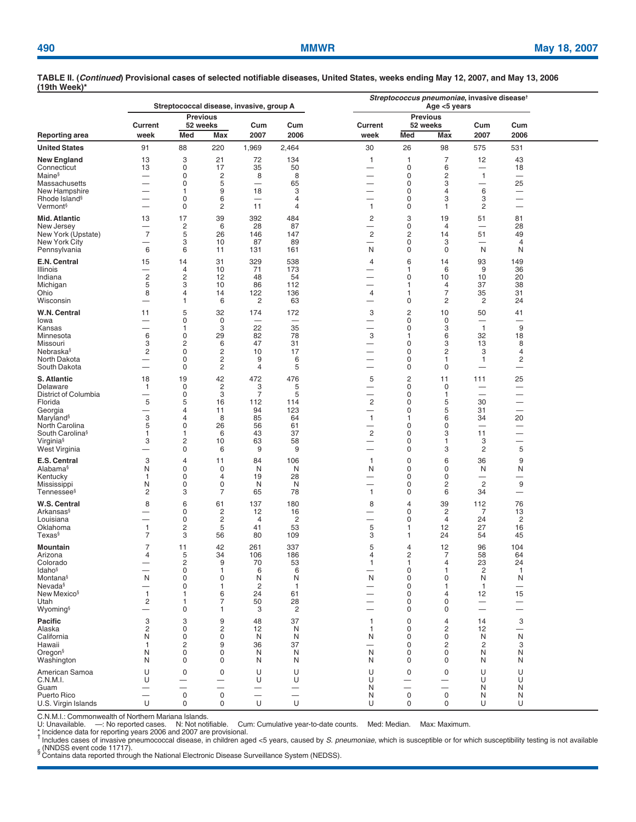|                                            |                                            |                                    |                                                      | Streptococcal disease, invasive, group A |                               | Streptococcus pneumoniae, invasive disease <sup>t</sup> |                                  |                             |                                            |                               |  |
|--------------------------------------------|--------------------------------------------|------------------------------------|------------------------------------------------------|------------------------------------------|-------------------------------|---------------------------------------------------------|----------------------------------|-----------------------------|--------------------------------------------|-------------------------------|--|
|                                            | Current                                    | <b>Previous</b><br>52 weeks        |                                                      | Cum                                      | Cum                           | Current                                                 |                                  | <b>Previous</b><br>52 weeks | Cum                                        | Cum                           |  |
| <b>Reporting area</b>                      | week                                       | Med                                | Max                                                  | 2007                                     | 2006                          | week                                                    | Med                              | Max                         | 2007                                       | 2006                          |  |
| <b>United States</b>                       | 91                                         | 88                                 | 220                                                  | 1,969                                    | 2,464                         | 30                                                      | 26                               | 98                          | 575                                        | 531                           |  |
| <b>New England</b><br>Connecticut          | 13<br>13                                   | 3<br>$\mathbf 0$                   | 21<br>17                                             | 72<br>35                                 | 134<br>50                     | $\mathbf{1}$                                            | 1<br>0                           | $\overline{7}$<br>6         | 12<br>$\overbrace{\phantom{12322111}}$     | 43<br>18                      |  |
| Maine <sup>§</sup>                         | —                                          | 0                                  | 2                                                    | 8                                        | 8                             | -                                                       | 0                                | 2                           | $\mathbf{1}$                               | $\overline{\phantom{0}}$      |  |
| <b>Massachusetts</b>                       | —<br>$\overline{\phantom{0}}$              | 0                                  | 5                                                    | $\overline{\phantom{0}}$                 | 65                            | —                                                       | 0                                | 3                           | $\overline{\phantom{0}}$<br>6              | 25                            |  |
| New Hampshire<br>Rhode Island <sup>§</sup> | —                                          | $\mathbf{1}$<br>0                  | 9<br>6                                               | 18                                       | 3<br>$\overline{4}$           | -                                                       | 0<br>0                           | 4<br>3                      | 3                                          | -                             |  |
| Vermont <sup>§</sup>                       | —                                          | 0                                  | 2                                                    | 11                                       | 4                             | $\mathbf{1}$                                            | 0                                | 1                           | 2                                          |                               |  |
| <b>Mid. Atlantic</b>                       | 13                                         | 17                                 | 39                                                   | 392                                      | 484                           | $\overline{c}$                                          | 3                                | 19                          | 51                                         | 81                            |  |
| New Jersey                                 | $\overline{\phantom{0}}$<br>$\overline{7}$ | $\overline{2}$<br>5                | 6                                                    | 28<br>146                                | 87                            | $\overline{\phantom{0}}$<br>$\sqrt{2}$                  | 0                                | $\overline{4}$              | 51                                         | 28                            |  |
| New York (Upstate)<br>New York City        | -                                          | 3                                  | 26<br>10                                             | 87                                       | 147<br>89                     | -                                                       | $\overline{\mathbf{c}}$<br>0     | 14<br>3                     |                                            | 49<br>$\overline{4}$          |  |
| Pennsylvania                               | 6                                          | 6                                  | 11                                                   | 131                                      | 161                           | N                                                       | $\mathbf 0$                      | $\mathbf 0$                 | N                                          | N                             |  |
| E.N. Central<br>Illinois                   | 15<br>—                                    | 14<br>$\overline{4}$               | 31<br>10                                             | 329<br>71                                | 538<br>173                    | 4<br>—                                                  | 6<br>1                           | 14<br>6                     | 93<br>9                                    | 149<br>36                     |  |
| Indiana                                    | $\overline{2}$                             | $\overline{2}$                     | 12                                                   | 48                                       | 54                            | -                                                       | 0                                | 10                          | 10                                         | 20                            |  |
| Michigan                                   | 5                                          | 3                                  | 10                                                   | 86                                       | 112                           | —                                                       | 1                                | 4                           | 37                                         | 38                            |  |
| Ohio<br>Wisconsin                          | 8                                          | $\overline{4}$<br>$\mathbf{1}$     | 14<br>6                                              | 122<br>2                                 | 136<br>63                     | 4                                                       | $\mathbf 1$<br>0                 | 7<br>2                      | 35<br>$\overline{c}$                       | 31<br>24                      |  |
| W.N. Central<br>lowa                       | 11<br>$\overline{\phantom{0}}$             | 5<br>0                             | 32<br>0                                              | 174<br>$\overbrace{\phantom{12322111}}$  | 172                           | 3<br>$\overline{\phantom{0}}$                           | 2<br>0                           | 10<br>0                     | 50<br>$\overline{\phantom{0}}$             | 41                            |  |
| Kansas                                     | $\sim$                                     | $\mathbf{1}$                       | 3                                                    | 22                                       | 35                            | -                                                       | 0                                | 3                           | $\overline{1}$                             | 9                             |  |
| Minnesota                                  | 6                                          | $\mathbf 0$                        | 29                                                   | 82                                       | 78                            | 3                                                       | $\mathbf 1$                      | 6                           | 32                                         | 18                            |  |
| Missouri<br>Nebraska§                      | 3<br>$\overline{2}$                        | $\overline{2}$<br>0                | 6<br>2                                               | 47<br>10                                 | 31<br>17                      | —<br>-                                                  | 0<br>0                           | 3<br>2                      | 13<br>3                                    | 8<br>$\overline{4}$           |  |
| North Dakota                               | —                                          | 0                                  | 2                                                    | 9                                        | 6                             | —                                                       | 0                                | 1                           | 1                                          | 2                             |  |
| South Dakota                               | —                                          | 0                                  | $\overline{c}$                                       | $\overline{4}$                           | 5                             |                                                         | 0                                | 0                           | $\overline{\phantom{0}}$                   | -                             |  |
| S. Atlantic                                | 18                                         | 19<br>$\mathbf 0$                  | 42                                                   | 472                                      | 476<br>5                      | 5                                                       | $\overline{c}$<br>0              | 11<br>$\mathbf 0$           | 111                                        | 25                            |  |
| Delaware<br>District of Columbia           | $\mathbf{1}$<br>—                          | $\mathbf 0$                        | $\overline{\mathbf{c}}$<br>3                         | 3<br>$\overline{7}$                      | 5                             | -<br>$\overline{\phantom{0}}$                           | $\mathbf 0$                      | 1                           | $\overline{\phantom{0}}$                   | $\overline{\phantom{0}}$<br>- |  |
| Florida                                    | 5                                          | 5                                  | 16                                                   | 112                                      | 114                           | $\overline{c}$                                          | $\mathbf 0$                      | 5                           | 30                                         | $\overline{\phantom{0}}$      |  |
| Georgia<br>Maryland <sup>§</sup>           | 3                                          | $\overline{4}$<br>$\overline{4}$   | 11<br>8                                              | 94<br>85                                 | 123<br>64                     | —<br>$\mathbf{1}$                                       | $\mathbf 0$<br>1                 | 5<br>6                      | 31<br>34                                   | 20                            |  |
| North Carolina                             | 5                                          | $\mathbf 0$                        | 26                                                   | 56                                       | 61                            | —                                                       | 0                                | $\mathbf 0$                 |                                            | -                             |  |
| South Carolina <sup>§</sup>                | 1                                          | $\mathbf{1}$                       | 6                                                    | 43                                       | 37                            | $\overline{\mathbf{c}}$                                 | 0                                | 3                           | 11                                         | $\overline{\phantom{0}}$      |  |
| Virginia <sup>§</sup><br>West Virginia     | 3                                          | $\overline{c}$<br>$\mathbf 0$      | 10<br>6                                              | 63<br>9                                  | 58<br>9                       | $\overline{\phantom{0}}$<br>-                           | 0<br>0                           | 1<br>3                      | 3<br>2                                     | —<br>5                        |  |
| E.S. Central                               | 3                                          | $\overline{4}$                     | 11                                                   | 84                                       | 106                           | $\mathbf{1}$                                            | 0                                | 6                           | 36                                         | 9                             |  |
| Alabama§                                   | N                                          | $\mathbf 0$                        | 0                                                    | N                                        | N                             | N                                                       | 0                                | 0                           | N                                          | N                             |  |
| Kentucky<br>Mississippi                    | $\mathbf{1}$<br>N                          | 0<br>0                             | $\overline{4}$<br>0                                  | 19<br>N                                  | 28<br>N                       | -                                                       | 0<br>0                           | 0<br>2                      | $\overline{\phantom{0}}$<br>$\overline{c}$ | -<br>9                        |  |
| Tennessee <sup>§</sup>                     | $\overline{2}$                             | 3                                  | $\overline{7}$                                       | 65                                       | 78                            | $\mathbf{1}$                                            | 0                                | 6                           | 34                                         |                               |  |
| W.S. Central                               | 8                                          | 6                                  | 61                                                   | 137                                      | 180                           | 8                                                       | $\overline{4}$                   | 39                          | 112                                        | 76                            |  |
| Arkansas§<br>Louisiana                     | _<br>-                                     | 0<br>0                             | 2<br>2                                               | 12<br>$\overline{4}$                     | 16<br>2                       | —<br>-                                                  | 0<br>0                           | 2<br>$\overline{4}$         | 7<br>24                                    | 13<br>$\overline{c}$          |  |
| Oklahoma                                   | $\mathbf{1}$                               | $\overline{c}$                     | 5                                                    | 41                                       | 53                            | 5                                                       | 1                                | 12                          | 27                                         | 16                            |  |
| Texas§                                     | 7                                          | 3                                  | 56                                                   | 80                                       | 109                           | 3                                                       | 1                                | 24                          | 54                                         | 45                            |  |
| Mountain<br>Arizona                        | $\overline{7}$<br>4                        | 11<br>5                            | 42<br>34                                             | 261<br>106                               | 337<br>186                    | 5<br>$\overline{4}$                                     | $\overline{4}$<br>$\overline{2}$ | 12<br>$\overline{7}$        | 96<br>58                                   | 104<br>64                     |  |
| Colorado                                   |                                            | $\overline{c}$                     | 9                                                    | 70                                       | 53                            | 1                                                       | 1                                | $\overline{4}$              | 23                                         | 24                            |  |
| <b>Idaho</b> §<br>Montana§                 | N                                          | $\mathsf{O}\xspace$<br>$\mathbf 0$ | $\mathbf{1}$<br>$\mathbf 0$                          | 6<br>N                                   | 6<br>N                        | —<br>N                                                  | $\mathbf 0$<br>$\mathbf 0$       | 1<br>$\mathbf 0$            | $\sqrt{2}$<br>N                            | $\overline{1}$<br>N           |  |
| Nevada <sup>§</sup>                        | $\sim$                                     | $\mathbf 0$                        | 1                                                    | $\overline{c}$                           | $\mathbf{1}$                  | —                                                       | 0                                | 1                           | $\mathbf{1}$                               |                               |  |
| New Mexico <sup>§</sup>                    | $\mathbf{1}$                               | 1                                  | 6                                                    | 24                                       | 61                            |                                                         | 0                                | 4                           | 12                                         | 15                            |  |
| Utah<br>Wyoming <sup>§</sup>               | $\overline{c}$<br>—                        | 1<br>$\mathbf 0$                   | $\overline{7}$<br>$\mathbf{1}$                       | 50<br>3                                  | 28<br>$\overline{c}$          | -                                                       | 0<br>0                           | $\mathbf 0$<br>0            | $\overline{\phantom{0}}$                   |                               |  |
| Pacific                                    | 3                                          | 3                                  | 9                                                    | 48                                       | 37                            | $\mathbf{1}$                                            | 0                                | $\overline{4}$              | 14                                         | 3                             |  |
| Alaska                                     | $\overline{2}$                             | $\mathbf 0$                        | $\overline{c}$                                       | 12                                       | N                             | $\mathbf{1}$                                            | 0                                | $\overline{c}$              | 12                                         | $\overline{\phantom{0}}$      |  |
| California<br>Hawaii                       | N<br>$\mathbf{1}$                          | 0<br>2                             | 0<br>9                                               | N<br>36                                  | N<br>37                       | N<br>-                                                  | 0<br>0                           | 0<br>$\overline{c}$         | N<br>2                                     | N<br>3                        |  |
| Oregon <sup>§</sup>                        | N                                          | $\mathbf 0$                        | 0                                                    | N                                        | N                             | N                                                       | 0                                | 0                           | N                                          | N                             |  |
| Washington                                 | N                                          | 0                                  | 0                                                    | N                                        | N                             | N                                                       | 0                                | 0                           | N                                          | N                             |  |
| American Samoa                             | U                                          | $\mathbf 0$                        | 0                                                    | U                                        | U                             | U                                                       | $\mathbf 0$                      | $\mathbf 0$                 | U                                          | U                             |  |
| C.N.M.I.<br>Guam                           | U<br>—                                     | $\overline{\phantom{0}}$           | $\overline{\phantom{0}}$<br>$\overline{\phantom{0}}$ | U<br>$\qquad \qquad -$                   | U<br>$\overline{\phantom{m}}$ | U<br>N                                                  | $\overline{\phantom{0}}$         |                             | U<br>N                                     | U<br>N                        |  |
| Puerto Rico                                | $\overline{\phantom{0}}$                   | $\mathbf 0$                        | $\mathsf 0$                                          | $\overline{\phantom{0}}$                 |                               | N                                                       | $\mathsf{O}\xspace$              | $\mathsf 0$                 | N                                          | N                             |  |
| U.S. Virgin Islands                        | U                                          | 0                                  | 0                                                    | $\cup$                                   | $\cup$                        | U                                                       | 0                                | 0                           | U                                          | U                             |  |

C.N.M.I.: Commonwealth of Northern Mariana Islands.<br>U: Unavailable. —: No reported cases. N: Not notifiable. Cum: Cumulative year-to-date counts. Med: Median. Max: Maximum.<br>\* Incidence data for reportin S CONDESS event code 11717).<br><sup>§</sup> Contains data reported through the National Electronic Disease Surveillance System (NEDSS).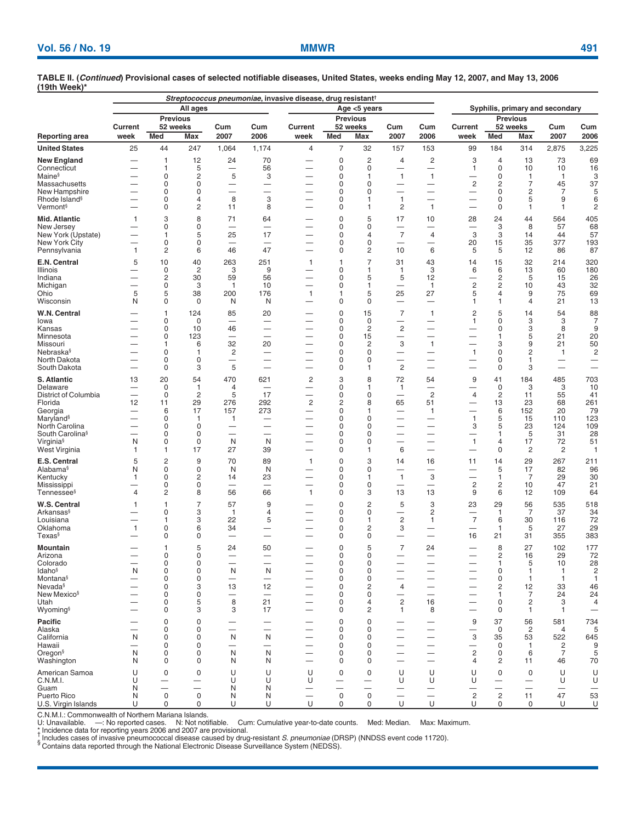|                                                      |                                |                               | All ages                |                                |                                 | Streptococcus pneumoniae, invasive disease, drug resistant <sup>†</sup> |                            |                                                      |                                          | Syphilis, primary and secondary                      |                               |                                                      |                                |                          |                                            |
|------------------------------------------------------|--------------------------------|-------------------------------|-------------------------|--------------------------------|---------------------------------|-------------------------------------------------------------------------|----------------------------|------------------------------------------------------|------------------------------------------|------------------------------------------------------|-------------------------------|------------------------------------------------------|--------------------------------|--------------------------|--------------------------------------------|
| Reporting area                                       |                                | <b>Previous</b>               |                         |                                | Age <5 years<br><b>Previous</b> |                                                                         |                            | <b>Previous</b>                                      |                                          |                                                      |                               |                                                      |                                |                          |                                            |
|                                                      | <b>Current</b><br>week         | 52 weeks<br>Med               | Max                     | Cum<br>2007                    | Cum<br>2006                     | Current<br>week                                                         | Med                        | 52 weeks<br>Max                                      | Cum<br>2007                              | Cum<br>2006                                          | Current<br>week               | Med                                                  | 52 weeks<br>Max                | Cum<br>2007              | Cum<br>2006                                |
| <b>United States</b>                                 | 25                             | 44                            | 247                     | 1,064                          | 1,174                           | 4                                                                       | $\overline{7}$             | 32                                                   | 157                                      | 153                                                  | 99                            | 184                                                  | 314                            | 2,875                    | 3,225                                      |
| <b>New England</b>                                   |                                | 1                             | 12                      | 24                             | 70                              |                                                                         | $\mathbf 0$                | $\overline{c}$                                       | 4                                        | 2                                                    | 3                             | $\overline{4}$                                       | 13                             | 73                       | 69                                         |
| Connecticut<br>Maine <sup>§</sup>                    |                                | 1<br>$\mathbf 0$              | 5<br>2                  | $\overline{\phantom{0}}$<br>5  | 56<br>3                         |                                                                         | $\mathbf 0$<br>$\mathbf 0$ | $\mathbf 0$<br>$\mathbf{1}$                          | -<br>1                                   | $\mathbf{1}$                                         | 1<br>-                        | 0<br>$\mathbf 0$                                     | 10<br>$\mathbf{1}$             | 10<br>1                  | 16<br>3                                    |
| Massachusetts                                        |                                | 0                             | 0                       | -                              |                                 |                                                                         | $\mathbf 0$                | $\mathbf 0$                                          | -                                        | -                                                    | $\overline{\mathbf{c}}$       | $\overline{c}$                                       | $\overline{7}$                 | 45                       | 37                                         |
| New Hampshire<br>Rhode Island <sup>§</sup>           |                                | 0<br>0                        | 0<br>4                  | $\overline{\phantom{0}}$<br>8  | $\overline{\phantom{0}}$<br>3   |                                                                         | $\mathbf 0$<br>$\mathbf 0$ | $\mathbf 0$<br>$\mathbf{1}$                          | $\overline{\phantom{0}}$<br>$\mathbf{1}$ | $\overline{\phantom{0}}$<br>-                        | $\overline{\phantom{0}}$<br>- | $\mathbf 0$<br>0                                     | $\overline{c}$<br>5            | $\overline{7}$<br>9      | 5<br>6                                     |
| Vermont <sup>§</sup>                                 |                                | 0                             | 2                       | 11                             | 8                               |                                                                         | 0                          | $\mathbf{1}$                                         | 2                                        | $\mathbf{1}$                                         |                               | 0                                                    | 1                              | 1                        | $\overline{c}$                             |
| Mid. Atlantic<br>New Jersey                          | 1                              | 3<br>0                        | 8<br>0                  | 71<br>$\overline{\phantom{0}}$ | 64<br>$\overline{\phantom{0}}$  | -                                                                       | $\pmb{0}$<br>0             | 5<br>0                                               | 17<br>$\overline{\phantom{0}}$           | 10<br>$\overline{\phantom{0}}$                       | 28<br>—                       | 24<br>3                                              | 44<br>8                        | 564<br>57                | 405<br>68                                  |
| New York (Upstate)                                   |                                | 1                             | 5                       | 25                             | 17                              | -                                                                       | 0                          | 4                                                    | $\overline{7}$                           | $\overline{4}$                                       | 3                             | 3                                                    | 14                             | 44                       | 57                                         |
| New York City<br>Pennsylvania                        | —<br>$\overline{1}$            | 0<br>$\overline{c}$           | 0<br>6                  | $\overline{\phantom{0}}$<br>46 | 47                              | $\overline{\phantom{0}}$                                                | 0<br>0                     | 0<br>2                                               | 10                                       | —<br>6                                               | 20<br>5                       | 15<br>5                                              | 35<br>12                       | 377<br>86                | 193<br>87                                  |
| E.N. Central                                         | 5                              | 10                            | 40                      | 263                            | 251                             | $\mathbf{1}$                                                            | $\mathbf{1}$               | $\overline{7}$                                       | 31                                       | 43                                                   | 14                            | 15                                                   | 32                             | 214                      | 320                                        |
| Illinois                                             |                                | 0                             | $\overline{\mathbf{c}}$ | 3                              | 9                               |                                                                         | 0                          | $\mathbf 1$                                          | $\mathbf{1}$                             | 3                                                    | 6                             | 6                                                    | 13                             | 60                       | 180                                        |
| Indiana<br>Michigan                                  |                                | $\overline{c}$<br>$\mathbf 0$ | 30<br>3                 | 59<br>1                        | 56<br>10                        | $\overline{\phantom{0}}$<br>-                                           | $\mathbf 0$<br>0           | 5<br>$\mathbf{1}$                                    | 5<br>$\overline{\phantom{0}}$            | 12<br>$\mathbf{1}$                                   | $\overline{c}$                | $\overline{c}$<br>$\overline{\mathbf{c}}$            | 5<br>10                        | 15<br>43                 | 26<br>32                                   |
| Ohio                                                 | 5                              | 5                             | 38                      | 200                            | 176                             | $\mathbf{1}$                                                            | $\mathbf{1}$               | 5                                                    | 25                                       | 27                                                   | 5                             | 4                                                    | 9                              | 75                       | 69                                         |
| Wisconsin                                            | N                              | 0                             | 0                       | N                              | N                               |                                                                         | 0                          | 0                                                    |                                          |                                                      | 1                             | 1                                                    | $\overline{4}$                 | 21                       | 13                                         |
| W.N. Central<br>lowa                                 |                                | 1<br>0                        | 124<br>0                | 85                             | 20                              |                                                                         | $\mathbf 0$<br>$\mathbf 0$ | 15<br>$\mathbf 0$                                    | $\overline{7}$<br>-                      | $\mathbf{1}$<br>$\overline{\phantom{0}}$             | 2<br>$\mathbf{1}$             | 5<br>$\mathbf 0$                                     | 14<br>3                        | 54<br>3                  | 88<br>7                                    |
| Kansas                                               |                                | $\mathbf 0$                   | 10                      | 46                             |                                 |                                                                         | $\mathbf 0$                | $\overline{2}$                                       | $\overline{c}$                           | $\overline{\phantom{0}}$                             | -                             | $\mathbf 0$                                          | 3                              | 8                        | 9                                          |
| Minnesota                                            |                                | 0                             | 123                     | -                              |                                 |                                                                         | $\mathbf 0$<br>$\mathbf 0$ | 15<br>$\overline{2}$                                 | -                                        | -                                                    | -                             | 1<br>3                                               | 5                              | 21                       | 20                                         |
| Missouri<br>Nebraska <sup>§</sup>                    | —                              | 1<br>0                        | 6<br>1                  | 32<br>$\overline{\mathbf{c}}$  | 20<br>—                         | —                                                                       | $\mathbf 0$                | 0                                                    | 3                                        | $\mathbf{1}$<br>$\overline{\phantom{0}}$             | $\mathbf{1}$                  | $\mathbf 0$                                          | 9<br>2                         | 21<br>1                  | 50<br>$\overline{\mathbf{c}}$              |
| North Dakota                                         |                                | 0                             | 0                       |                                | -                               |                                                                         | $\mathbf 0$                | 0                                                    | -                                        | —                                                    | —                             | $\mathbf 0$                                          | 1                              | -                        | -                                          |
| South Dakota                                         |                                | 0                             | 3                       | 5                              |                                 |                                                                         | $\mathbf 0$                | $\mathbf{1}$                                         | 2                                        | —                                                    |                               | $\mathbf 0$                                          | 3                              | $\overline{\phantom{0}}$ | $\overline{\phantom{0}}$                   |
| S. Atlantic<br>Delaware                              | 13<br>$\overline{\phantom{0}}$ | 20<br>$\mathbf 0$             | 54<br>1                 | 470<br>4                       | 621<br>$\overline{\phantom{0}}$ | $\overline{\mathbf{c}}$<br>-                                            | 3<br>0                     | 8<br>1                                               | 72<br>$\overline{1}$                     | 54                                                   | 9<br>—                        | 41<br>0                                              | 184<br>3                       | 485<br>3                 | 703<br>10                                  |
| District of Columbia                                 |                                | $\mathbf 0$                   | $\overline{c}$          | 5                              | 17                              |                                                                         | 0                          | 0                                                    | $\overline{\phantom{0}}$                 | $\overline{2}$                                       | 4                             | $\overline{c}$                                       | 11                             | 55                       | 41                                         |
| Florida                                              | 12<br>—                        | 11<br>6                       | 29<br>17                | 276<br>157                     | 292<br>273                      | $\overline{\mathbf{c}}$                                                 | 2<br>$\mathbf 0$           | 8<br>$\mathbf 1$                                     | 65                                       | 51                                                   | $\overline{\phantom{0}}$      | 13<br>6                                              | 23<br>152                      | 68<br>20                 | 261<br>79                                  |
| Georgia<br>Maryland <sup>§</sup>                     |                                | 0                             | 1                       | 1                              |                                 | —                                                                       | 0                          | 0                                                    |                                          | $\mathbf{1}$<br>-                                    | —<br>$\mathbf{1}$             | 5                                                    | 15                             | 110                      | 123                                        |
| North Carolina                                       | —                              | $\mathbf 0$                   | 0                       | $\overline{\phantom{0}}$       | $\overline{\phantom{0}}$        |                                                                         | 0                          | 0                                                    |                                          |                                                      | 3                             | 5                                                    | 23                             | 124                      | 109                                        |
| South Carolina <sup>§</sup><br>Virginia <sup>§</sup> | N                              | 0<br>0                        | $\mathbf 0$<br>0        | -<br>N                         | —<br>N                          | —                                                                       | 0<br>0                     | 0<br>$\mathbf 0$                                     | $\overline{\phantom{0}}$                 | $\overline{\phantom{m}}$<br>$\overline{\phantom{0}}$ | —<br>$\overline{1}$           | 1<br>$\overline{4}$                                  | 5<br>17                        | 31<br>72                 | 28<br>51                                   |
| West Virginia                                        | 1                              | 1                             | 17                      | 27                             | 39                              | $\overline{\phantom{0}}$                                                | 0                          | 1                                                    | 6                                        | $\overline{\phantom{0}}$                             | —                             | $\mathbf 0$                                          | 2                              | 2                        | $\mathbf{1}$                               |
| E.S. Central                                         | 5                              | $\overline{c}$                | 9                       | 70                             | 89                              | $\mathbf{1}$                                                            | $\mathbf 0$                | 3                                                    | 14                                       | 16                                                   | 11                            | 14                                                   | 29                             | 267                      | 211                                        |
| Alabama§<br>Kentucky                                 | N<br>1                         | 0<br>0                        | $\mathbf 0$<br>2        | N<br>14                        | N<br>23                         | -                                                                       | 0<br>0                     | 0<br>-1                                              | $\mathbf{1}$                             | 3                                                    | —                             | 5<br>1                                               | 17<br>7                        | 82<br>29                 | 96<br>30                                   |
| Mississippi                                          |                                | 0                             | 0                       | $\overline{\phantom{0}}$       |                                 | —                                                                       | 0                          | 0                                                    |                                          |                                                      | $\overline{c}$                | 2                                                    | 10                             | 47                       | 21                                         |
| <b>Tennessee</b> §                                   | 4                              | 2                             | 8                       | 56                             | 66                              | $\mathbf{1}$                                                            | 0                          | 3                                                    | 13                                       | 13                                                   | 9                             | 6                                                    | 12                             | 109                      | 64                                         |
| W.S. Central<br>Arkansas§                            | 1                              | 1<br>$\mathbf 0$              | $\overline{7}$<br>3     | 57                             | 9                               |                                                                         | $\mathbf 0$<br>$\mathbf 0$ | $\overline{c}$<br>0                                  | 5                                        | 3<br>2                                               | 23                            | 29<br>$\mathbf{1}$                                   | 56<br>$\overline{7}$           | 535<br>37                | 518<br>34                                  |
| Louisiana                                            |                                | 1                             | 3                       | $\mathbf{1}$<br>22             | 4<br>5                          | -                                                                       | $\mathbf 0$                | $\mathbf{1}$                                         | —<br>$\overline{c}$                      | $\mathbf{1}$                                         | $\overline{7}$                | 6                                                    | 30                             | 116                      | 72                                         |
| Oklahoma                                             | 1                              | 0                             | 6                       | 34                             |                                 |                                                                         | 0                          | $\overline{c}$                                       | 3                                        |                                                      |                               | -1                                                   | 5                              | 27                       | 29                                         |
| <b>Texas</b> §                                       |                                | 0                             | 0                       | -                              |                                 |                                                                         | $\mathbf 0$                | $\mathbf 0$                                          | -                                        | $\overline{\phantom{0}}$                             | 16                            | 21                                                   | 31                             | 355                      | 383                                        |
| Mountain<br>Arizona                                  |                                | 1<br>0                        | 5<br>0                  | 24                             | 50<br>-                         |                                                                         | $\mathbf 0$<br>0           | 5<br>0                                               | $\overline{7}$                           | 24<br>$\overline{\phantom{0}}$                       | —                             | 8<br>2                                               | 27<br>16                       | 102<br>29                | 177<br>72                                  |
| Colorado                                             |                                | O                             | U                       |                                |                                 |                                                                         | O                          | U                                                    |                                          |                                                      |                               |                                                      | b                              | 10                       | 28                                         |
| ldaho§<br>Montana§                                   | N<br>—                         | 0<br>0                        | 0<br>0                  | N<br>-                         | N<br>—                          | $\qquad \qquad -$                                                       | 0<br>0                     | 0<br>0                                               |                                          | $\overline{\phantom{0}}$                             | —                             | 0<br>0                                               | $\mathbf{1}$<br>$\mathbf{1}$   | 1<br>$\mathbf{1}$        | $\overline{c}$<br>$\mathbf{1}$             |
| Nevada <sup>§</sup>                                  |                                | 0                             | 3                       | 13                             | 12                              | $\overline{\phantom{0}}$                                                | 0                          | $\overline{c}$                                       | 4                                        | $\overline{\phantom{0}}$                             |                               | $\overline{\mathbf{c}}$                              | 12                             | 33                       | 46                                         |
| New Mexico <sup>§</sup>                              |                                | 0                             | 0                       |                                |                                 |                                                                         | 0                          | 0                                                    | -                                        | $\overline{\phantom{m}}$                             | —                             | $\mathbf{1}$                                         | 7                              | 24                       | 24                                         |
| Utah<br>Wyoming§                                     |                                | 0<br>0                        | 5<br>3                  | 8<br>3                         | 21<br>17                        |                                                                         | 0<br>0                     | 4<br>2                                               | $\overline{c}$<br>$\mathbf{1}$           | 16<br>8                                              | —<br>$\overline{\phantom{0}}$ | 0<br>0                                               | $\overline{2}$<br>$\mathbf{1}$ | 3<br>1                   | $\overline{4}$<br>$\overline{\phantom{0}}$ |
| Pacific                                              |                                | 0                             | 0                       | $\overline{\phantom{0}}$       |                                 |                                                                         | $\mathbf 0$                | $\mathbf 0$                                          |                                          |                                                      | 9                             | 37                                                   | 56                             | 581                      | 734                                        |
| Alaska                                               |                                | 0                             | 0                       | -                              | —                               |                                                                         | 0                          | 0                                                    | -                                        | $\overline{\phantom{0}}$                             |                               | 0                                                    | $\overline{c}$                 | 4                        | 5                                          |
| California<br>Hawaii                                 | N<br>$\overline{\phantom{0}}$  | 0<br>0                        | 0<br>0                  | N                              | N<br>$\overline{\phantom{0}}$   |                                                                         | $\mathbf 0$<br>$\mathbf 0$ | 0<br>$\mathbf 0$                                     | $\overline{\phantom{0}}$                 |                                                      | 3<br>$\overline{\phantom{0}}$ | 35<br>0                                              | 53<br>$\mathbf{1}$             | 522<br>2                 | 645<br>9                                   |
| Oregon <sup>§</sup>                                  | N                              | 0                             | 0                       | N                              | N                               | -                                                                       | 0                          | 0                                                    | $\overline{\phantom{0}}$                 | $\overline{\phantom{m}}$                             | $\overline{c}$                | 0                                                    | 6                              | 7                        | 5                                          |
| Washington                                           | N                              | 0                             | 0                       | N                              | N                               |                                                                         | 0                          | 0                                                    | $\overline{\phantom{0}}$                 | $\overline{\phantom{0}}$                             | 4                             | 2                                                    | 11                             | 46                       | 70                                         |
| American Samoa<br>C.N.M.I.                           | U<br>U                         | 0                             | 0                       | U<br>U                         | U<br>U                          | U<br>U                                                                  | $\mathbf 0$                | $\mathbf 0$                                          | U<br>U                                   | U<br>U                                               | U<br>U                        | 0                                                    | 0                              | U<br>U                   | U<br>U                                     |
| Guam                                                 | N                              |                               | -                       | N                              | N                               |                                                                         | —                          | $\overline{\phantom{0}}$<br>$\overline{\phantom{0}}$ |                                          |                                                      |                               | $\overline{\phantom{0}}$<br>$\overline{\phantom{0}}$ | —<br>$\overline{\phantom{0}}$  | $\overline{\phantom{0}}$ |                                            |
| Puerto Rico                                          | N                              | $\mathsf{O}\xspace$           | $\mathbf 0$             | N                              | N                               | $\overline{\phantom{0}}$                                                | $\mathbf 0$                | $\mathsf 0$                                          | $\overline{\phantom{0}}$                 | $\overline{\phantom{0}}$                             | $\overline{c}$                | $\overline{c}$                                       | 11                             | 47                       | 53                                         |
| U.S. Virgin Islands                                  | U                              | 0                             | 0                       | U                              | U                               | U                                                                       | $\mathbf 0$                | $\mathbf 0$                                          | U                                        | U                                                    | U                             | 0                                                    | $\mathbf 0$                    | U                        | U                                          |

C.N.M.I.: Commonwealth of Northern Mariana Islands.<br>U: Unavailable. —: No reported cases. N: Not notifiable. Cum: Cumulative year-to-date counts. Med: Median. Max: Maximum.<br>† Incidence data for reportin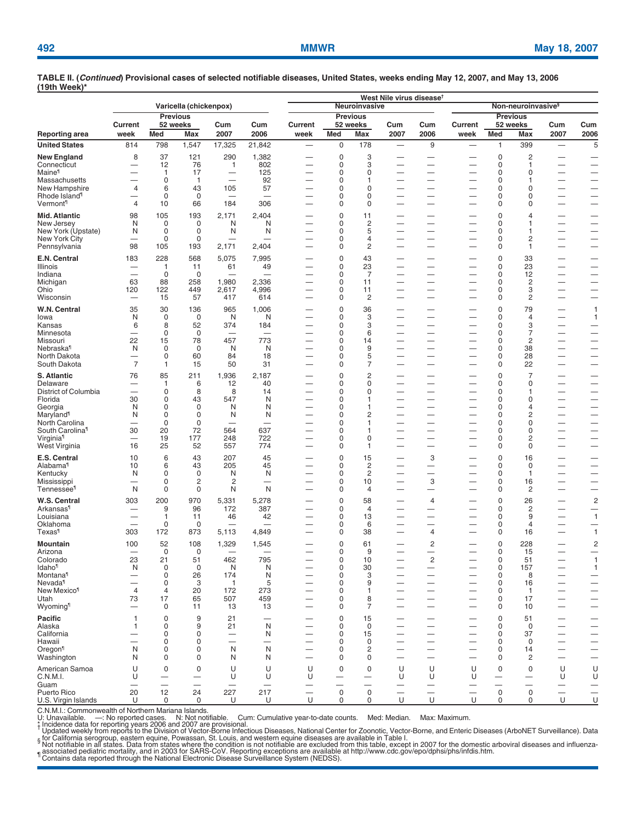|                                             |                                                      |                                 | Varicella (chickenpox)         |                                 |                                 |                          |                                         | Neuroinvasive                           | West Nile virus disease <sup>t</sup>        | Non-neuroinvasive <sup>§</sup>                       |                                                      |                                         |                                         |                                                      |                                                      |
|---------------------------------------------|------------------------------------------------------|---------------------------------|--------------------------------|---------------------------------|---------------------------------|--------------------------|-----------------------------------------|-----------------------------------------|---------------------------------------------|------------------------------------------------------|------------------------------------------------------|-----------------------------------------|-----------------------------------------|------------------------------------------------------|------------------------------------------------------|
| <b>Reporting area</b>                       |                                                      | <b>Previous</b>                 |                                |                                 |                                 |                          | <b>Previous</b>                         |                                         |                                             |                                                      | <b>Previous</b>                                      |                                         |                                         |                                                      |                                                      |
|                                             | Current                                              |                                 | 52 weeks                       | Cum                             | Cum                             | Current                  |                                         | 52 weeks                                | Cum                                         | Cum                                                  | Current                                              |                                         | 52 weeks                                | Cum                                                  | Cum                                                  |
|                                             | week                                                 | Med                             | Max                            | 2007                            | 2006                            | week                     | Med                                     | Max                                     | 2007                                        | 2006                                                 | week                                                 | Med                                     | Max                                     | 2007                                                 | 2006                                                 |
| <b>United States</b>                        | 814                                                  | 798                             | 1,547                          | 17,325                          | 21,842                          | $\overline{\phantom{0}}$ | $\mathbf 0$                             | 178                                     |                                             | 9                                                    | $\overline{\phantom{0}}$                             | $\overline{1}$                          | 399                                     | $\overline{\phantom{0}}$                             | 5                                                    |
| <b>New England</b><br>Connecticut           | 8                                                    | 37<br>12                        | 121<br>76                      | 290<br>$\mathbf{1}$             | 1,382<br>802                    |                          | $\mathbf 0$<br>$\mathbf 0$              | 3<br>3                                  | $\overline{\phantom{0}}$                    | —                                                    | -                                                    | $\mathbf 0$<br>0                        | 2<br>1                                  | —                                                    | $\overline{\phantom{0}}$                             |
| Maine <sup>1</sup>                          |                                                      | 1                               | 17                             | -                               | 125                             |                          | $\mathbf 0$                             | 0                                       | -                                           | —                                                    | -                                                    | $\mathbf 0$                             | 0                                       | -                                                    | $\overline{\phantom{0}}$                             |
| Massachusetts<br>New Hampshire              | 4                                                    | 0<br>6                          | $\mathbf{1}$<br>43             | $\overline{\phantom{0}}$<br>105 | 92<br>57                        |                          | 0<br>0                                  | 1<br>0                                  | —<br>-                                      | $\overline{\phantom{0}}$<br>-                        | -                                                    | $\mathbf 0$<br>0                        | 1<br>0                                  | $\overline{\phantom{0}}$                             | -                                                    |
| Rhode Island <sup>1</sup>                   |                                                      | 0                               | 0                              |                                 | $\overline{\phantom{0}}$        |                          | 0                                       | 0                                       | $\overline{\phantom{0}}$                    | —                                                    | $\overline{\phantom{0}}$                             | 0                                       | 0                                       | —                                                    | $\overline{\phantom{0}}$<br>-                        |
| Vermont <sup>1</sup>                        | $\overline{4}$                                       | 10                              | 66                             | 184                             | 306                             |                          | 0                                       | 0                                       | —                                           | —                                                    |                                                      | 0                                       | 0                                       | $\overline{\phantom{0}}$                             | -                                                    |
| Mid. Atlantic                               | 98                                                   | 105                             | 193                            | 2,171                           | 2,404                           |                          | 0                                       | 11                                      | -                                           | —                                                    |                                                      | $\mathbf 0$                             | 4                                       | -                                                    | -                                                    |
| New Jersey<br>New York (Upstate)            | N<br>N                                               | 0<br>$\mathbf 0$                | $\mathbf 0$<br>$\mathbf 0$     | N<br>N                          | N<br>N                          |                          | 0<br>0                                  | 2<br>5                                  | -                                           | $\overline{\phantom{0}}$                             | $\overline{\phantom{0}}$<br>$\overline{\phantom{0}}$ | $\mathbf 0$<br>0                        | 1<br>1                                  | $\overline{\phantom{0}}$<br>$\overline{\phantom{0}}$ | $\overline{\phantom{0}}$                             |
| <b>New York City</b>                        |                                                      | 0                               | $\mathbf 0$                    |                                 |                                 |                          | 0                                       | 4                                       | —                                           | —                                                    | -                                                    | 0                                       | 2                                       | $\overbrace{\phantom{123321}}$                       |                                                      |
| Pennsylvania                                | 98                                                   | 105                             | 193                            | 2,171                           | 2,404                           |                          | $\mathbf 0$                             | $\overline{c}$                          |                                             | $\overline{\phantom{0}}$                             | $\overline{\phantom{0}}$                             | 0                                       | 1                                       |                                                      | $\overline{\phantom{0}}$                             |
| E.N. Central                                | 183                                                  | 228                             | 568                            | 5,075                           | 7,995                           |                          | 0                                       | 43                                      | —                                           | $\overline{\phantom{0}}$                             | $\overline{\phantom{0}}$                             | $\mathbf 0$                             | 33                                      | —                                                    |                                                      |
| Illinois<br>Indiana                         | $\equiv$                                             | 1<br>0                          | 11<br>$\mathbf 0$              | 61                              | 49                              |                          | 0<br>$\mathbf 0$                        | 23<br>7                                 |                                             | —<br>—                                               | $\overline{\phantom{0}}$                             | $\mathbf 0$<br>0                        | 23<br>12                                | —                                                    | $\overline{\phantom{0}}$                             |
| Michigan                                    | 63                                                   | 88                              | 258                            | 1,980                           | 2,336                           |                          | 0                                       | 11                                      | —                                           | —                                                    | $\overline{\phantom{0}}$                             | 0                                       | $\overline{c}$                          |                                                      |                                                      |
| Ohio                                        | 120                                                  | 122                             | 449                            | 2,617                           | 4,996                           |                          | 0                                       | 11                                      | -                                           | —                                                    |                                                      | $\mathbf 0$                             | 3                                       |                                                      | $\overline{\phantom{0}}$                             |
| Wisconsin                                   | $\overline{\phantom{0}}$                             | 15                              | 57                             | 417                             | 614                             | $\overline{\phantom{0}}$ | 0                                       | 2                                       | $\overline{\phantom{0}}$                    | $\overline{\phantom{0}}$                             | $\equiv$                                             | 0                                       | 2                                       |                                                      | $\overline{\phantom{0}}$                             |
| W.N. Central<br>lowa                        | 35<br>N                                              | 30<br>0                         | 136<br>$\mathbf 0$             | 965<br>N                        | 1,006<br>N                      |                          | 0<br>0                                  | 36<br>3                                 | —                                           | —<br>—                                               | -                                                    | $\mathbf 0$<br>0                        | 79<br>4                                 | -                                                    | $\mathbf{1}$<br>$\mathbf{1}$                         |
| Kansas                                      | 6                                                    | 8                               | 52                             | 374                             | 184                             |                          | $\mathbf 0$                             | 3                                       | —                                           | —                                                    | $\overline{\phantom{0}}$                             | 0                                       | 3                                       | —                                                    | -                                                    |
| Minnesota                                   | -                                                    | 0                               | 0                              |                                 |                                 |                          | 0                                       | 6                                       | —                                           | —                                                    |                                                      | 0                                       | 7                                       |                                                      | -                                                    |
| Missouri<br>Nebraska <sup>1</sup>           | 22<br>N                                              | 15<br>0                         | 78<br>0                        | 457<br>N                        | 773<br>N                        | —                        | 0<br>0                                  | 14<br>9                                 | -                                           | —<br>$\overline{\phantom{0}}$                        | $\overline{\phantom{0}}$                             | 0<br>0                                  | 2<br>38                                 | $\overline{\phantom{0}}$<br>$\overline{\phantom{0}}$ | $\overline{\phantom{0}}$<br>$\overline{\phantom{0}}$ |
| North Dakota                                | -                                                    | 0                               | 60                             | 84                              | 18                              |                          | 0                                       | 5                                       |                                             | —                                                    | -                                                    | 0                                       | 28                                      | —                                                    | -                                                    |
| South Dakota                                | $\overline{7}$                                       | $\mathbf{1}$                    | 15                             | 50                              | 31                              |                          | 0                                       | 7                                       | $\overline{\phantom{0}}$                    | $\overline{\phantom{0}}$                             | $\overline{\phantom{0}}$                             | 0                                       | 22                                      | $\overline{\phantom{0}}$                             | -                                                    |
| S. Atlantic                                 | 76                                                   | 85                              | 211                            | 1,936                           | 2,187                           |                          | 0                                       | 2                                       | -                                           | —                                                    | $\overline{\phantom{0}}$                             | $\mathbf 0$                             | 7                                       | -                                                    |                                                      |
| Delaware<br>District of Columbia            |                                                      | 1<br>$\mathbf 0$                | 6<br>8                         | 12<br>8                         | 40<br>14                        |                          | 0<br>$\mathbf 0$                        | $\Omega$<br>0                           | -                                           | —<br>$\overline{\phantom{0}}$                        | -                                                    | $\Omega$<br>$\mathbf 0$                 | 0<br>1                                  | $\overline{\phantom{0}}$                             | $\overline{\phantom{0}}$<br>$\overline{\phantom{0}}$ |
| Florida                                     | 30                                                   | $\mathbf 0$                     | 43                             | 547                             | N                               |                          | $\mathbf 0$                             | 1                                       | -                                           | —                                                    | -                                                    | $\Omega$                                | 0                                       | $\overline{\phantom{0}}$                             | -                                                    |
| Georgia                                     | N                                                    | $\mathbf 0$                     | $\mathbf 0$                    | N                               | N                               |                          | 0                                       | 1                                       |                                             | —                                                    | $\overline{\phantom{0}}$                             | $\mathbf 0$                             | 4                                       | —                                                    |                                                      |
| Maryland <sup>1</sup><br>North Carolina     | N                                                    | $\Omega$<br>$\mathbf 0$         | $\Omega$<br>$\mathbf 0$        | N                               | N                               |                          | 0<br>0                                  | 2<br>1                                  | -                                           | $\overline{\phantom{0}}$<br>—                        | $\overline{\phantom{0}}$<br>-                        | $\Omega$<br>$\mathbf 0$                 | 2<br>0                                  | $\overline{\phantom{0}}$<br>$\overline{\phantom{0}}$ | $\overline{\phantom{0}}$<br>-                        |
| South Carolina <sup>1</sup>                 | 30                                                   | 20                              | 72                             | 564                             | 637                             |                          | 0                                       | 1                                       |                                             | —                                                    | $\overline{\phantom{0}}$                             | $\Omega$                                | 0                                       | $\overline{\phantom{0}}$                             | -                                                    |
| Virginia <sup>¶</sup>                       | $\overline{\phantom{0}}$                             | 19                              | 177                            | 248                             | 722                             |                          | 0                                       | 0                                       | $\overline{\phantom{0}}$                    | $\overline{\phantom{0}}$                             | $\overline{\phantom{0}}$                             | $\mathbf 0$                             | 2                                       |                                                      |                                                      |
| West Virginia                               | 16                                                   | 25                              | 52                             | 557                             | 774                             |                          | 0                                       | 1                                       | -                                           | —                                                    | -                                                    | 0                                       | 0                                       | $\overline{\phantom{0}}$                             | -                                                    |
| E.S. Central<br>Alabama <sup>1</sup>        | 10<br>10                                             | 6<br>6                          | 43<br>43                       | 207<br>205                      | 45<br>45                        | $\overline{\phantom{0}}$ | 0<br>0                                  | 15<br>$\overline{c}$                    | $\overline{\phantom{0}}$                    | 3<br>—                                               |                                                      | $\mathbf 0$<br>$\mathbf 0$              | 16<br>0                                 | —<br>$\overline{\phantom{0}}$                        |                                                      |
| Kentucky                                    | N                                                    | $\mathbf 0$                     | $\mathbf 0$                    | N                               | N                               |                          | 0                                       | 2                                       |                                             | —                                                    | $\overline{\phantom{0}}$                             | 0                                       | $\mathbf{1}$                            | —                                                    | -                                                    |
| Mississippi                                 | -                                                    | 0                               | 2                              | $\overline{2}$                  | $\overline{\phantom{0}}$        | $\overline{\phantom{0}}$ | 0                                       | 10                                      | —<br>$\overline{\phantom{0}}$               | 3                                                    | $\overline{\phantom{0}}$                             | 0                                       | 16                                      | $\overline{\phantom{0}}$                             |                                                      |
| <b>Tennessee<sup>1</sup></b>                | N                                                    | $\mathbf 0$                     | $\mathbf 0$                    | N                               | N                               |                          | 0                                       | 4                                       |                                             | —                                                    |                                                      | 0                                       | 2                                       |                                                      | -                                                    |
| W.S. Central<br>Arkansas <sup>1</sup>       | 303                                                  | 200<br>9                        | 970<br>96                      | 5,331<br>172                    | 5,278<br>387                    |                          | 0<br>0                                  | 58<br>$\overline{4}$                    | —<br>—                                      | 4<br>—                                               | $\overline{\phantom{0}}$                             | $\pmb{0}$<br>0                          | 26<br>2                                 | -<br>$\overline{\phantom{0}}$                        | $\overline{c}$<br>-                                  |
| Louisiana                                   | $\overline{\phantom{0}}$                             | 1                               | 11                             | 46                              | 42                              |                          | $\mathbf 0$                             | 13                                      | $\overline{\phantom{0}}$                    | $\overline{\phantom{0}}$                             | $\overline{\phantom{0}}$                             | 0                                       | 9                                       | $\overline{\phantom{0}}$                             | $\overline{1}$                                       |
| Oklahoma                                    | -                                                    | 0                               | 0                              |                                 |                                 |                          | 0                                       | 6                                       | -                                           | -                                                    | -                                                    | 0                                       | 4                                       | —                                                    |                                                      |
| Texas¶                                      | 303                                                  | 172                             | 873                            | 5,113                           | 4,849                           |                          | 0                                       | 38                                      | —                                           | 4                                                    |                                                      | 0                                       | 16                                      |                                                      | $\overline{1}$                                       |
| Mountain<br>Arizona                         | 100                                                  | 52<br>$\mathbf 0$               | 108<br>$\mathbf 0$             | 1,329                           | 1,545                           | —                        | 0<br>0                                  | 61<br>9                                 | —                                           | $\overline{c}$<br>—                                  |                                                      | $\mathbf 0$<br>$\Omega$                 | 228<br>15                               | -                                                    | $\overline{c}$<br>-                                  |
| Colorado                                    | 23                                                   | 21                              | 51                             | 462                             | 795                             |                          | 0                                       | 10                                      |                                             | $\overline{c}$                                       |                                                      | 0                                       | 51                                      |                                                      | $\mathbf{1}$                                         |
| Idaho <sup>1</sup>                          | N                                                    | $\pmb{0}$                       | $\mathbf 0$                    | N                               | N                               |                          | $\mathsf 0$                             | 30                                      |                                             |                                                      |                                                      | $\mathbf 0$                             | 157                                     |                                                      | $\mathbf{1}$                                         |
| Montana <sup>1</sup><br>Nevada <sup>1</sup> | $\overline{\phantom{0}}$<br>$\overline{\phantom{0}}$ | $\boldsymbol{0}$<br>$\mathbf 0$ | 26<br>3                        | 174<br>$\mathbf{1}$             | N<br>5                          | $\overline{\phantom{0}}$ | $\mathbf 0$<br>$\mathbf 0$              | 3<br>9                                  | $\overline{\phantom{0}}$                    | $\overline{\phantom{0}}$<br>$\overline{\phantom{0}}$ | $\overline{\phantom{0}}$<br>$\overline{\phantom{0}}$ | $\mathbf 0$<br>$\mathbf 0$              | 8<br>16                                 | $\overbrace{\phantom{1232211}}$                      |                                                      |
| New Mexico <sup>1</sup>                     | $\overline{4}$                                       | 4                               | 20                             | 172                             | 273                             |                          | $\mathbf 0$                             | 1                                       | -                                           | $\overline{\phantom{0}}$                             | $\overline{\phantom{0}}$                             | $\mathbf 0$                             | $\mathbf{1}$                            |                                                      |                                                      |
| Utah                                        | 73<br>$\overline{\phantom{0}}$                       | 17<br>0                         | 65<br>11                       | 507                             | 459                             |                          | $\mathbf 0$<br>$\mathbf 0$              | 8                                       | $\overline{\phantom{0}}$                    | $\overline{\phantom{0}}$<br>$\overline{\phantom{0}}$ | $\overline{\phantom{0}}$                             | $\mathbf 0$<br>$\mathbf 0$              | 17<br>10                                | $\overline{\phantom{0}}$<br>$\overline{\phantom{0}}$ | $\frac{1}{1}$                                        |
| Wyoming <sup>1</sup>                        |                                                      |                                 |                                | 13                              | 13                              |                          |                                         | 7                                       |                                             |                                                      |                                                      |                                         |                                         |                                                      |                                                      |
| Pacific<br>Alaska                           | 1<br>1                                               | $\pmb{0}$<br>0                  | 9<br>9                         | 21<br>21                        | N                               |                          | 0<br>0                                  | 15<br>0                                 | -                                           | $\overline{\phantom{0}}$                             |                                                      | $\mathbf 0$<br>0                        | 51<br>0                                 | —                                                    | -                                                    |
| California                                  | $\overline{\phantom{0}}$                             | $\pmb{0}$                       | 0                              | $\overline{\phantom{0}}$        | N                               |                          | $\mathbf 0$                             | 15                                      | -                                           | $\overline{\phantom{0}}$                             |                                                      | 0                                       | 37                                      | $\overline{\phantom{0}}$                             | $\equiv$                                             |
| Hawaii                                      | N                                                    | 0<br>0                          | 0<br>0                         | N                               | N                               |                          | $\mathbf 0$<br>0                        | $\mathbf 0$<br>2                        | -                                           | $\overline{\phantom{0}}$<br>$\overline{\phantom{0}}$ |                                                      | 0<br>0                                  | 0<br>14                                 | —<br>$\overline{\phantom{0}}$                        | —<br>—<br>$\overline{\phantom{0}}$                   |
| Oregon <sup>1</sup><br>Washington           | N                                                    | 0                               | 0                              | N                               | N                               |                          | $\mathbf 0$                             | 0                                       | -                                           | $\overline{\phantom{0}}$                             |                                                      | 0                                       | 2                                       | $\overline{\phantom{0}}$                             | -                                                    |
| American Samoa                              | U                                                    | 0                               | 0                              | U                               | U                               | U                        | 0                                       | 0                                       | U                                           | U                                                    | U                                                    | 0                                       | 0                                       | U                                                    | U                                                    |
| C.N.M.I.                                    | U                                                    | $\overline{\phantom{0}}$        |                                | U                               | U                               | U                        | $\overline{\phantom{0}}$                | $\overline{\phantom{0}}$                | U                                           | U                                                    | U                                                    |                                         |                                         | U                                                    | U                                                    |
| Guam<br>Puerto Rico                         | 20                                                   | $\overline{\phantom{0}}$<br>12  | $\overline{\phantom{0}}$<br>24 | $\overline{\phantom{0}}$<br>227 | $\overline{\phantom{m}}$<br>217 | $\qquad \qquad$          | $\overline{\phantom{0}}$<br>$\mathbf 0$ | $\overline{\phantom{0}}$<br>$\mathbf 0$ | $\overline{\phantom{0}}$<br>$\qquad \qquad$ | —                                                    | —                                                    | $\overline{\phantom{0}}$<br>$\mathbf 0$ | $\overline{\phantom{0}}$<br>$\mathbf 0$ | $\overline{\phantom{0}}$<br>$\overline{\phantom{0}}$ | —                                                    |
| U.S. Virgin Islands                         | U                                                    | 0                               | 0                              | U                               | U                               | $\cup$                   | $\mathbf 0$                             | 0                                       | $\cup$                                      | $\cup$                                               | U                                                    | 0                                       | 0                                       | $\cup$                                               | $\frac{1}{u}$                                        |

C.N.M.I.: Commonwealth of Northern Mariana Islands.<br>U: Unavailable. —: No reported cases. N: Not notifiable. Cum: Cumulative year-to-date counts. Med: Median. Max: Maximum.<br>1; Ionavailable. —: No reported cases.

<sub>¶</sub> associated pediatric mortality, and in 2003 for SARS-CoV. Reporting exceptions are available a[t http://www.cdc.gov/epo/dphsi/phs/infdis.htm.](http://www.cdc.gov/epo/dphsi/phs/infdis.htm)<br><sup>∥</sup> Contains data reported through the National Electronic Disease Surveilla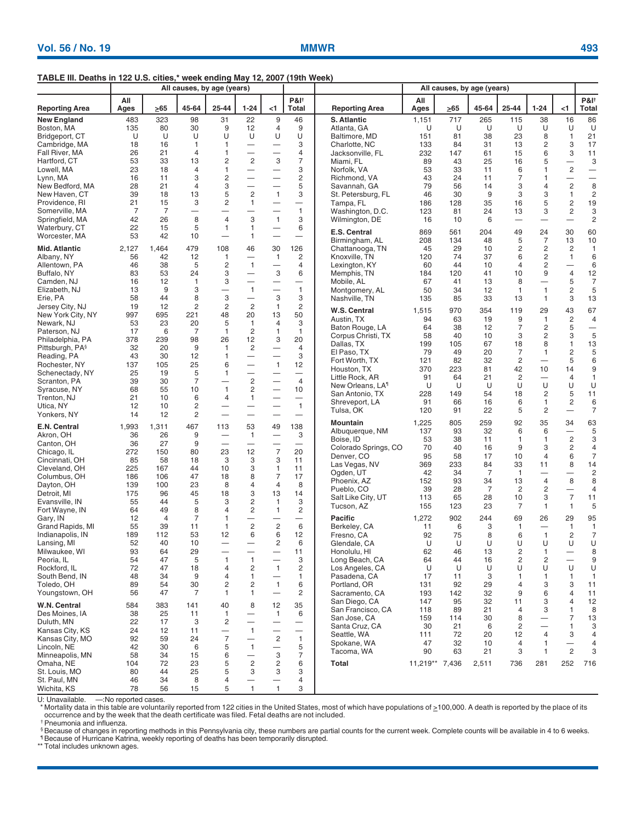### **TABLE III. Deaths in 122 U.S. cities,\* week ending May 12, 2007 (19th Week)**

|                                   |             | All causes, by age (years) |                               |                          |                                            |                                          |                                      |                                |                | All causes, by age (years) |          |                   |                          |                               |                                             |
|-----------------------------------|-------------|----------------------------|-------------------------------|--------------------------|--------------------------------------------|------------------------------------------|--------------------------------------|--------------------------------|----------------|----------------------------|----------|-------------------|--------------------------|-------------------------------|---------------------------------------------|
| <b>Reporting Area</b>             | All<br>Ages | >65                        | 45-64                         | 25-44                    | $1 - 24$                                   | $<$ 1                                    | <b>P&amp;I</b> <sup>+</sup><br>Total | <b>Reporting Area</b>          | All<br>Ages    | $\geq 65$                  | 45-64    | 25-44             | $1 - 24$                 | $<$ 1                         | <b>P&amp;I</b> <sup>+</sup><br><b>Total</b> |
| <b>New England</b>                | 483         | 323                        | 98                            | 31                       | 22                                         | 9                                        | 46                                   | S. Atlantic                    | 1,151          | 717                        | 265      | 115               | 38                       | 16                            | 86                                          |
| Boston, MA                        | 135         | 80                         | 30                            | 9                        | 12                                         | 4                                        | 9                                    | Atlanta, GA                    | U              | U                          | U        | U                 | U                        | U                             | U                                           |
| Bridgeport, CT                    | U           | U                          | U                             | U                        | U                                          | U                                        | U                                    | Baltimore, MD                  | 151            | 81                         | 38       | 23                | 8                        | $\mathbf{1}$                  | 21                                          |
| Cambridge, MA                     | 18          | 16                         | $\mathbf{1}$                  | $\mathbf{1}$             | $\overline{\phantom{0}}$                   | $\overline{\phantom{0}}$                 | 3                                    | Charlotte, NC                  | 133            | 84                         | 31       | 13                | $\overline{\mathbf{c}}$  | 3                             | 17                                          |
| Fall River, MA                    | 26          | 21                         | $\overline{4}$                | 1                        | $\overline{\phantom{0}}$                   | $\overline{\phantom{0}}$                 | 4                                    | Jacksonville, FL               | 232            | 147                        | 61       | 15                | 6                        | 3                             | 11                                          |
| Hartford, CT                      | 53          | 33                         | 13                            | 2                        | $\overline{2}$                             | 3                                        | 7                                    | Miami, FL                      | 89             | 43                         | 25       | 16                | 5                        | —                             | 3                                           |
| Lowell, MA                        | 23          | 18                         | $\overline{4}$                | 1                        | $\overline{\phantom{0}}$                   | $\overline{\phantom{0}}$                 | 3                                    | Norfolk, VA                    | 53             | 33                         | 11       | 6                 | 1                        | $\overline{c}$                | $\overline{\phantom{0}}$                    |
| Lynn, MA                          | 16          | 11                         | 3                             | 2                        | $\overline{\phantom{0}}$                   | $\overline{\phantom{0}}$                 | $\overline{c}$                       | Richmond, VA                   | 43             | 24                         | 11       | $\overline{7}$    | 1                        | —                             | $\overline{\phantom{0}}$                    |
| New Bedford, MA                   | 28          | 21                         | $\overline{4}$                | 3                        | $\overline{\phantom{0}}$                   | $\overline{\phantom{0}}$                 | 5                                    | Savannah, GA                   | 79             | 56                         | 14       | 3                 | 4                        | $\overline{c}$                | 8                                           |
| New Haven, CT                     | 39          | 18                         | 13                            | 5                        | $\overline{c}$                             | $\mathbf{1}$                             | 3                                    | St. Petersburg, FL             | 46             | 30                         | 9        | 3                 | 3                        | 1                             | $\overline{c}$                              |
| Providence, RI                    | 21<br>7     | 15<br>$\overline{7}$       | 3<br>$\overline{\phantom{0}}$ | 2<br>—                   | $\mathbf{1}$<br>$\overline{\phantom{0}}$   | $\overline{\phantom{0}}$                 | $\qquad \qquad -$<br>$\mathbf{1}$    | Tampa, FL                      | 186<br>123     | 128<br>81                  | 35<br>24 | 16<br>13          | 5<br>3                   | $\overline{\mathbf{c}}$<br>2  | 19                                          |
| Somerville, MA<br>Springfield, MA | 42          | 26                         | 8                             | $\overline{4}$           | 3                                          | $\mathbf{1}$                             | 3                                    | Washington, D.C.               | 16             | 10                         | 6        |                   |                          |                               | 3<br>$\overline{c}$                         |
| Waterbury, CT                     | 22          | 15                         | 5                             | $\overline{1}$           | 1                                          |                                          | 6                                    | Wilmington, DE                 |                |                            |          | $\qquad \qquad -$ |                          |                               |                                             |
| Worcester, MA                     | 53          | 42                         | 10                            | $\overline{\phantom{0}}$ | 1                                          | $\overline{\phantom{0}}$                 | $\overbrace{\phantom{1232211}}$      | E.S. Central                   | 869            | 561                        | 204      | 49                | 24                       | 30                            | 60                                          |
|                                   |             |                            |                               |                          |                                            |                                          |                                      | Birmingham, AL                 | 208            | 134                        | 48       | 5                 | 7                        | 13                            | 10                                          |
| Mid. Atlantic                     | 2,127       | 1,464                      | 479                           | 108                      | 46                                         | 30                                       | 126                                  | Chattanooga, TN                | 45             | 29                         | 10       | 2                 | 2                        | 2                             | $\mathbf{1}$                                |
| Albany, NY                        | 56          | 42                         | 12                            | $\mathbf{1}$             | —                                          | 1                                        | 2                                    | Knoxville, TN                  | 120            | 74                         | 37       | 6                 | $\overline{\mathbf{c}}$  | $\mathbf{1}$                  | 6                                           |
| Allentown, PA                     | 46          | 38                         | 5                             | 2                        | $\mathbf{1}$                               |                                          | 4                                    | Lexington, KY                  | 60             | 44                         | 10       | 4                 | 2                        | —                             | 6                                           |
| Buffalo, NY                       | 83          | 53                         | 24                            | 3                        |                                            | 3                                        | 6                                    | Memphis, TN                    | 184            | 120                        | 41       | 10                | 9                        | $\overline{4}$                | 12                                          |
| Camden, NJ                        | 16          | 12                         | $\mathbf{1}$                  | 3                        | $\overline{\phantom{0}}$                   |                                          |                                      | Mobile, AL                     | 67             | 41                         | 13       | 8                 | —                        | 5                             | $\overline{7}$                              |
| Elizabeth, NJ                     | 13          | 9                          | 3                             | $\overline{\phantom{0}}$ | $\mathbf{1}$                               | $\overline{\phantom{0}}$                 | $\mathbf{1}$                         | Montgomery, AL                 | 50             | 34                         | 12       | 1                 | $\overline{1}$           | 2                             | 5                                           |
| Erie, PA                          | 58          | 44                         | 8<br>$\overline{2}$           | 3<br>$\overline{2}$      | $\overline{\phantom{m}}$<br>$\overline{2}$ | 3<br>$\mathbf{1}$                        | 3<br>$\overline{2}$                  | Nashville, TN                  | 135            | 85                         | 33       | 13                | $\mathbf{1}$             | 3                             | 13                                          |
| Jersey City, NJ                   | 19          | 12                         |                               |                          |                                            |                                          | 50                                   | W.S. Central                   | 1,515          | 970                        | 354      | 119               | 29                       | 43                            | 67                                          |
| New York City, NY<br>Newark, NJ   | 997<br>53   | 695<br>23                  | 221<br>20                     | 48<br>5                  | 20<br>$\overline{1}$                       | 13<br>4                                  | 3                                    | Austin, TX                     | 94             | 63                         | 19       | 9                 | $\mathbf{1}$             | $\overline{\mathbf{c}}$       | $\overline{4}$                              |
| Paterson, NJ                      | 17          | 6                          | 7                             | $\mathbf{1}$             | 2                                          | 1                                        | $\mathbf{1}$                         | Baton Rouge, LA                | 64             | 38                         | 12       | $\overline{7}$    | $\overline{\mathbf{c}}$  | 5                             |                                             |
| Philadelphia, PA                  | 378         | 239                        | 98                            | 26                       | 12                                         | 3                                        | 20                                   | Corpus Christi, TX             | 58             | 40                         | 10       | 3                 | 2                        | 3                             | 5                                           |
| Pittsburgh, PA <sup>§</sup>       | 32          | 20                         | 9                             | $\overline{1}$           | $\overline{c}$                             |                                          | $\overline{4}$                       | Dallas, TX                     | 199            | 105                        | 67       | 18                | 8                        | 1                             | 13                                          |
| Reading, PA                       | 43          | 30                         | 12                            | $\mathbf{1}$             | $\overline{\phantom{0}}$                   | $\overline{\phantom{0}}$                 | 3                                    | El Paso, TX                    | 79             | 49                         | 20       | 7                 | 1                        | $\overline{\mathbf{c}}$       | 5                                           |
| Rochester, NY                     | 137         | 105                        | 25                            | 6                        | $\overline{\phantom{0}}$                   | $\mathbf{1}$                             | 12                                   | Fort Worth, TX                 | 121            | 82                         | 32       | 2                 |                          | 5                             | 6                                           |
| Schenectady, NY                   | 25          | 19                         | 5                             | $\mathbf{1}$             | $\equiv$                                   |                                          | $\overbrace{\phantom{1232211}}$      | Houston, TX                    | 370            | 223                        | 81       | 42                | 10                       | 14                            | 9                                           |
| Scranton, PA                      | 39          | 30                         | $\overline{7}$                |                          | $\overline{c}$                             | $\overline{\phantom{0}}$                 | $\overline{4}$                       | Little Rock, AR                | 91             | 64                         | 21       | 2                 | —                        | 4                             | $\mathbf{1}$                                |
| Syracuse, NY                      | 68          | 55                         | 10                            | $\mathbf{1}$             | $\overline{c}$                             | $\overline{\phantom{0}}$                 | 10                                   | New Orleans, LA <sup>1</sup>   | U              | U                          | U        | U                 | U                        | U                             | U                                           |
| Trenton, NJ                       | 21          | 10                         | 6                             | $\overline{4}$           | $\mathbf{1}$                               | $\overline{\phantom{0}}$                 | $\overbrace{\phantom{12322111}}$     | San Antonio, TX                | 228            | 149                        | 54       | 18                | $\overline{\mathbf{c}}$  | 5                             | 11                                          |
| Utica, NY                         | 12          | 10                         | 2                             |                          | $\overline{\phantom{0}}$                   | $\overline{\phantom{0}}$                 | $\mathbf{1}$                         | Shreveport, LA<br>Tulsa, OK    | 91<br>120      | 66<br>91                   | 16<br>22 | 6<br>5            | 1<br>$\overline{c}$      | 2<br>$\overline{\phantom{0}}$ | 6<br>$\overline{7}$                         |
| Yonkers, NY                       | 14          | 12                         | $\overline{2}$                | $\overline{\phantom{0}}$ | $\overline{\phantom{0}}$                   | $\overline{\phantom{0}}$                 |                                      |                                |                |                            |          |                   |                          |                               |                                             |
| E.N. Central                      | 1,993       | 1,311                      | 467                           | 113                      | 53                                         | 49                                       | 138                                  | Mountain                       | 1,225          | 805                        | 259      | 92                | 35                       | 34                            | 63                                          |
| Akron, OH                         | 36          | 26                         | 9                             |                          | $\overline{1}$                             | $\overline{\phantom{m}}$                 | 3                                    | Albuquerque, NM                | 137            | 93                         | 32       | 6                 | 6                        | —                             | 5                                           |
| Canton, OH                        | 36          | 27                         | 9                             | —                        |                                            | —                                        | $\overline{\phantom{0}}$             | Boise, ID                      | 53             | 38                         | 11       | 1                 | 1                        | $\overline{c}$                | 3                                           |
| Chicago, IL                       | 272         | 150                        | 80                            | 23                       | 12                                         | $\overline{7}$                           | 20                                   | Colorado Springs, CO           | 70<br>95       | 40<br>58                   | 16<br>17 | 9                 | 3                        | $\overline{c}$                | 4                                           |
| Cincinnati, OH                    | 85          | 58                         | 18                            | 3                        | 3                                          | 3                                        | 11                                   | Denver, CO                     | 369            | 233                        | 84       | 10<br>33          | $\overline{4}$<br>11     | 6                             | $\overline{7}$                              |
| Cleveland, OH                     | 225         | 167                        | 44                            | 10                       | 3                                          | $\mathbf{1}$                             | 11                                   | Las Vegas, NV<br>Ogden, UT     | 42             | 34                         | 7        | $\mathbf{1}$      |                          | 8<br>$\overline{\phantom{0}}$ | 14<br>$\overline{c}$                        |
| Columbus, OH                      | 186         | 106                        | 47                            | 18                       | 8                                          | $\overline{7}$                           | 17                                   | Phoenix, AZ                    | 152            | 93                         | 34       | 13                | $\overline{4}$           | 8                             | 8                                           |
| Dayton, OH                        | 139         | 100                        | 23                            | 8                        | 4                                          | 4                                        | 8                                    | Pueblo, CO                     | 39             | 28                         | 7        | $\overline{c}$    | $\overline{\mathbf{c}}$  | —                             | $\overline{4}$                              |
| Detroit, MI                       | 175         | 96                         | 45                            | 18                       | 3                                          | 13                                       | 14                                   | Salt Like City, UT             | 113            | 65                         | 28       | 10                | 3                        | $\overline{7}$                | 11                                          |
| Evansville, IN                    | 55          | 44                         | 5                             | 3                        | $\overline{c}$                             | 1                                        | 3                                    | Tucson, AZ                     | 155            | 123                        | 23       | $\overline{7}$    | 1                        | $\mathbf{1}$                  | 5                                           |
| Fort Wayne, IN                    | 64          | 49                         | 8                             | 4                        | 2                                          | 1                                        | 2                                    |                                |                |                            |          |                   |                          |                               |                                             |
| Gary, IN                          | 12          | $\overline{4}$             | 7                             | 1                        | —                                          |                                          |                                      | <b>Pacific</b>                 | 1,272          | 902                        | 244      | 69                | 26                       | 29                            | 95                                          |
| Grand Rapids, MI                  | 55          | 39                         | 11                            | $\mathbf{1}$             | $\overline{c}$                             | $\overline{c}$                           | 6                                    | Berkeley, CA                   | 11             | 6                          | 3        | $\mathbf{1}$      | $\overline{\phantom{0}}$ | $\mathbf{1}$                  | $\mathbf{1}$                                |
| Indianapolis, IN                  | 189<br>52   | 112<br>40                  | 53<br>10                      | 12                       | 6                                          | 6<br>2                                   | 12<br>6                              | Fresno, CA                     | 92<br>U        | 75                         | 8<br>U   | 6<br>U            | 1<br>U                   | $\overline{\mathbf{c}}$<br>U  | $\overline{7}$                              |
| Lansing, MI                       |             |                            |                               |                          |                                            | -                                        |                                      | Glendale, CA                   |                | U                          |          |                   |                          |                               | U                                           |
| Milwaukee, WI<br>Peoria, IL       | 93<br>54    | 64<br>47                   | 29<br>5                       | $\mathbf{1}$             | $\mathbf{1}$                               |                                          | 11<br>3                              | Honolulu, HI<br>Long Beach, CA | 62<br>64       | 46<br>44                   | 13<br>16 | 2<br>2            | $\overline{\mathbf{c}}$  | $\overline{\phantom{0}}$      | 8<br>9                                      |
| Rockford, IL                      | 72          | 47                         | 18                            | 4                        | $\overline{c}$                             | $\mathbf{1}$                             | 2                                    | Los Angeles, CA                | U              | U                          | U        | U                 | U                        | U                             | U                                           |
| South Bend, IN                    | 48          | 34                         | 9                             | 4                        | $\mathbf{1}$                               |                                          | 1                                    | Pasadena, CA                   | 17             | 11                         | 3        | 1                 | 1                        | 1                             | $\mathbf{1}$                                |
| Toledo, OH                        | 89          | 54                         | 30                            | 2                        | $\overline{c}$                             | $\mathbf{1}$                             | 6                                    | Portland, OR                   | 131            | 92                         | 29       | $\overline{4}$    | 3                        | 3                             | 11                                          |
| Youngstown, OH                    | 56          | 47                         | 7                             | $\mathbf{1}$             | $\mathbf{1}$                               | $\overline{\phantom{0}}$                 | 2                                    | Sacramento, CA                 | 193            | 142                        | 32       | 9                 | 6                        | 4                             | 11                                          |
|                                   |             |                            |                               |                          |                                            |                                          |                                      | San Diego, CA                  | 147            | 95                         | 32       | 11                | 3                        | 4                             | 12                                          |
| W.N. Central                      | 584         | 383                        | 141                           | 40                       | 8                                          | 12                                       | 35                                   | San Francisco, CA              | 118            | 89                         | 21       | $\overline{4}$    | 3                        | 1                             | 8                                           |
| Des Moines, IA                    | 38          | 25                         | 11                            | $\overline{1}$           | $\overline{\phantom{0}}$                   | 1                                        | 6                                    | San Jose, CA                   | 159            | 114                        | 30       | 8                 |                          | $\overline{7}$                | 13                                          |
| Duluth, MN                        | 22          | 17                         | 3                             | $\overline{c}$           | $\equiv$                                   |                                          | $\overline{\phantom{m}}$             | Santa Cruz, CA                 | 30             | 21                         | 6        | $\overline{c}$    |                          | 1                             | 3                                           |
| Kansas City, KS                   | 24          | 12                         | 11                            | $\overline{\phantom{0}}$ | $\mathbf{1}$                               | $\overline{\phantom{0}}$                 | $\overline{\phantom{0}}$             | Seattle, WA                    | 111            | 72                         | 20       | 12                | $\overline{4}$           | 3                             | 4                                           |
| Kansas City, MO                   | 92          | 59                         | 24                            | $\overline{7}$           | $\overline{\phantom{m}}$                   | $\sqrt{2}$                               | $\mathbf{1}$                         | Spokane, WA                    | 47             | 32                         | 10       | 4                 | 1                        |                               | $\overline{4}$                              |
| Lincoln, NE                       | 42          | 30                         | 6                             | 5                        | $\mathbf{1}$                               |                                          | 5                                    | Tacoma, WA                     | 90             | 63                         | 21       | 3                 | $\mathbf{1}$             | 2                             | 3                                           |
| Minneapolis, MN                   | 58          | 34                         | 15                            | 6                        | $\overline{\phantom{0}}$                   | 3                                        | $\overline{7}$                       |                                |                |                            |          |                   |                          |                               |                                             |
| Omaha, NE                         | 104         | 72                         | 23                            | 5                        | $\overline{c}$                             | $\overline{c}$                           | 6                                    | Total                          | 11,219** 7,436 |                            | 2,511    | 736               | 281                      | 252                           | 716                                         |
| St. Louis, MO                     | 80          | 44                         | 25                            | 5                        | 3                                          | 3                                        | 3                                    |                                |                |                            |          |                   |                          |                               |                                             |
| St. Paul, MN                      | 46<br>78    | 34                         | 8                             | 4                        | $\overline{\phantom{0}}$<br>$\mathbf{1}$   | $\overline{\phantom{0}}$<br>$\mathbf{1}$ | 4<br>3                               |                                |                |                            |          |                   |                          |                               |                                             |
| Wichita, KS                       |             | 56                         | 15                            | 5                        |                                            |                                          |                                      |                                |                |                            |          |                   |                          |                               |                                             |

U: Unavailable. —:No reported cases.

\* Mortality data in this table are voluntarily reported from 122 cities in the United States, most of which have populations of >100,000. A death is reported by the place of its occurrence and by the week that the death certificate was filed. Fetal deaths are not included. † Pneumonia and influenza.

§ Because of changes in reporting methods in this Pennsylvania city, these numbers are partial counts for the current week. Complete counts will be available in 4 to 6 weeks.

¶ Because of Hurricane Katrina, weekly reporting of deaths has been temporarily disrupted. \*\* Total includes unknown ages.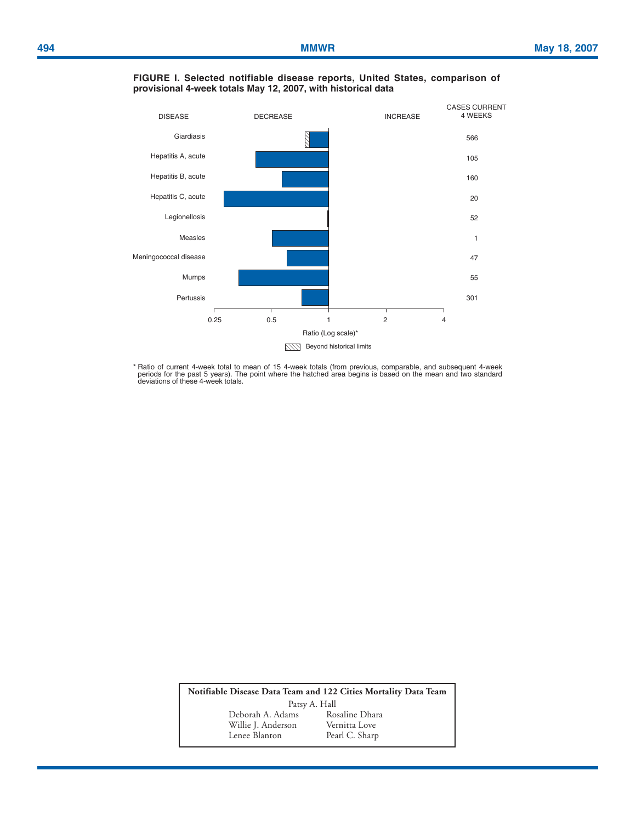

### **FIGURE I. Selected notifiable disease reports, United States, comparison of provisional 4-week totals May 12, 2007, with historical data**

\* Ratio of current 4-week total to mean of 15 4-week totals (from previous, comparable, and subsequent 4-week<br>periods for the past 5 years). The point where the hatched area begins is based on the mean and two standard<br>dev

**Notifiable Disease Data Team and 122 Cities Mortality Data Team** Patsy A. Hall Deborah A. Adams Rosaline Dhara<br>Willie J. Anderson Vernitta Love Willie J. Anderson<br>Lenee Blanton Pearl C. Sharp